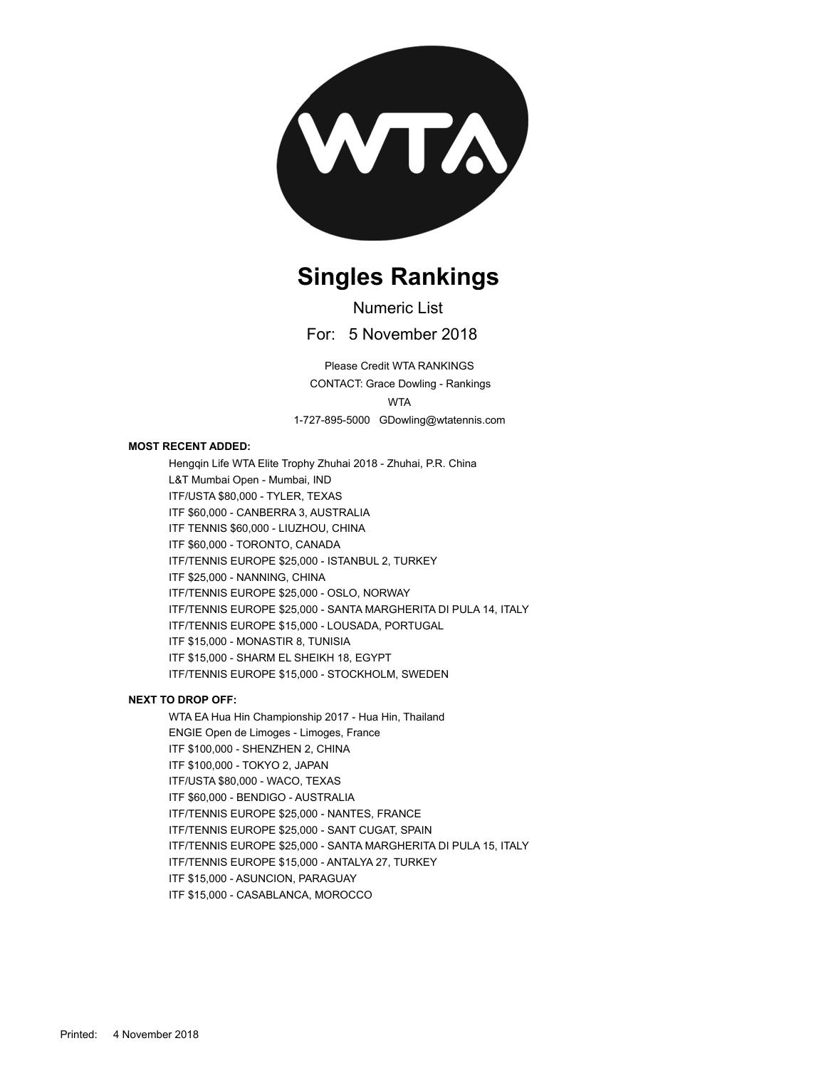

#### **Singles Rankings**

Numeric List

For: 5 November 2018

1-727-895-5000 GDowling@wtatennis.com WTA CONTACT: Grace Dowling - Rankings Please Credit WTA RANKINGS

#### **MOST RECENT ADDED:**

Hengqin Life WTA Elite Trophy Zhuhai 2018 - Zhuhai, P.R. China L&T Mumbai Open - Mumbai, IND ITF/USTA \$80,000 - TYLER, TEXAS ITF \$60,000 - CANBERRA 3, AUSTRALIA ITF TENNIS \$60,000 - LIUZHOU, CHINA ITF \$60,000 - TORONTO, CANADA ITF/TENNIS EUROPE \$25,000 - ISTANBUL 2, TURKEY ITF \$25,000 - NANNING, CHINA ITF/TENNIS EUROPE \$25,000 - OSLO, NORWAY ITF/TENNIS EUROPE \$25,000 - SANTA MARGHERITA DI PULA 14, ITALY ITF/TENNIS EUROPE \$15,000 - LOUSADA, PORTUGAL ITF \$15,000 - MONASTIR 8, TUNISIA ITF \$15,000 - SHARM EL SHEIKH 18, EGYPT ITF/TENNIS EUROPE \$15,000 - STOCKHOLM, SWEDEN

#### **NEXT TO DROP OFF:**

WTA EA Hua Hin Championship 2017 - Hua Hin, Thailand ENGIE Open de Limoges - Limoges, France ITF \$100,000 - SHENZHEN 2, CHINA ITF \$100,000 - TOKYO 2, JAPAN ITF/USTA \$80,000 - WACO, TEXAS ITF \$60,000 - BENDIGO - AUSTRALIA ITF/TENNIS EUROPE \$25,000 - NANTES, FRANCE ITF/TENNIS EUROPE \$25,000 - SANT CUGAT, SPAIN ITF/TENNIS EUROPE \$25,000 - SANTA MARGHERITA DI PULA 15, ITALY ITF/TENNIS EUROPE \$15,000 - ANTALYA 27, TURKEY ITF \$15,000 - ASUNCION, PARAGUAY ITF \$15,000 - CASABLANCA, MOROCCO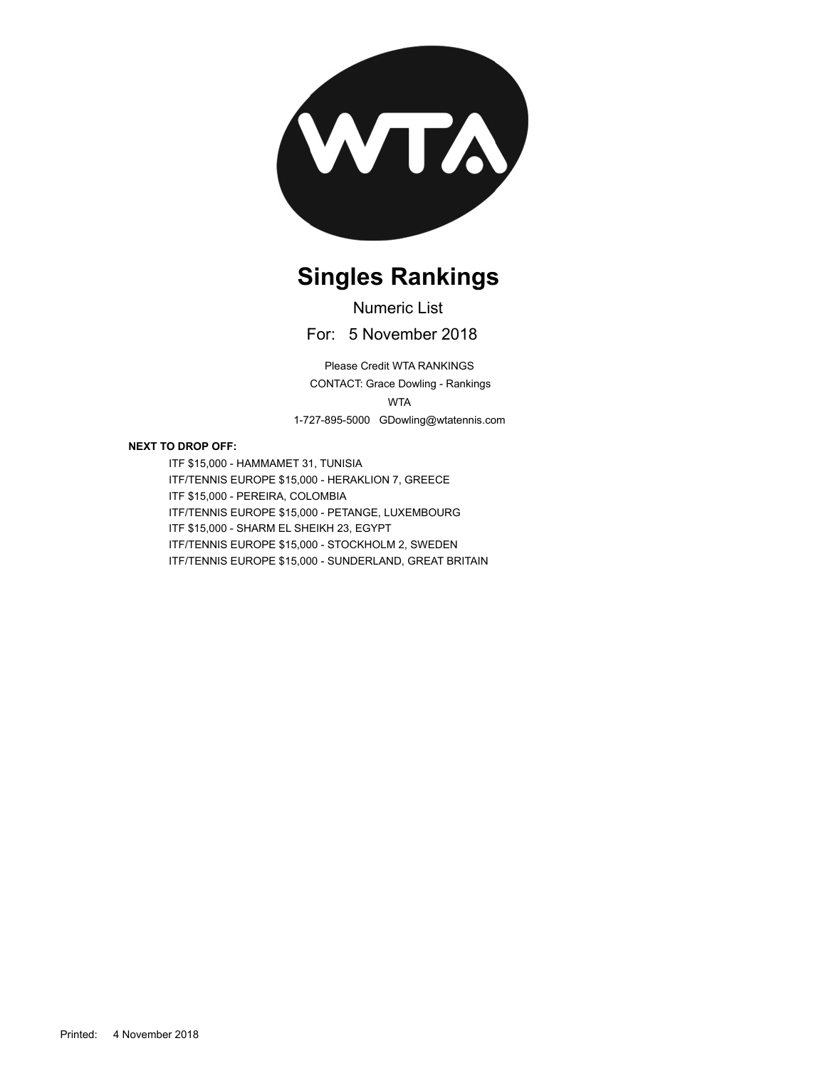

# **Singles Rankings**

For: 5 November 2018 Numeric List

1-727-895-5000 GDowling@wtatennis.com WTA CONTACT: Grace Dowling - Rankings Please Credit WTA RANKINGS

#### **NEXT TO DROP OFF:**

ITF \$15,000 - HAMMAMET 31, TUNISIA ITF/TENNIS EUROPE \$15,000 - HERAKLION 7, GREECE ITF \$15,000 - PEREIRA, COLOMBIA ITF/TENNIS EUROPE \$15,000 - PETANGE, LUXEMBOURG ITF \$15,000 - SHARM EL SHEIKH 23, EGYPT ITF/TENNIS EUROPE \$15,000 - STOCKHOLM 2, SWEDEN ITF/TENNIS EUROPE \$15,000 - SUNDERLAND, GREAT BRITAIN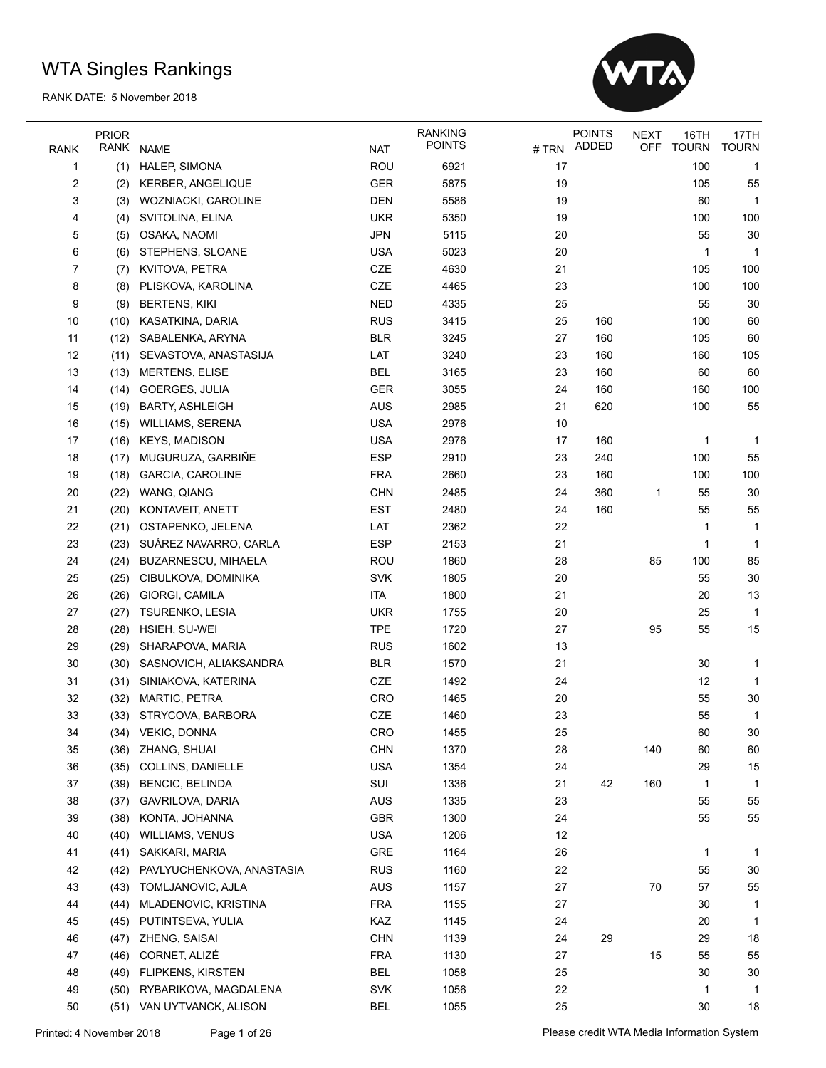

|                     | <b>PRIOR</b> |                                                 |                   | <b>RANKING</b><br><b>POINTS</b> |          | <b>POINTS</b><br>ADDED | <b>NEXT</b><br><b>OFF</b> | 16TH<br><b>TOURN</b> | 17TH<br><b>TOURN</b> |
|---------------------|--------------|-------------------------------------------------|-------------------|---------------------------------|----------|------------------------|---------------------------|----------------------|----------------------|
| <b>RANK</b>         | RANK         | <b>NAME</b>                                     | <b>NAT</b>        |                                 | #TRN     |                        |                           |                      |                      |
| 1                   | (1)          | HALEP, SIMONA                                   | <b>ROU</b>        | 6921                            | 17       |                        |                           | 100                  | 1                    |
| $\overline{2}$      | (2)          | <b>KERBER, ANGELIQUE</b><br>WOZNIACKI, CAROLINE | <b>GER</b>        | 5875                            | 19       |                        |                           | 105                  | 55                   |
| 3                   | (3)          |                                                 | <b>DEN</b>        | 5586                            | 19       |                        |                           | 60                   | 1                    |
| 4                   | (4)          | SVITOLINA, ELINA                                | <b>UKR</b>        | 5350                            | 19       |                        |                           | 100                  | 100                  |
| 5                   | (5)          | OSAKA, NAOMI                                    | <b>JPN</b>        | 5115                            | 20       |                        |                           | 55                   | 30                   |
| 6<br>$\overline{7}$ | (6)          | STEPHENS, SLOANE                                | <b>USA</b><br>CZE | 5023<br>4630                    | 20<br>21 |                        |                           | 1<br>105             | $\mathbf 1$<br>100   |
| 8                   | (7)<br>(8)   | KVITOVA, PETRA                                  | CZE               | 4465                            | 23       |                        |                           | 100                  | 100                  |
|                     |              | PLISKOVA, KAROLINA                              | <b>NED</b>        | 4335                            | 25       |                        |                           | 55                   | 30                   |
| 9                   | (9)          | <b>BERTENS, KIKI</b>                            | <b>RUS</b>        | 3415                            | 25       | 160                    |                           | 100                  | 60                   |
| 10<br>11            | (10)         | KASATKINA, DARIA                                |                   | 3245                            | 27       | 160                    |                           | 105                  | 60                   |
| 12                  | (12)         | SABALENKA, ARYNA<br>SEVASTOVA, ANASTASIJA       | <b>BLR</b>        | 3240                            | 23       | 160                    |                           | 160                  | 105                  |
|                     | (11)         |                                                 | LAT               |                                 |          |                        |                           |                      |                      |
| 13                  | (13)         | <b>MERTENS, ELISE</b>                           | <b>BEL</b>        | 3165                            | 23       | 160                    |                           | 60                   | 60                   |
| 14                  | (14)         | <b>GOERGES, JULIA</b>                           | GER               | 3055                            | 24       | 160                    |                           | 160                  | 100                  |
| 15                  | (19)         | <b>BARTY, ASHLEIGH</b>                          | <b>AUS</b>        | 2985                            | 21       | 620                    |                           | 100                  | 55                   |
| 16                  | (15)         | <b>WILLIAMS, SERENA</b>                         | <b>USA</b>        | 2976                            | 10       |                        |                           |                      |                      |
| 17                  | (16)         | <b>KEYS, MADISON</b>                            | <b>USA</b>        | 2976                            | 17       | 160                    |                           | 1                    | 1                    |
| 18                  | (17)         | MUGURUZA, GARBIÑE                               | <b>ESP</b>        | 2910                            | 23       | 240                    |                           | 100                  | 55                   |
| 19                  | (18)         | <b>GARCIA, CAROLINE</b>                         | <b>FRA</b>        | 2660                            | 23       | 160                    |                           | 100                  | 100                  |
| 20                  | (22)         | WANG, QIANG                                     | <b>CHN</b>        | 2485                            | 24       | 360                    | 1                         | 55                   | 30                   |
| 21                  | (20)         | KONTAVEIT, ANETT                                | <b>EST</b>        | 2480                            | 24       | 160                    |                           | 55                   | 55                   |
| 22                  | (21)         | OSTAPENKO, JELENA                               | LAT               | 2362                            | 22       |                        |                           | 1                    | 1                    |
| 23                  | (23)         | SUÁREZ NAVARRO, CARLA                           | <b>ESP</b>        | 2153                            | 21       |                        |                           | 1                    | 1                    |
| 24                  | (24)         | <b>BUZARNESCU, MIHAELA</b>                      | ROU               | 1860                            | 28       |                        | 85                        | 100                  | 85                   |
| 25                  | (25)         | CIBULKOVA, DOMINIKA                             | <b>SVK</b>        | 1805                            | 20       |                        |                           | 55                   | 30                   |
| 26                  | (26)         | GIORGI, CAMILA                                  | <b>ITA</b>        | 1800                            | 21       |                        |                           | 20                   | 13                   |
| 27                  | (27)         | <b>TSURENKO, LESIA</b>                          | <b>UKR</b>        | 1755                            | 20       |                        |                           | 25                   | 1                    |
| 28                  | (28)         | HSIEH, SU-WEI                                   | <b>TPE</b>        | 1720                            | 27       |                        | 95                        | 55                   | 15                   |
| 29                  | (29)         | SHARAPOVA, MARIA                                | <b>RUS</b>        | 1602                            | 13       |                        |                           |                      |                      |
| 30                  | (30)         | SASNOVICH, ALIAKSANDRA                          | <b>BLR</b>        | 1570                            | 21       |                        |                           | 30                   | 1                    |
| 31                  | (31)         | SINIAKOVA, KATERINA                             | CZE               | 1492                            | 24       |                        |                           | 12                   | $\mathbf 1$          |
| 32                  | (32)         | MARTIC, PETRA                                   | CRO               | 1465                            | 20       |                        |                           | 55                   | 30                   |
| 33                  | (33)         | STRYCOVA, BARBORA                               | CZE               | 1460                            | 23       |                        |                           | 55                   | 1                    |
| 34                  | (34)         | VEKIC, DONNA                                    | CRO               | 1455                            | 25       |                        |                           | 60                   | 30                   |
| 35                  | (36)         | ZHANG, SHUAI                                    | CHN               | 1370                            | 28       |                        | 140                       | 60                   | 60                   |
| 36                  | (35)         | COLLINS, DANIELLE                               | <b>USA</b>        | 1354                            | 24       |                        |                           | 29                   | 15                   |
| 37                  | (39)         | <b>BENCIC, BELINDA</b>                          | SUI               | 1336                            | 21       | 42                     | 160                       | 1                    | 1                    |
| 38                  | (37)         | GAVRILOVA, DARIA                                | <b>AUS</b>        | 1335                            | 23       |                        |                           | 55                   | 55                   |
| 39                  | (38)         | KONTA, JOHANNA                                  | GBR               | 1300                            | 24       |                        |                           | 55                   | 55                   |
| 40                  | (40)         | WILLIAMS, VENUS                                 | <b>USA</b>        | 1206                            | 12       |                        |                           |                      |                      |
| 41                  | (41)         | SAKKARI, MARIA                                  | GRE               | 1164                            | 26       |                        |                           | $\mathbf{1}$         | 1                    |
| 42                  | (42)         | PAVLYUCHENKOVA, ANASTASIA                       | <b>RUS</b>        | 1160                            | 22       |                        |                           | 55                   | 30                   |
| 43                  | (43)         | TOMLJANOVIC, AJLA                               | AUS               | 1157                            | 27       |                        | $70\,$                    | 57                   | 55                   |
| 44                  | (44)         | MLADENOVIC, KRISTINA                            | <b>FRA</b>        | 1155                            | 27       |                        |                           | 30                   | 1                    |
| 45                  | (45)         | PUTINTSEVA, YULIA                               | KAZ               | 1145                            | 24       |                        |                           | 20                   | 1                    |
| 46                  | (47)         | ZHENG, SAISAI                                   | <b>CHN</b>        | 1139                            | 24       | 29                     |                           | 29                   | 18                   |
| 47                  | (46)         | CORNET, ALIZÉ                                   | <b>FRA</b>        | 1130                            | 27       |                        | 15                        | 55                   | 55                   |
| 48                  | (49)         | <b>FLIPKENS, KIRSTEN</b>                        | <b>BEL</b>        | 1058                            | 25       |                        |                           | 30                   | 30                   |
| 49                  | (50)         | RYBARIKOVA, MAGDALENA                           | SVK               | 1056                            | 22       |                        |                           | 1                    | 1                    |
| 50                  |              | (51) VAN UYTVANCK, ALISON                       | <b>BEL</b>        | 1055                            | 25       |                        |                           | 30                   | 18                   |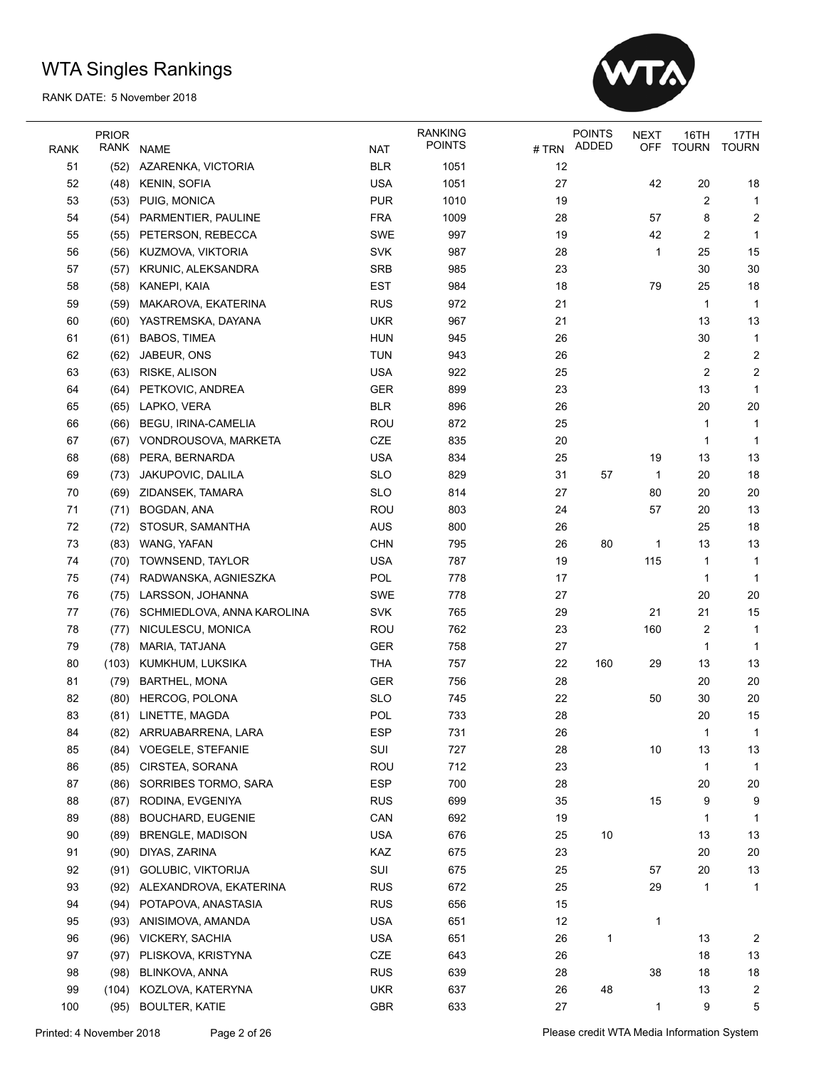

|             | <b>PRIOR</b> |                            |            | <b>RANKING</b> |    | <b>POINTS</b> | <b>NEXT</b> | 16TH           | 17TH                    |
|-------------|--------------|----------------------------|------------|----------------|----|---------------|-------------|----------------|-------------------------|
| <b>RANK</b> | RANK         | <b>NAME</b>                | <b>NAT</b> | <b>POINTS</b>  |    | #TRN ADDED    | OFF         | <b>TOURN</b>   | <b>TOURN</b>            |
| 51          | (52)         | AZARENKA, VICTORIA         | <b>BLR</b> | 1051           | 12 |               |             |                |                         |
| 52          | (48)         | <b>KENIN, SOFIA</b>        | <b>USA</b> | 1051           | 27 |               | 42          | 20             | 18                      |
| 53          | (53)         | PUIG, MONICA               | <b>PUR</b> | 1010           | 19 |               |             | $\overline{c}$ | 1                       |
| 54          | (54)         | PARMENTIER, PAULINE        | <b>FRA</b> | 1009           | 28 |               | 57          | 8              | 2                       |
| 55          | (55)         | PETERSON, REBECCA          | SWE        | 997            | 19 |               | 42          | $\overline{c}$ | 1                       |
| 56          | (56)         | KUZMOVA, VIKTORIA          | <b>SVK</b> | 987            | 28 |               | 1           | 25             | 15                      |
| 57          | (57)         | KRUNIC, ALEKSANDRA         | <b>SRB</b> | 985            | 23 |               |             | 30             | 30                      |
| 58          | (58)         | KANEPI, KAIA               | <b>EST</b> | 984            | 18 |               | 79          | 25             | 18                      |
| 59          | (59)         | MAKAROVA, EKATERINA        | <b>RUS</b> | 972            | 21 |               |             | $\mathbf{1}$   | $\mathbf{1}$            |
| 60          | (60)         | YASTREMSKA, DAYANA         | <b>UKR</b> | 967            | 21 |               |             | 13             | 13                      |
| 61          | (61)         | <b>BABOS, TIMEA</b>        | <b>HUN</b> | 945            | 26 |               |             | 30             | 1                       |
| 62          | (62)         | JABEUR, ONS                | <b>TUN</b> | 943            | 26 |               |             | $\overline{c}$ | $\overline{\mathbf{c}}$ |
| 63          | (63)         | RISKE, ALISON              | <b>USA</b> | 922            | 25 |               |             | $\overline{2}$ | 2                       |
| 64          | (64)         | PETKOVIC, ANDREA           | <b>GER</b> | 899            | 23 |               |             | 13             | 1                       |
| 65          | (65)         | LAPKO, VERA                | <b>BLR</b> | 896            | 26 |               |             | 20             | 20                      |
| 66          | (66)         | <b>BEGU, IRINA-CAMELIA</b> | ROU        | 872            | 25 |               |             | 1              | 1                       |
| 67          | (67)         | VONDROUSOVA, MARKETA       | CZE        | 835            | 20 |               |             | 1              | 1                       |
| 68          | (68)         | PERA, BERNARDA             | <b>USA</b> | 834            | 25 |               | 19          | 13             | 13                      |
| 69          | (73)         | JAKUPOVIC, DALILA          | <b>SLO</b> | 829            | 31 | 57            | $\mathbf 1$ | 20             | 18                      |
| 70          | (69)         | ZIDANSEK, TAMARA           | <b>SLO</b> | 814            | 27 |               | 80          | 20             | 20                      |
| 71          | (71)         | BOGDAN, ANA                | <b>ROU</b> | 803            | 24 |               | 57          | 20             | 13                      |
| 72          | (72)         | STOSUR, SAMANTHA           | <b>AUS</b> | 800            | 26 |               |             | 25             | 18                      |
| 73          | (83)         | WANG, YAFAN                | <b>CHN</b> | 795            | 26 | 80            | 1           | 13             | 13                      |
| 74          | (70)         | TOWNSEND, TAYLOR           | <b>USA</b> | 787            | 19 |               | 115         | 1              | 1                       |
| 75          | (74)         | RADWANSKA, AGNIESZKA       | <b>POL</b> | 778            | 17 |               |             | 1              | $\mathbf{1}$            |
| 76          | (75)         | LARSSON, JOHANNA           | SWE        | 778            | 27 |               |             | 20             | 20                      |
| 77          | (76)         | SCHMIEDLOVA, ANNA KAROLINA | <b>SVK</b> | 765            | 29 |               | 21          | 21             | 15                      |
| 78          | (77)         | NICULESCU, MONICA          | <b>ROU</b> | 762            | 23 |               | 160         | $\overline{c}$ | 1                       |
| 79          | (78)         | MARIA, TATJANA             | <b>GER</b> | 758            | 27 |               |             | 1              | 1                       |
| 80          | (103)        | KUMKHUM, LUKSIKA           | <b>THA</b> | 757            | 22 | 160           | 29          | 13             | 13                      |
| 81          | (79)         | <b>BARTHEL, MONA</b>       | <b>GER</b> | 756            | 28 |               |             | 20             | 20                      |
| 82          | (80)         | <b>HERCOG, POLONA</b>      | <b>SLO</b> | 745            | 22 |               | 50          | 30             | 20                      |
| 83          |              | (81) LINETTE, MAGDA        | POL        | 733            | 28 |               |             | 20             | 15                      |
| 84          | (82)         | ARRUABARRENA, LARA         | <b>ESP</b> | 731            | 26 |               |             | 1              | $\mathbf{1}$            |
| 85          |              | (84) VOEGELE, STEFANIE     | SUI        | 727            | 28 |               | 10          | 13             | 13                      |
| 86          | (85)         | CIRSTEA, SORANA            | ROU        | 712            | 23 |               |             | 1              | 1                       |
| 87          | (86)         | SORRIBES TORMO, SARA       | ESP        | 700            | 28 |               |             | 20             | 20                      |
| 88          | (87)         | RODINA, EVGENIYA           | <b>RUS</b> | 699            | 35 |               | 15          | 9              | 9                       |
| 89          | (88)         | <b>BOUCHARD, EUGENIE</b>   | CAN        | 692            | 19 |               |             | 1              | 1                       |
| 90          | (89)         | <b>BRENGLE, MADISON</b>    | <b>USA</b> | 676            | 25 | 10            |             | 13             | 13                      |
| 91          | (90)         | DIYAS, ZARINA              | KAZ        | 675            | 23 |               |             | 20             | 20                      |
| 92          | (91)         | GOLUBIC, VIKTORIJA         | SUI        | 675            | 25 |               | 57          | 20             | 13                      |
| 93          | (92)         | ALEXANDROVA, EKATERINA     | <b>RUS</b> | 672            | 25 |               | 29          | $\mathbf{1}$   | 1                       |
| 94          | (94)         | POTAPOVA, ANASTASIA        | <b>RUS</b> | 656            | 15 |               |             |                |                         |
| 95          | (93)         | ANISIMOVA, AMANDA          | <b>USA</b> | 651            | 12 |               | 1           |                |                         |
| 96          | (96)         | <b>VICKERY, SACHIA</b>     | <b>USA</b> | 651            | 26 | $\mathbf{1}$  |             | 13             | 2                       |
| 97          | (97)         | PLISKOVA, KRISTYNA         | CZE        | 643            | 26 |               |             | 18             | 13                      |
| 98          | (98)         | BLINKOVA, ANNA             | <b>RUS</b> | 639            | 28 |               | 38          | 18             | 18                      |
| 99          | (104)        | KOZLOVA, KATERYNA          | <b>UKR</b> | 637            | 26 | 48            |             | 13             | 2                       |
| 100         | (95)         | <b>BOULTER, KATIE</b>      | <b>GBR</b> | 633            | 27 |               | 1           | 9              | 5                       |
|             |              |                            |            |                |    |               |             |                |                         |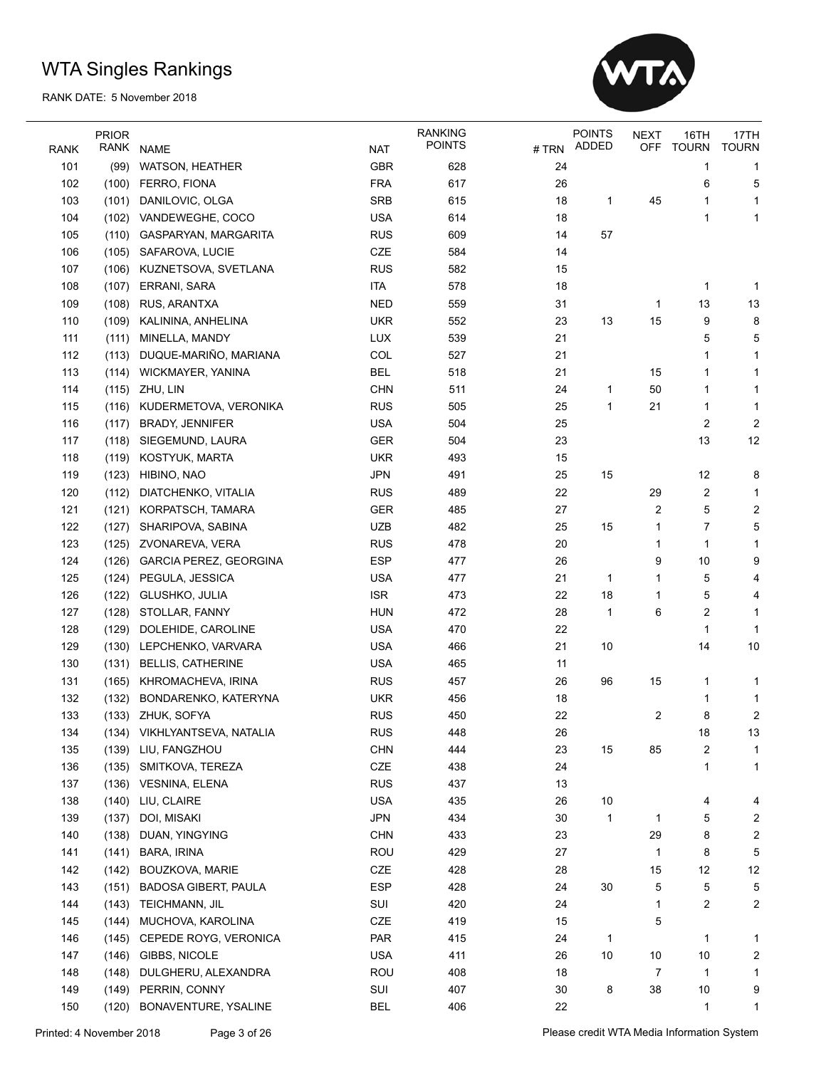

| NAME<br><b>NAT</b><br>101<br>GBR<br>628<br>(99)<br>WATSON, HEATHER<br>24<br>1<br>1<br><b>FRA</b><br>26<br>102<br>617<br>6<br>5<br>(100)<br>FERRO, FIONA<br><b>SRB</b><br>103<br>DANILOVIC, OLGA<br>615<br>18<br>45<br>1<br>(101)<br>1<br>1<br><b>USA</b><br>104<br>VANDEWEGHE, COCO<br>614<br>18<br>(102)<br>1<br>1<br><b>RUS</b><br>57<br>105<br>609<br>14<br>(110)<br>GASPARYAN, MARGARITA<br>106<br>CZE<br>584<br>14<br>(105) SAFAROVA, LUCIE<br>107<br>(106) KUZNETSOVA, SVETLANA<br><b>RUS</b><br>582<br>15<br><b>ITA</b><br>18<br>108<br>(107)<br>ERRANI, SARA<br>578<br>1<br>-1<br><b>NED</b><br>109<br>RUS, ARANTXA<br>559<br>31<br>13<br>13<br>(108)<br>1<br><b>UKR</b><br>15<br>110<br>KALININA, ANHELINA<br>552<br>23<br>13<br>9<br>8<br>(109)<br>LUX<br>21<br>111<br>MINELLA, MANDY<br>539<br>5<br>5<br>(111)<br>DUQUE-MARIÑO, MARIANA<br>COL<br>112<br>527<br>21<br>(113)<br>1<br>1<br><b>BEL</b><br>21<br>113<br>WICKMAYER, YANINA<br>518<br>15<br>(114)<br>1<br>1<br><b>CHN</b><br>114<br>(115) ZHU, LIN<br>511<br>24<br>50<br>1<br>1<br>1<br>115<br>(116) KUDERMETOVA, VERONIKA<br><b>RUS</b><br>505<br>25<br>1<br>21<br>1<br>1<br><b>USA</b><br>2<br>$\overline{c}$<br>116<br><b>BRADY, JENNIFER</b><br>504<br>25<br>(117)<br><b>GER</b><br>13<br>12<br>117<br>SIEGEMUND, LAURA<br>504<br>23<br>(118)<br><b>UKR</b><br>118<br>KOSTYUK, MARTA<br>493<br>15<br>(119)<br><b>JPN</b><br>119<br>HIBINO, NAO<br>491<br>25<br>15<br>12<br>8<br>(123)<br>22<br>120<br>DIATCHENKO, VITALIA<br><b>RUS</b><br>489<br>29<br>2<br>(112)<br>1<br>5<br>2<br>121<br><b>GER</b><br>485<br>27<br>2<br>(121)<br>KORPATSCH, TAMARA<br><b>UZB</b><br>5<br>122<br>482<br>25<br>15<br>7<br>(127)<br>SHARIPOVA, SABINA<br>1<br>123<br><b>RUS</b><br>478<br>20<br>(125)<br>ZVONAREVA, VERA<br>1<br>1<br>1<br><b>ESP</b><br>124<br><b>GARCIA PEREZ, GEORGINA</b><br>26<br>9<br>10<br>9<br>(126)<br>477<br>125<br>PEGULA, JESSICA<br><b>USA</b><br>477<br>21<br>5<br>(124)<br>1<br>1<br>4<br><b>ISR</b><br>22<br>18<br>126<br>GLUSHKO, JULIA<br>473<br>5<br>(122)<br>1<br>4<br>127<br>STOLLAR, FANNY<br><b>HUN</b><br>472<br>28<br>6<br>2<br>(128)<br>1<br>1<br><b>USA</b><br>470<br>22<br>128<br>DOLEHIDE, CAROLINE<br>1<br>(129)<br>1<br><b>USA</b><br>129<br>LEPCHENKO, VARVARA<br>466<br>21<br>10<br>14<br>10<br>(130)<br><b>USA</b><br>130<br><b>BELLIS, CATHERINE</b><br>465<br>11<br>(131)<br>131<br><b>RUS</b><br>457<br>26<br>96<br>15<br>(165)<br>KHROMACHEVA, IRINA<br>1<br>1<br>132<br><b>UKR</b><br>456<br>18<br>(132)<br>BONDARENKO, KATERYNA<br>1<br>1<br>8<br>$\overline{c}$<br>133<br>(133) ZHUK, SOFYA<br><b>RUS</b><br>22<br>2<br>450<br><b>RUS</b><br>134<br>(134) VIKHLYANTSEVA, NATALIA<br>448<br>13<br>26<br>18<br><b>CHN</b><br>23<br>2<br>135<br>(139) LIU, FANGZHOU<br>444<br>15<br>85<br>1<br>CZE<br>438<br>24<br>136<br>SMITKOVA, TEREZA<br>1<br>1<br>(135)<br><b>RUS</b><br>13<br>137<br>(136) VESNINA, ELENA<br>437<br><b>USA</b><br>26<br>10<br>138<br>(140)<br>LIU, CLAIRE<br>435<br>4<br>4<br><b>JPN</b><br>30<br>5<br>139<br>(137)<br>DOI, MISAKI<br>434<br>2<br>1<br>1<br><b>CHN</b><br>23<br>8<br>2<br>140<br>(138)<br>DUAN, YINGYING<br>433<br>29<br>ROU<br>8<br>5<br>141<br>(141)<br>BARA, IRINA<br>429<br>27<br>1<br>CZE<br>428<br>28<br>15<br>12<br>12<br>142<br>(142)<br>BOUZKOVA, MARIE<br><b>ESP</b><br>30<br>5<br>143<br><b>BADOSA GIBERT, PAULA</b><br>428<br>24<br>5<br>5<br>(151)<br>144<br>SUI<br>420<br>24<br>2<br>$\overline{c}$<br>(143)<br>TEICHMANN, JIL<br>1<br>CZE<br>419<br>145<br>MUCHOVA, KAROLINA<br>15<br>5<br>(144)<br>PAR<br>146<br>CEPEDE ROYG, VERONICA<br>415<br>24<br>1<br>(145)<br>1<br>1<br><b>USA</b><br>411<br>10<br>$\overline{\mathbf{c}}$<br>147<br>(146) GIBBS, NICOLE<br>26<br>10<br>10<br>ROU<br>148<br>DULGHERU, ALEXANDRA<br>408<br>18<br>7<br>1<br>(148)<br>1<br>SUI<br>8<br>38<br>149<br>(149)<br>PERRIN, CONNY<br>407<br>30<br>10<br>9<br>150<br>(120)<br>BONAVENTURE, YSALINE<br><b>BEL</b><br>406<br>22<br>1<br>1 |             | <b>PRIOR</b> |  | <b>RANKING</b> |      | <b>POINTS</b> | <b>NEXT</b> | 16TH         | 17TH         |
|--------------------------------------------------------------------------------------------------------------------------------------------------------------------------------------------------------------------------------------------------------------------------------------------------------------------------------------------------------------------------------------------------------------------------------------------------------------------------------------------------------------------------------------------------------------------------------------------------------------------------------------------------------------------------------------------------------------------------------------------------------------------------------------------------------------------------------------------------------------------------------------------------------------------------------------------------------------------------------------------------------------------------------------------------------------------------------------------------------------------------------------------------------------------------------------------------------------------------------------------------------------------------------------------------------------------------------------------------------------------------------------------------------------------------------------------------------------------------------------------------------------------------------------------------------------------------------------------------------------------------------------------------------------------------------------------------------------------------------------------------------------------------------------------------------------------------------------------------------------------------------------------------------------------------------------------------------------------------------------------------------------------------------------------------------------------------------------------------------------------------------------------------------------------------------------------------------------------------------------------------------------------------------------------------------------------------------------------------------------------------------------------------------------------------------------------------------------------------------------------------------------------------------------------------------------------------------------------------------------------------------------------------------------------------------------------------------------------------------------------------------------------------------------------------------------------------------------------------------------------------------------------------------------------------------------------------------------------------------------------------------------------------------------------------------------------------------------------------------------------------------------------------------------------------------------------------------------------------------------------------------------------------------------------------------------------------------------------------------------------------------------------------------------------------------------------------------------------------------------------------------------------------------------------------------------------------------------------------------------------------------------------------------------------------------------------------------------------------------------------------------------------------------------------------------------------------------------------------------------------------------------------------------------------------------------------------------------------------------------------|-------------|--------------|--|----------------|------|---------------|-------------|--------------|--------------|
|                                                                                                                                                                                                                                                                                                                                                                                                                                                                                                                                                                                                                                                                                                                                                                                                                                                                                                                                                                                                                                                                                                                                                                                                                                                                                                                                                                                                                                                                                                                                                                                                                                                                                                                                                                                                                                                                                                                                                                                                                                                                                                                                                                                                                                                                                                                                                                                                                                                                                                                                                                                                                                                                                                                                                                                                                                                                                                                                                                                                                                                                                                                                                                                                                                                                                                                                                                                                                                                                                                                                                                                                                                                                                                                                                                                                                                                                                                                                                                                            | <b>RANK</b> | RANK         |  | <b>POINTS</b>  | #TRN | ADDED         | <b>OFF</b>  | <b>TOURN</b> | <b>TOURN</b> |
|                                                                                                                                                                                                                                                                                                                                                                                                                                                                                                                                                                                                                                                                                                                                                                                                                                                                                                                                                                                                                                                                                                                                                                                                                                                                                                                                                                                                                                                                                                                                                                                                                                                                                                                                                                                                                                                                                                                                                                                                                                                                                                                                                                                                                                                                                                                                                                                                                                                                                                                                                                                                                                                                                                                                                                                                                                                                                                                                                                                                                                                                                                                                                                                                                                                                                                                                                                                                                                                                                                                                                                                                                                                                                                                                                                                                                                                                                                                                                                                            |             |              |  |                |      |               |             |              |              |
|                                                                                                                                                                                                                                                                                                                                                                                                                                                                                                                                                                                                                                                                                                                                                                                                                                                                                                                                                                                                                                                                                                                                                                                                                                                                                                                                                                                                                                                                                                                                                                                                                                                                                                                                                                                                                                                                                                                                                                                                                                                                                                                                                                                                                                                                                                                                                                                                                                                                                                                                                                                                                                                                                                                                                                                                                                                                                                                                                                                                                                                                                                                                                                                                                                                                                                                                                                                                                                                                                                                                                                                                                                                                                                                                                                                                                                                                                                                                                                                            |             |              |  |                |      |               |             |              |              |
|                                                                                                                                                                                                                                                                                                                                                                                                                                                                                                                                                                                                                                                                                                                                                                                                                                                                                                                                                                                                                                                                                                                                                                                                                                                                                                                                                                                                                                                                                                                                                                                                                                                                                                                                                                                                                                                                                                                                                                                                                                                                                                                                                                                                                                                                                                                                                                                                                                                                                                                                                                                                                                                                                                                                                                                                                                                                                                                                                                                                                                                                                                                                                                                                                                                                                                                                                                                                                                                                                                                                                                                                                                                                                                                                                                                                                                                                                                                                                                                            |             |              |  |                |      |               |             |              |              |
|                                                                                                                                                                                                                                                                                                                                                                                                                                                                                                                                                                                                                                                                                                                                                                                                                                                                                                                                                                                                                                                                                                                                                                                                                                                                                                                                                                                                                                                                                                                                                                                                                                                                                                                                                                                                                                                                                                                                                                                                                                                                                                                                                                                                                                                                                                                                                                                                                                                                                                                                                                                                                                                                                                                                                                                                                                                                                                                                                                                                                                                                                                                                                                                                                                                                                                                                                                                                                                                                                                                                                                                                                                                                                                                                                                                                                                                                                                                                                                                            |             |              |  |                |      |               |             |              |              |
|                                                                                                                                                                                                                                                                                                                                                                                                                                                                                                                                                                                                                                                                                                                                                                                                                                                                                                                                                                                                                                                                                                                                                                                                                                                                                                                                                                                                                                                                                                                                                                                                                                                                                                                                                                                                                                                                                                                                                                                                                                                                                                                                                                                                                                                                                                                                                                                                                                                                                                                                                                                                                                                                                                                                                                                                                                                                                                                                                                                                                                                                                                                                                                                                                                                                                                                                                                                                                                                                                                                                                                                                                                                                                                                                                                                                                                                                                                                                                                                            |             |              |  |                |      |               |             |              |              |
|                                                                                                                                                                                                                                                                                                                                                                                                                                                                                                                                                                                                                                                                                                                                                                                                                                                                                                                                                                                                                                                                                                                                                                                                                                                                                                                                                                                                                                                                                                                                                                                                                                                                                                                                                                                                                                                                                                                                                                                                                                                                                                                                                                                                                                                                                                                                                                                                                                                                                                                                                                                                                                                                                                                                                                                                                                                                                                                                                                                                                                                                                                                                                                                                                                                                                                                                                                                                                                                                                                                                                                                                                                                                                                                                                                                                                                                                                                                                                                                            |             |              |  |                |      |               |             |              |              |
|                                                                                                                                                                                                                                                                                                                                                                                                                                                                                                                                                                                                                                                                                                                                                                                                                                                                                                                                                                                                                                                                                                                                                                                                                                                                                                                                                                                                                                                                                                                                                                                                                                                                                                                                                                                                                                                                                                                                                                                                                                                                                                                                                                                                                                                                                                                                                                                                                                                                                                                                                                                                                                                                                                                                                                                                                                                                                                                                                                                                                                                                                                                                                                                                                                                                                                                                                                                                                                                                                                                                                                                                                                                                                                                                                                                                                                                                                                                                                                                            |             |              |  |                |      |               |             |              |              |
|                                                                                                                                                                                                                                                                                                                                                                                                                                                                                                                                                                                                                                                                                                                                                                                                                                                                                                                                                                                                                                                                                                                                                                                                                                                                                                                                                                                                                                                                                                                                                                                                                                                                                                                                                                                                                                                                                                                                                                                                                                                                                                                                                                                                                                                                                                                                                                                                                                                                                                                                                                                                                                                                                                                                                                                                                                                                                                                                                                                                                                                                                                                                                                                                                                                                                                                                                                                                                                                                                                                                                                                                                                                                                                                                                                                                                                                                                                                                                                                            |             |              |  |                |      |               |             |              |              |
|                                                                                                                                                                                                                                                                                                                                                                                                                                                                                                                                                                                                                                                                                                                                                                                                                                                                                                                                                                                                                                                                                                                                                                                                                                                                                                                                                                                                                                                                                                                                                                                                                                                                                                                                                                                                                                                                                                                                                                                                                                                                                                                                                                                                                                                                                                                                                                                                                                                                                                                                                                                                                                                                                                                                                                                                                                                                                                                                                                                                                                                                                                                                                                                                                                                                                                                                                                                                                                                                                                                                                                                                                                                                                                                                                                                                                                                                                                                                                                                            |             |              |  |                |      |               |             |              |              |
|                                                                                                                                                                                                                                                                                                                                                                                                                                                                                                                                                                                                                                                                                                                                                                                                                                                                                                                                                                                                                                                                                                                                                                                                                                                                                                                                                                                                                                                                                                                                                                                                                                                                                                                                                                                                                                                                                                                                                                                                                                                                                                                                                                                                                                                                                                                                                                                                                                                                                                                                                                                                                                                                                                                                                                                                                                                                                                                                                                                                                                                                                                                                                                                                                                                                                                                                                                                                                                                                                                                                                                                                                                                                                                                                                                                                                                                                                                                                                                                            |             |              |  |                |      |               |             |              |              |
|                                                                                                                                                                                                                                                                                                                                                                                                                                                                                                                                                                                                                                                                                                                                                                                                                                                                                                                                                                                                                                                                                                                                                                                                                                                                                                                                                                                                                                                                                                                                                                                                                                                                                                                                                                                                                                                                                                                                                                                                                                                                                                                                                                                                                                                                                                                                                                                                                                                                                                                                                                                                                                                                                                                                                                                                                                                                                                                                                                                                                                                                                                                                                                                                                                                                                                                                                                                                                                                                                                                                                                                                                                                                                                                                                                                                                                                                                                                                                                                            |             |              |  |                |      |               |             |              |              |
|                                                                                                                                                                                                                                                                                                                                                                                                                                                                                                                                                                                                                                                                                                                                                                                                                                                                                                                                                                                                                                                                                                                                                                                                                                                                                                                                                                                                                                                                                                                                                                                                                                                                                                                                                                                                                                                                                                                                                                                                                                                                                                                                                                                                                                                                                                                                                                                                                                                                                                                                                                                                                                                                                                                                                                                                                                                                                                                                                                                                                                                                                                                                                                                                                                                                                                                                                                                                                                                                                                                                                                                                                                                                                                                                                                                                                                                                                                                                                                                            |             |              |  |                |      |               |             |              |              |
|                                                                                                                                                                                                                                                                                                                                                                                                                                                                                                                                                                                                                                                                                                                                                                                                                                                                                                                                                                                                                                                                                                                                                                                                                                                                                                                                                                                                                                                                                                                                                                                                                                                                                                                                                                                                                                                                                                                                                                                                                                                                                                                                                                                                                                                                                                                                                                                                                                                                                                                                                                                                                                                                                                                                                                                                                                                                                                                                                                                                                                                                                                                                                                                                                                                                                                                                                                                                                                                                                                                                                                                                                                                                                                                                                                                                                                                                                                                                                                                            |             |              |  |                |      |               |             |              |              |
|                                                                                                                                                                                                                                                                                                                                                                                                                                                                                                                                                                                                                                                                                                                                                                                                                                                                                                                                                                                                                                                                                                                                                                                                                                                                                                                                                                                                                                                                                                                                                                                                                                                                                                                                                                                                                                                                                                                                                                                                                                                                                                                                                                                                                                                                                                                                                                                                                                                                                                                                                                                                                                                                                                                                                                                                                                                                                                                                                                                                                                                                                                                                                                                                                                                                                                                                                                                                                                                                                                                                                                                                                                                                                                                                                                                                                                                                                                                                                                                            |             |              |  |                |      |               |             |              |              |
|                                                                                                                                                                                                                                                                                                                                                                                                                                                                                                                                                                                                                                                                                                                                                                                                                                                                                                                                                                                                                                                                                                                                                                                                                                                                                                                                                                                                                                                                                                                                                                                                                                                                                                                                                                                                                                                                                                                                                                                                                                                                                                                                                                                                                                                                                                                                                                                                                                                                                                                                                                                                                                                                                                                                                                                                                                                                                                                                                                                                                                                                                                                                                                                                                                                                                                                                                                                                                                                                                                                                                                                                                                                                                                                                                                                                                                                                                                                                                                                            |             |              |  |                |      |               |             |              |              |
|                                                                                                                                                                                                                                                                                                                                                                                                                                                                                                                                                                                                                                                                                                                                                                                                                                                                                                                                                                                                                                                                                                                                                                                                                                                                                                                                                                                                                                                                                                                                                                                                                                                                                                                                                                                                                                                                                                                                                                                                                                                                                                                                                                                                                                                                                                                                                                                                                                                                                                                                                                                                                                                                                                                                                                                                                                                                                                                                                                                                                                                                                                                                                                                                                                                                                                                                                                                                                                                                                                                                                                                                                                                                                                                                                                                                                                                                                                                                                                                            |             |              |  |                |      |               |             |              |              |
|                                                                                                                                                                                                                                                                                                                                                                                                                                                                                                                                                                                                                                                                                                                                                                                                                                                                                                                                                                                                                                                                                                                                                                                                                                                                                                                                                                                                                                                                                                                                                                                                                                                                                                                                                                                                                                                                                                                                                                                                                                                                                                                                                                                                                                                                                                                                                                                                                                                                                                                                                                                                                                                                                                                                                                                                                                                                                                                                                                                                                                                                                                                                                                                                                                                                                                                                                                                                                                                                                                                                                                                                                                                                                                                                                                                                                                                                                                                                                                                            |             |              |  |                |      |               |             |              |              |
|                                                                                                                                                                                                                                                                                                                                                                                                                                                                                                                                                                                                                                                                                                                                                                                                                                                                                                                                                                                                                                                                                                                                                                                                                                                                                                                                                                                                                                                                                                                                                                                                                                                                                                                                                                                                                                                                                                                                                                                                                                                                                                                                                                                                                                                                                                                                                                                                                                                                                                                                                                                                                                                                                                                                                                                                                                                                                                                                                                                                                                                                                                                                                                                                                                                                                                                                                                                                                                                                                                                                                                                                                                                                                                                                                                                                                                                                                                                                                                                            |             |              |  |                |      |               |             |              |              |
|                                                                                                                                                                                                                                                                                                                                                                                                                                                                                                                                                                                                                                                                                                                                                                                                                                                                                                                                                                                                                                                                                                                                                                                                                                                                                                                                                                                                                                                                                                                                                                                                                                                                                                                                                                                                                                                                                                                                                                                                                                                                                                                                                                                                                                                                                                                                                                                                                                                                                                                                                                                                                                                                                                                                                                                                                                                                                                                                                                                                                                                                                                                                                                                                                                                                                                                                                                                                                                                                                                                                                                                                                                                                                                                                                                                                                                                                                                                                                                                            |             |              |  |                |      |               |             |              |              |
|                                                                                                                                                                                                                                                                                                                                                                                                                                                                                                                                                                                                                                                                                                                                                                                                                                                                                                                                                                                                                                                                                                                                                                                                                                                                                                                                                                                                                                                                                                                                                                                                                                                                                                                                                                                                                                                                                                                                                                                                                                                                                                                                                                                                                                                                                                                                                                                                                                                                                                                                                                                                                                                                                                                                                                                                                                                                                                                                                                                                                                                                                                                                                                                                                                                                                                                                                                                                                                                                                                                                                                                                                                                                                                                                                                                                                                                                                                                                                                                            |             |              |  |                |      |               |             |              |              |
|                                                                                                                                                                                                                                                                                                                                                                                                                                                                                                                                                                                                                                                                                                                                                                                                                                                                                                                                                                                                                                                                                                                                                                                                                                                                                                                                                                                                                                                                                                                                                                                                                                                                                                                                                                                                                                                                                                                                                                                                                                                                                                                                                                                                                                                                                                                                                                                                                                                                                                                                                                                                                                                                                                                                                                                                                                                                                                                                                                                                                                                                                                                                                                                                                                                                                                                                                                                                                                                                                                                                                                                                                                                                                                                                                                                                                                                                                                                                                                                            |             |              |  |                |      |               |             |              |              |
|                                                                                                                                                                                                                                                                                                                                                                                                                                                                                                                                                                                                                                                                                                                                                                                                                                                                                                                                                                                                                                                                                                                                                                                                                                                                                                                                                                                                                                                                                                                                                                                                                                                                                                                                                                                                                                                                                                                                                                                                                                                                                                                                                                                                                                                                                                                                                                                                                                                                                                                                                                                                                                                                                                                                                                                                                                                                                                                                                                                                                                                                                                                                                                                                                                                                                                                                                                                                                                                                                                                                                                                                                                                                                                                                                                                                                                                                                                                                                                                            |             |              |  |                |      |               |             |              |              |
|                                                                                                                                                                                                                                                                                                                                                                                                                                                                                                                                                                                                                                                                                                                                                                                                                                                                                                                                                                                                                                                                                                                                                                                                                                                                                                                                                                                                                                                                                                                                                                                                                                                                                                                                                                                                                                                                                                                                                                                                                                                                                                                                                                                                                                                                                                                                                                                                                                                                                                                                                                                                                                                                                                                                                                                                                                                                                                                                                                                                                                                                                                                                                                                                                                                                                                                                                                                                                                                                                                                                                                                                                                                                                                                                                                                                                                                                                                                                                                                            |             |              |  |                |      |               |             |              |              |
|                                                                                                                                                                                                                                                                                                                                                                                                                                                                                                                                                                                                                                                                                                                                                                                                                                                                                                                                                                                                                                                                                                                                                                                                                                                                                                                                                                                                                                                                                                                                                                                                                                                                                                                                                                                                                                                                                                                                                                                                                                                                                                                                                                                                                                                                                                                                                                                                                                                                                                                                                                                                                                                                                                                                                                                                                                                                                                                                                                                                                                                                                                                                                                                                                                                                                                                                                                                                                                                                                                                                                                                                                                                                                                                                                                                                                                                                                                                                                                                            |             |              |  |                |      |               |             |              |              |
|                                                                                                                                                                                                                                                                                                                                                                                                                                                                                                                                                                                                                                                                                                                                                                                                                                                                                                                                                                                                                                                                                                                                                                                                                                                                                                                                                                                                                                                                                                                                                                                                                                                                                                                                                                                                                                                                                                                                                                                                                                                                                                                                                                                                                                                                                                                                                                                                                                                                                                                                                                                                                                                                                                                                                                                                                                                                                                                                                                                                                                                                                                                                                                                                                                                                                                                                                                                                                                                                                                                                                                                                                                                                                                                                                                                                                                                                                                                                                                                            |             |              |  |                |      |               |             |              |              |
|                                                                                                                                                                                                                                                                                                                                                                                                                                                                                                                                                                                                                                                                                                                                                                                                                                                                                                                                                                                                                                                                                                                                                                                                                                                                                                                                                                                                                                                                                                                                                                                                                                                                                                                                                                                                                                                                                                                                                                                                                                                                                                                                                                                                                                                                                                                                                                                                                                                                                                                                                                                                                                                                                                                                                                                                                                                                                                                                                                                                                                                                                                                                                                                                                                                                                                                                                                                                                                                                                                                                                                                                                                                                                                                                                                                                                                                                                                                                                                                            |             |              |  |                |      |               |             |              |              |
|                                                                                                                                                                                                                                                                                                                                                                                                                                                                                                                                                                                                                                                                                                                                                                                                                                                                                                                                                                                                                                                                                                                                                                                                                                                                                                                                                                                                                                                                                                                                                                                                                                                                                                                                                                                                                                                                                                                                                                                                                                                                                                                                                                                                                                                                                                                                                                                                                                                                                                                                                                                                                                                                                                                                                                                                                                                                                                                                                                                                                                                                                                                                                                                                                                                                                                                                                                                                                                                                                                                                                                                                                                                                                                                                                                                                                                                                                                                                                                                            |             |              |  |                |      |               |             |              |              |
|                                                                                                                                                                                                                                                                                                                                                                                                                                                                                                                                                                                                                                                                                                                                                                                                                                                                                                                                                                                                                                                                                                                                                                                                                                                                                                                                                                                                                                                                                                                                                                                                                                                                                                                                                                                                                                                                                                                                                                                                                                                                                                                                                                                                                                                                                                                                                                                                                                                                                                                                                                                                                                                                                                                                                                                                                                                                                                                                                                                                                                                                                                                                                                                                                                                                                                                                                                                                                                                                                                                                                                                                                                                                                                                                                                                                                                                                                                                                                                                            |             |              |  |                |      |               |             |              |              |
|                                                                                                                                                                                                                                                                                                                                                                                                                                                                                                                                                                                                                                                                                                                                                                                                                                                                                                                                                                                                                                                                                                                                                                                                                                                                                                                                                                                                                                                                                                                                                                                                                                                                                                                                                                                                                                                                                                                                                                                                                                                                                                                                                                                                                                                                                                                                                                                                                                                                                                                                                                                                                                                                                                                                                                                                                                                                                                                                                                                                                                                                                                                                                                                                                                                                                                                                                                                                                                                                                                                                                                                                                                                                                                                                                                                                                                                                                                                                                                                            |             |              |  |                |      |               |             |              |              |
|                                                                                                                                                                                                                                                                                                                                                                                                                                                                                                                                                                                                                                                                                                                                                                                                                                                                                                                                                                                                                                                                                                                                                                                                                                                                                                                                                                                                                                                                                                                                                                                                                                                                                                                                                                                                                                                                                                                                                                                                                                                                                                                                                                                                                                                                                                                                                                                                                                                                                                                                                                                                                                                                                                                                                                                                                                                                                                                                                                                                                                                                                                                                                                                                                                                                                                                                                                                                                                                                                                                                                                                                                                                                                                                                                                                                                                                                                                                                                                                            |             |              |  |                |      |               |             |              |              |
|                                                                                                                                                                                                                                                                                                                                                                                                                                                                                                                                                                                                                                                                                                                                                                                                                                                                                                                                                                                                                                                                                                                                                                                                                                                                                                                                                                                                                                                                                                                                                                                                                                                                                                                                                                                                                                                                                                                                                                                                                                                                                                                                                                                                                                                                                                                                                                                                                                                                                                                                                                                                                                                                                                                                                                                                                                                                                                                                                                                                                                                                                                                                                                                                                                                                                                                                                                                                                                                                                                                                                                                                                                                                                                                                                                                                                                                                                                                                                                                            |             |              |  |                |      |               |             |              |              |
|                                                                                                                                                                                                                                                                                                                                                                                                                                                                                                                                                                                                                                                                                                                                                                                                                                                                                                                                                                                                                                                                                                                                                                                                                                                                                                                                                                                                                                                                                                                                                                                                                                                                                                                                                                                                                                                                                                                                                                                                                                                                                                                                                                                                                                                                                                                                                                                                                                                                                                                                                                                                                                                                                                                                                                                                                                                                                                                                                                                                                                                                                                                                                                                                                                                                                                                                                                                                                                                                                                                                                                                                                                                                                                                                                                                                                                                                                                                                                                                            |             |              |  |                |      |               |             |              |              |
|                                                                                                                                                                                                                                                                                                                                                                                                                                                                                                                                                                                                                                                                                                                                                                                                                                                                                                                                                                                                                                                                                                                                                                                                                                                                                                                                                                                                                                                                                                                                                                                                                                                                                                                                                                                                                                                                                                                                                                                                                                                                                                                                                                                                                                                                                                                                                                                                                                                                                                                                                                                                                                                                                                                                                                                                                                                                                                                                                                                                                                                                                                                                                                                                                                                                                                                                                                                                                                                                                                                                                                                                                                                                                                                                                                                                                                                                                                                                                                                            |             |              |  |                |      |               |             |              |              |
|                                                                                                                                                                                                                                                                                                                                                                                                                                                                                                                                                                                                                                                                                                                                                                                                                                                                                                                                                                                                                                                                                                                                                                                                                                                                                                                                                                                                                                                                                                                                                                                                                                                                                                                                                                                                                                                                                                                                                                                                                                                                                                                                                                                                                                                                                                                                                                                                                                                                                                                                                                                                                                                                                                                                                                                                                                                                                                                                                                                                                                                                                                                                                                                                                                                                                                                                                                                                                                                                                                                                                                                                                                                                                                                                                                                                                                                                                                                                                                                            |             |              |  |                |      |               |             |              |              |
|                                                                                                                                                                                                                                                                                                                                                                                                                                                                                                                                                                                                                                                                                                                                                                                                                                                                                                                                                                                                                                                                                                                                                                                                                                                                                                                                                                                                                                                                                                                                                                                                                                                                                                                                                                                                                                                                                                                                                                                                                                                                                                                                                                                                                                                                                                                                                                                                                                                                                                                                                                                                                                                                                                                                                                                                                                                                                                                                                                                                                                                                                                                                                                                                                                                                                                                                                                                                                                                                                                                                                                                                                                                                                                                                                                                                                                                                                                                                                                                            |             |              |  |                |      |               |             |              |              |
|                                                                                                                                                                                                                                                                                                                                                                                                                                                                                                                                                                                                                                                                                                                                                                                                                                                                                                                                                                                                                                                                                                                                                                                                                                                                                                                                                                                                                                                                                                                                                                                                                                                                                                                                                                                                                                                                                                                                                                                                                                                                                                                                                                                                                                                                                                                                                                                                                                                                                                                                                                                                                                                                                                                                                                                                                                                                                                                                                                                                                                                                                                                                                                                                                                                                                                                                                                                                                                                                                                                                                                                                                                                                                                                                                                                                                                                                                                                                                                                            |             |              |  |                |      |               |             |              |              |
|                                                                                                                                                                                                                                                                                                                                                                                                                                                                                                                                                                                                                                                                                                                                                                                                                                                                                                                                                                                                                                                                                                                                                                                                                                                                                                                                                                                                                                                                                                                                                                                                                                                                                                                                                                                                                                                                                                                                                                                                                                                                                                                                                                                                                                                                                                                                                                                                                                                                                                                                                                                                                                                                                                                                                                                                                                                                                                                                                                                                                                                                                                                                                                                                                                                                                                                                                                                                                                                                                                                                                                                                                                                                                                                                                                                                                                                                                                                                                                                            |             |              |  |                |      |               |             |              |              |
|                                                                                                                                                                                                                                                                                                                                                                                                                                                                                                                                                                                                                                                                                                                                                                                                                                                                                                                                                                                                                                                                                                                                                                                                                                                                                                                                                                                                                                                                                                                                                                                                                                                                                                                                                                                                                                                                                                                                                                                                                                                                                                                                                                                                                                                                                                                                                                                                                                                                                                                                                                                                                                                                                                                                                                                                                                                                                                                                                                                                                                                                                                                                                                                                                                                                                                                                                                                                                                                                                                                                                                                                                                                                                                                                                                                                                                                                                                                                                                                            |             |              |  |                |      |               |             |              |              |
|                                                                                                                                                                                                                                                                                                                                                                                                                                                                                                                                                                                                                                                                                                                                                                                                                                                                                                                                                                                                                                                                                                                                                                                                                                                                                                                                                                                                                                                                                                                                                                                                                                                                                                                                                                                                                                                                                                                                                                                                                                                                                                                                                                                                                                                                                                                                                                                                                                                                                                                                                                                                                                                                                                                                                                                                                                                                                                                                                                                                                                                                                                                                                                                                                                                                                                                                                                                                                                                                                                                                                                                                                                                                                                                                                                                                                                                                                                                                                                                            |             |              |  |                |      |               |             |              |              |
|                                                                                                                                                                                                                                                                                                                                                                                                                                                                                                                                                                                                                                                                                                                                                                                                                                                                                                                                                                                                                                                                                                                                                                                                                                                                                                                                                                                                                                                                                                                                                                                                                                                                                                                                                                                                                                                                                                                                                                                                                                                                                                                                                                                                                                                                                                                                                                                                                                                                                                                                                                                                                                                                                                                                                                                                                                                                                                                                                                                                                                                                                                                                                                                                                                                                                                                                                                                                                                                                                                                                                                                                                                                                                                                                                                                                                                                                                                                                                                                            |             |              |  |                |      |               |             |              |              |
|                                                                                                                                                                                                                                                                                                                                                                                                                                                                                                                                                                                                                                                                                                                                                                                                                                                                                                                                                                                                                                                                                                                                                                                                                                                                                                                                                                                                                                                                                                                                                                                                                                                                                                                                                                                                                                                                                                                                                                                                                                                                                                                                                                                                                                                                                                                                                                                                                                                                                                                                                                                                                                                                                                                                                                                                                                                                                                                                                                                                                                                                                                                                                                                                                                                                                                                                                                                                                                                                                                                                                                                                                                                                                                                                                                                                                                                                                                                                                                                            |             |              |  |                |      |               |             |              |              |
|                                                                                                                                                                                                                                                                                                                                                                                                                                                                                                                                                                                                                                                                                                                                                                                                                                                                                                                                                                                                                                                                                                                                                                                                                                                                                                                                                                                                                                                                                                                                                                                                                                                                                                                                                                                                                                                                                                                                                                                                                                                                                                                                                                                                                                                                                                                                                                                                                                                                                                                                                                                                                                                                                                                                                                                                                                                                                                                                                                                                                                                                                                                                                                                                                                                                                                                                                                                                                                                                                                                                                                                                                                                                                                                                                                                                                                                                                                                                                                                            |             |              |  |                |      |               |             |              |              |
|                                                                                                                                                                                                                                                                                                                                                                                                                                                                                                                                                                                                                                                                                                                                                                                                                                                                                                                                                                                                                                                                                                                                                                                                                                                                                                                                                                                                                                                                                                                                                                                                                                                                                                                                                                                                                                                                                                                                                                                                                                                                                                                                                                                                                                                                                                                                                                                                                                                                                                                                                                                                                                                                                                                                                                                                                                                                                                                                                                                                                                                                                                                                                                                                                                                                                                                                                                                                                                                                                                                                                                                                                                                                                                                                                                                                                                                                                                                                                                                            |             |              |  |                |      |               |             |              |              |
|                                                                                                                                                                                                                                                                                                                                                                                                                                                                                                                                                                                                                                                                                                                                                                                                                                                                                                                                                                                                                                                                                                                                                                                                                                                                                                                                                                                                                                                                                                                                                                                                                                                                                                                                                                                                                                                                                                                                                                                                                                                                                                                                                                                                                                                                                                                                                                                                                                                                                                                                                                                                                                                                                                                                                                                                                                                                                                                                                                                                                                                                                                                                                                                                                                                                                                                                                                                                                                                                                                                                                                                                                                                                                                                                                                                                                                                                                                                                                                                            |             |              |  |                |      |               |             |              |              |
|                                                                                                                                                                                                                                                                                                                                                                                                                                                                                                                                                                                                                                                                                                                                                                                                                                                                                                                                                                                                                                                                                                                                                                                                                                                                                                                                                                                                                                                                                                                                                                                                                                                                                                                                                                                                                                                                                                                                                                                                                                                                                                                                                                                                                                                                                                                                                                                                                                                                                                                                                                                                                                                                                                                                                                                                                                                                                                                                                                                                                                                                                                                                                                                                                                                                                                                                                                                                                                                                                                                                                                                                                                                                                                                                                                                                                                                                                                                                                                                            |             |              |  |                |      |               |             |              |              |
|                                                                                                                                                                                                                                                                                                                                                                                                                                                                                                                                                                                                                                                                                                                                                                                                                                                                                                                                                                                                                                                                                                                                                                                                                                                                                                                                                                                                                                                                                                                                                                                                                                                                                                                                                                                                                                                                                                                                                                                                                                                                                                                                                                                                                                                                                                                                                                                                                                                                                                                                                                                                                                                                                                                                                                                                                                                                                                                                                                                                                                                                                                                                                                                                                                                                                                                                                                                                                                                                                                                                                                                                                                                                                                                                                                                                                                                                                                                                                                                            |             |              |  |                |      |               |             |              |              |
|                                                                                                                                                                                                                                                                                                                                                                                                                                                                                                                                                                                                                                                                                                                                                                                                                                                                                                                                                                                                                                                                                                                                                                                                                                                                                                                                                                                                                                                                                                                                                                                                                                                                                                                                                                                                                                                                                                                                                                                                                                                                                                                                                                                                                                                                                                                                                                                                                                                                                                                                                                                                                                                                                                                                                                                                                                                                                                                                                                                                                                                                                                                                                                                                                                                                                                                                                                                                                                                                                                                                                                                                                                                                                                                                                                                                                                                                                                                                                                                            |             |              |  |                |      |               |             |              |              |
|                                                                                                                                                                                                                                                                                                                                                                                                                                                                                                                                                                                                                                                                                                                                                                                                                                                                                                                                                                                                                                                                                                                                                                                                                                                                                                                                                                                                                                                                                                                                                                                                                                                                                                                                                                                                                                                                                                                                                                                                                                                                                                                                                                                                                                                                                                                                                                                                                                                                                                                                                                                                                                                                                                                                                                                                                                                                                                                                                                                                                                                                                                                                                                                                                                                                                                                                                                                                                                                                                                                                                                                                                                                                                                                                                                                                                                                                                                                                                                                            |             |              |  |                |      |               |             |              |              |
|                                                                                                                                                                                                                                                                                                                                                                                                                                                                                                                                                                                                                                                                                                                                                                                                                                                                                                                                                                                                                                                                                                                                                                                                                                                                                                                                                                                                                                                                                                                                                                                                                                                                                                                                                                                                                                                                                                                                                                                                                                                                                                                                                                                                                                                                                                                                                                                                                                                                                                                                                                                                                                                                                                                                                                                                                                                                                                                                                                                                                                                                                                                                                                                                                                                                                                                                                                                                                                                                                                                                                                                                                                                                                                                                                                                                                                                                                                                                                                                            |             |              |  |                |      |               |             |              |              |
|                                                                                                                                                                                                                                                                                                                                                                                                                                                                                                                                                                                                                                                                                                                                                                                                                                                                                                                                                                                                                                                                                                                                                                                                                                                                                                                                                                                                                                                                                                                                                                                                                                                                                                                                                                                                                                                                                                                                                                                                                                                                                                                                                                                                                                                                                                                                                                                                                                                                                                                                                                                                                                                                                                                                                                                                                                                                                                                                                                                                                                                                                                                                                                                                                                                                                                                                                                                                                                                                                                                                                                                                                                                                                                                                                                                                                                                                                                                                                                                            |             |              |  |                |      |               |             |              |              |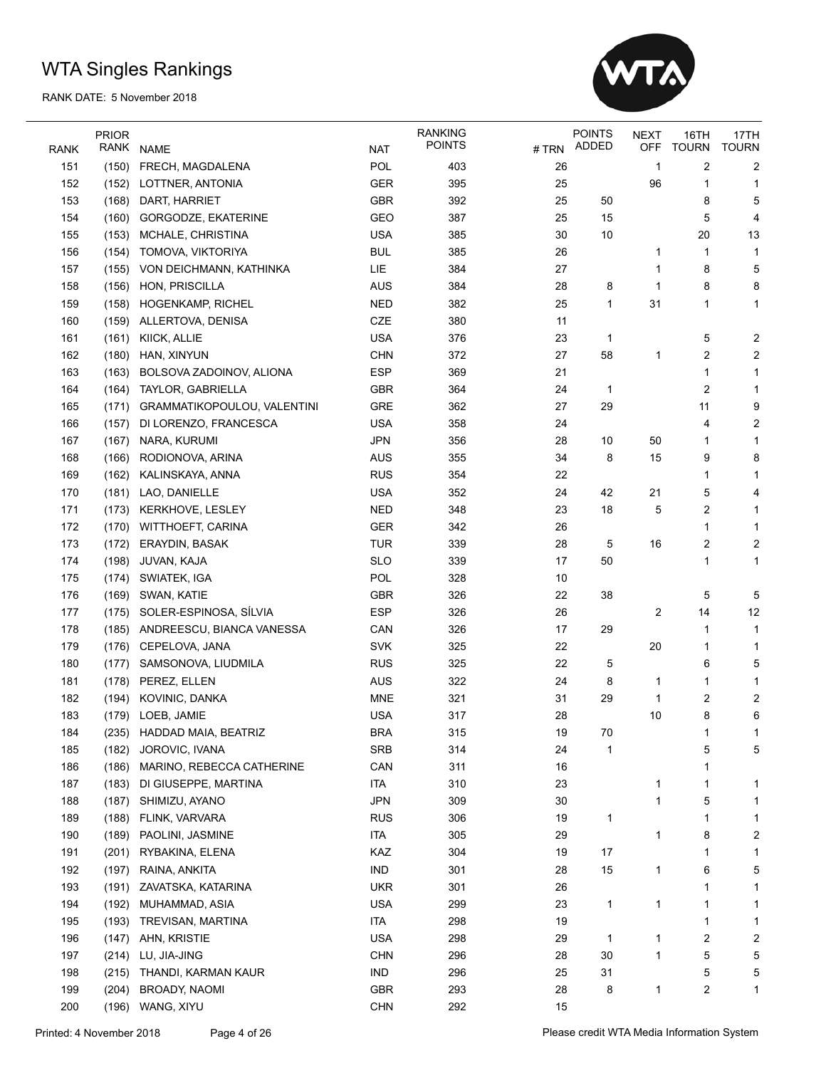

|             | <b>PRIOR</b> |                             |            | <b>RANKING</b><br><b>POINTS</b> |        | <b>POINTS</b> | <b>NEXT</b> | 16TH         | 17TH                    |
|-------------|--------------|-----------------------------|------------|---------------------------------|--------|---------------|-------------|--------------|-------------------------|
| <b>RANK</b> | RANK         | <b>NAME</b>                 | <b>NAT</b> |                                 | # TRN  | <b>ADDED</b>  | OFF         | <b>TOURN</b> | <b>TOURN</b>            |
| 151         | (150)        | FRECH, MAGDALENA            | POL        | 403                             | 26     |               | 1           | 2            | 2                       |
| 152         | (152)        | LOTTNER, ANTONIA            | GER        | 395                             | 25     |               | 96          | 1            | 1                       |
| 153         | (168)        | DART, HARRIET               | GBR        | 392                             | 25     | 50            |             | 8            | 5                       |
| 154         | (160)        | GORGODZE, EKATERINE         | GEO        | 387                             | 25     | 15            |             | 5            | 4                       |
| 155         | (153)        | MCHALE, CHRISTINA           | <b>USA</b> | 385                             | 30     | 10            |             | 20           | 13                      |
| 156         | (154)        | TOMOVA, VIKTORIYA           | <b>BUL</b> | 385                             | 26     |               | 1           | 1            | 1                       |
| 157         | (155)        | VON DEICHMANN, KATHINKA     | LIE        | 384                             | 27     |               | 1           | 8            | 5                       |
| 158         | (156)        | HON, PRISCILLA              | <b>AUS</b> | 384                             | 28     | 8             | 1           | 8            | 8                       |
| 159         | (158)        | HOGENKAMP, RICHEL           | <b>NED</b> | 382                             | 25     | 1             | 31          | 1            | 1                       |
| 160         | (159)        | ALLERTOVA, DENISA           | CZE        | 380                             | 11     |               |             |              |                         |
| 161         | (161)        | KIICK, ALLIE                | <b>USA</b> | 376                             | 23     | 1             |             | 5            | $\overline{\mathbf{c}}$ |
| 162         | (180)        | HAN, XINYUN                 | <b>CHN</b> | 372                             | 27     | 58            | 1           | 2            | 2                       |
| 163         | (163)        | BOLSOVA ZADOINOV, ALIONA    | <b>ESP</b> | 369                             | 21     |               |             | 1            | 1                       |
| 164         | (164)        | TAYLOR, GABRIELLA           | <b>GBR</b> | 364                             | 24     | 1             |             | 2            | 1                       |
| 165         | (171)        | GRAMMATIKOPOULOU, VALENTINI | GRE        | 362                             | 27     | 29            |             | 11           | 9                       |
| 166         | (157)        | DI LORENZO, FRANCESCA       | <b>USA</b> | 358                             | 24     |               |             | 4            | $\overline{\mathbf{c}}$ |
| 167         | (167)        | NARA, KURUMI                | <b>JPN</b> | 356                             | 28     | 10            | 50          | 1            | 1                       |
| 168         | (166)        | RODIONOVA, ARINA            | <b>AUS</b> | 355                             | 34     | 8             | 15          | 9            | 8                       |
| 169         | (162)        | KALINSKAYA, ANNA            | <b>RUS</b> | 354                             | 22     |               |             | 1            | 1                       |
| 170         | (181)        | LAO, DANIELLE               | <b>USA</b> | 352                             | 24     | 42            | 21          | 5            | 4                       |
| 171         | (173)        | KERKHOVE, LESLEY            | <b>NED</b> | 348                             | 23     | 18            | 5           | 2            | 1                       |
| 172         | (170)        | <b>WITTHOEFT, CARINA</b>    | <b>GER</b> | 342                             | 26     |               |             | 1            | 1                       |
| 173         | (172)        | ERAYDIN, BASAK              | <b>TUR</b> | 339                             | 28     | 5             | 16          | 2            | $\overline{\mathbf{c}}$ |
| 174         | (198)        | JUVAN, KAJA                 | <b>SLO</b> | 339                             | 17     | 50            |             | 1            | 1                       |
| 175         | (174)        | SWIATEK, IGA                | POL        | 328                             | 10     |               |             |              |                         |
| 176         | (169)        | SWAN, KATIE                 | <b>GBR</b> | 326                             | 22     | 38            |             | 5            | 5                       |
| 177         | (175)        | SOLER-ESPINOSA, SÍLVIA      | <b>ESP</b> | 326                             | 26     |               | 2           | 14           | 12                      |
| 178         | (185)        | ANDREESCU, BIANCA VANESSA   | CAN        | 326                             | 17     | 29            |             | 1            | 1                       |
| 179         | (176)        | CEPELOVA, JANA              | <b>SVK</b> | 325                             | 22     |               | 20          | 1            | 1                       |
| 180         | (177)        | SAMSONOVA, LIUDMILA         | <b>RUS</b> | 325                             | 22     | 5             |             | 6            | 5                       |
| 181         |              | (178) PEREZ, ELLEN          | <b>AUS</b> | 322                             | 24     | 8             | 1           | 1            | 1                       |
| 182         |              | (194) KOVINIC, DANKA        | <b>MNE</b> | 321                             | 31     | 29            | 1           | 2            | $\overline{\mathbf{c}}$ |
| 183         |              | (179) LOEB, JAMIE           | <b>USA</b> | 317                             | 28     |               | 10          | 8            | 6                       |
| 184         |              | (235) HADDAD MAIA, BEATRIZ  | <b>BRA</b> | 315                             | 19     | 70            |             | 1            |                         |
| 185         | (182)        | JOROVIC, IVANA              | <b>SRB</b> | 314                             | 24     | 1             |             | 5            | 5                       |
| 186         | (186)        | MARINO, REBECCA CATHERINE   | CAN        | 311                             | $16\,$ |               |             | 1            |                         |
| 187         | (183)        | DI GIUSEPPE, MARTINA        | <b>ITA</b> | 310                             | 23     |               | 1           | 1            | 1                       |
| 188         | (187)        | SHIMIZU, AYANO              | <b>JPN</b> | 309                             | 30     |               | 1           | 5            | 1                       |
| 189         |              | (188) FLINK, VARVARA        | <b>RUS</b> | 306                             | 19     | 1             |             | 1            | 1                       |
| 190         |              | (189) PAOLINI, JASMINE      | ITA        | 305                             | 29     |               | 1           | 8            | 2                       |
| 191         | (201)        | RYBAKINA, ELENA             | KAZ        | 304                             | 19     | 17            |             | 1            | 1                       |
| 192         | (197)        | RAINA, ANKITA               | <b>IND</b> | 301                             | 28     | 15            | 1           | 6            | 5                       |
| 193         | (191)        | ZAVATSKA, KATARINA          | <b>UKR</b> | 301                             | 26     |               |             | 1            | 1                       |
| 194         | (192)        | MUHAMMAD, ASIA              | <b>USA</b> | 299                             | 23     | 1             | 1           | 1            | 1                       |
| 195         | (193)        | TREVISAN, MARTINA           | ITA        | 298                             | 19     |               |             | 1            | 1                       |
| 196         | (147)        | AHN, KRISTIE                | <b>USA</b> | 298                             | 29     | 1             | 1           | 2            | 2                       |
| 197         | (214)        | LU, JIA-JING                | <b>CHN</b> | 296                             | 28     | 30            | 1           | 5            | 5                       |
| 198         | (215)        | THANDI, KARMAN KAUR         | <b>IND</b> | 296                             | 25     | 31            |             | 5            | 5                       |
| 199         | (204)        | BROADY, NAOMI               | GBR        | 293                             | 28     | 8             | 1           | 2            | 1                       |
| 200         | (196)        | WANG, XIYU                  | <b>CHN</b> | 292                             | 15     |               |             |              |                         |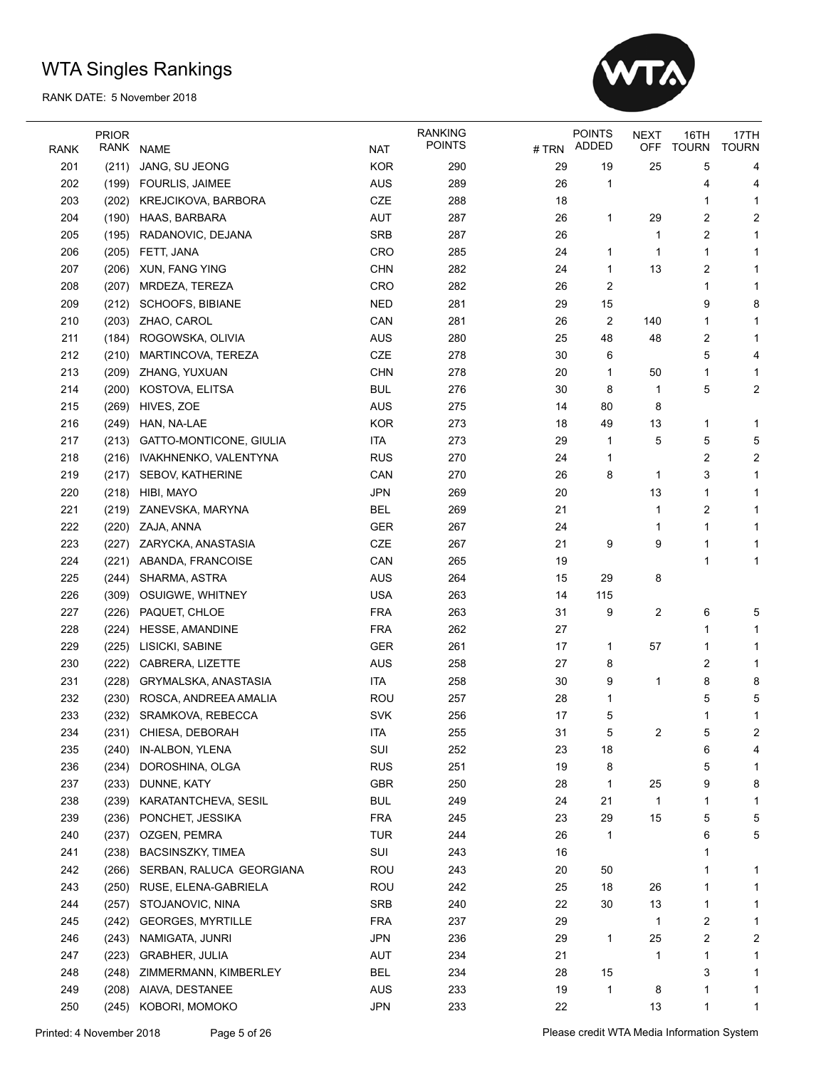

|             | <b>PRIOR</b> |                                          |                   | <b>RANKING</b> |          | <b>POINTS</b> | <b>NEXT</b> | 16TH         | 17TH         |
|-------------|--------------|------------------------------------------|-------------------|----------------|----------|---------------|-------------|--------------|--------------|
| <b>RANK</b> | RANK         | <b>NAME</b>                              | <b>NAT</b>        | <b>POINTS</b>  | # TRN    | ADDED         | <b>OFF</b>  | <b>TOURN</b> | <b>TOURN</b> |
| 201         | (211)        | JANG, SU JEONG                           | <b>KOR</b>        | 290            | 29       | 19            | 25          | 5            | 4            |
| 202         | (199)        | <b>FOURLIS, JAIMEE</b>                   | <b>AUS</b>        | 289            | 26       | 1             |             | 4            | 4            |
| 203         | (202)        | KREJCIKOVA, BARBORA                      | CZE               | 288            | 18       |               |             | 1            | 1            |
| 204         | (190)        | HAAS, BARBARA                            | AUT               | 287            | 26       | 1             | 29          | 2            | 2            |
| 205         | (195)        | RADANOVIC, DEJANA                        | <b>SRB</b>        | 287            | 26       |               | 1           | 2            | 1            |
| 206         | (205)        | FETT, JANA                               | CRO               | 285            | 24       | 1             | 1           | 1            | 1            |
| 207         | (206)        | XUN, FANG YING                           | <b>CHN</b>        | 282            | 24       | 1             | 13          | 2            | 1            |
| 208         | (207)        | MRDEZA, TEREZA                           | CRO               | 282            | 26       | 2             |             | 1            | 1            |
| 209         | (212)        | SCHOOFS, BIBIANE                         | <b>NED</b>        | 281            | 29       | 15            |             | 9            | 8            |
| 210         | (203)        | ZHAO, CAROL                              | CAN               | 281            | 26       | 2             | 140         | 1            | 1            |
| 211         | (184)        | ROGOWSKA, OLIVIA                         | AUS               | 280            | 25       | 48            | 48          | 2            | 1            |
| 212         | (210)        | MARTINCOVA, TEREZA                       | CZE               | 278            | 30       | 6             |             | 5            | 4            |
| 213         | (209)        | ZHANG, YUXUAN                            | <b>CHN</b>        | 278            | 20       | 1             | 50          | 1            | 1            |
| 214         | (200)        | KOSTOVA, ELITSA                          | <b>BUL</b>        | 276            | 30       | 8             | 1           | 5            | 2            |
| 215         | (269)        | HIVES, ZOE                               | <b>AUS</b>        | 275            | 14       | 80            | 8           |              |              |
| 216         | (249)        | HAN, NA-LAE                              | <b>KOR</b>        | 273            | 18       | 49            | 13          | 1            | 1            |
| 217         | (213)        | GATTO-MONTICONE, GIULIA                  | <b>ITA</b>        | 273            | 29       | 1             | 5           | 5            | 5            |
| 218         | (216)        | IVAKHNENKO, VALENTYNA                    | <b>RUS</b>        | 270            | 24       | 1             |             | 2            | 2            |
| 219         | (217)        | SEBOV, KATHERINE                         | CAN               | 270            | 26       | 8             | 1           | 3            | 1            |
| 220         | (218)        | HIBI, MAYO                               | <b>JPN</b>        | 269            | 20       |               | 13          | 1            | 1            |
| 221         | (219)        | ZANEVSKA, MARYNA                         | <b>BEL</b>        | 269            | 21       |               | 1           | 2            | 1            |
| 222         | (220)        | ZAJA, ANNA                               | <b>GER</b>        | 267            | 24       |               | 1           | 1            | 1            |
| 223         | (227)        | ZARYCKA, ANASTASIA                       | CZE               | 267            | 21       | 9             | 9           | 1            | 1            |
| 224         | (221)        | ABANDA, FRANCOISE                        | CAN               | 265            | 19       |               |             | 1            | 1            |
| 225         | (244)        | SHARMA, ASTRA                            | <b>AUS</b>        | 264            | 15       | 29            | 8           |              |              |
| 226         | (309)        | OSUIGWE, WHITNEY                         | <b>USA</b>        | 263            | 14       | 115           |             |              |              |
| 227         | (226)        | PAQUET, CHLOE                            | <b>FRA</b>        | 263            | 31       | 9             | 2           | 6            | 5            |
| 228         | (224)        | HESSE, AMANDINE                          | <b>FRA</b>        | 262            | 27       |               |             | 1            | 1            |
| 229         | (225)        | LISICKI, SABINE                          | <b>GER</b>        | 261            | 17       | 1             | 57          | 1            | 1            |
| 230         | (222)        | CABRERA, LIZETTE                         | <b>AUS</b>        | 258            | 27       | 8             |             | 2            | 1            |
| 231         | (228)        | GRYMALSKA, ANASTASIA                     | <b>ITA</b>        | 258            | 30       | 9             | 1           | 8            | 8            |
| 232         | (230)        | ROSCA, ANDREEA AMALIA                    | <b>ROU</b>        | 257            | 28       | 1             |             | 5            | 5            |
| 233         | (232)        | SRAMKOVA, REBECCA                        | <b>SVK</b>        | 256            | 17       | 5             |             | 1            | 1            |
| 234         |              | (231) CHIESA, DEBORAH                    | <b>ITA</b>        | 255            | 31       | 5             | 2           | 5            | 2            |
| 235         | (240)        | IN-ALBON, YLENA                          | SUI               | 252            | 23       | 18            |             | 6            | 4            |
| 236         | (234)        | DOROSHINA, OLGA                          | <b>RUS</b>        | 251            | 19       | 8             |             | 5            | 1            |
| 237         | (233)        | DUNNE, KATY                              | <b>GBR</b>        | 250            | 28       | 1             | 25          | 9            | 8            |
| 238         | (239)        | KARATANTCHEVA, SESIL                     | <b>BUL</b>        | 249            | 24       | 21            | 1           | 1            | 1            |
| 239         | (236)        | PONCHET, JESSIKA                         | <b>FRA</b>        | 245            | 23       | 29            | 15          | 5            | 5            |
| 240         | (237)        | OZGEN, PEMRA                             | <b>TUR</b>        | 244            | 26       | 1             |             | 6            | 5            |
| 241         | (238)        | <b>BACSINSZKY, TIMEA</b>                 | SUI               | 243            | 16       |               |             | 1            |              |
| 242         |              | SERBAN, RALUCA GEORGIANA                 | <b>ROU</b>        | 243            | 20       | 50            |             | 1            |              |
| 243         | (266)        | RUSE, ELENA-GABRIELA                     |                   | 242            |          | 18            |             |              | 1            |
|             | (250)        | STOJANOVIC, NINA                         | ROU               |                | 25       |               | 26          | 1            | 1            |
| 244         | (257)        |                                          | SRB               | 240            | 22       | 30            | 13          | 1            | 1            |
| 245<br>246  | (242)        | <b>GEORGES, MYRTILLE</b>                 | <b>FRA</b><br>JPN | 237            | 29<br>29 |               | 1<br>25     | 2            | 1            |
| 247         | (243)        | NAMIGATA, JUNRI<br><b>GRABHER, JULIA</b> |                   | 236<br>234     | 21       | 1             |             | 2<br>1       | 2            |
|             | (223)        |                                          | AUT               |                |          |               | 1           |              | 1            |
| 248         | (248)        | ZIMMERMANN, KIMBERLEY                    | <b>BEL</b>        | 234            | 28       | 15            |             | 3            | 1            |
| 249         | (208)        | AIAVA, DESTANEE                          | AUS               | 233            | 19       | 1             | 8           | 1            | 1            |
| 250         |              | (245) KOBORI, MOMOKO                     | JPN               | 233            | 22       |               | 13          | 1            | 1            |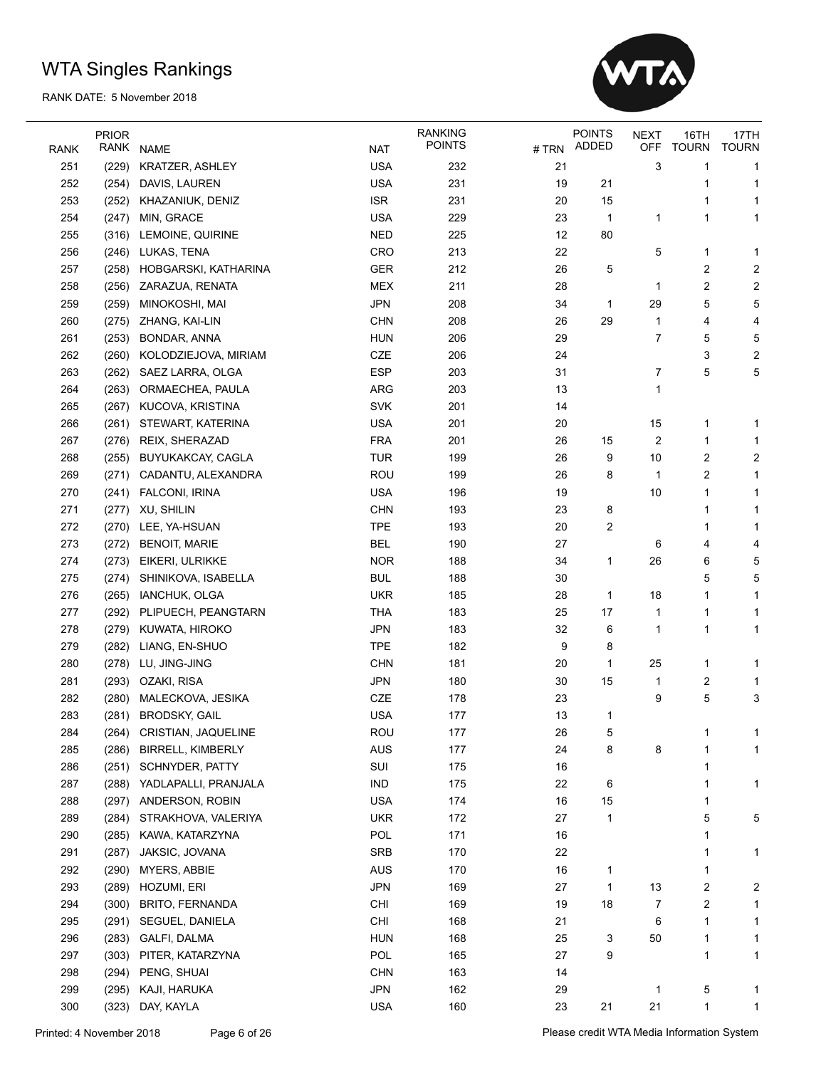

|             | <b>PRIOR</b> |                          |                | <b>RANKING</b> |      | <b>POINTS</b> | <b>NEXT</b> | 16TH         | 17TH         |
|-------------|--------------|--------------------------|----------------|----------------|------|---------------|-------------|--------------|--------------|
| <b>RANK</b> | RANK         | <b>NAME</b>              | <b>NAT</b>     | <b>POINTS</b>  | #TRN | ADDED         | <b>OFF</b>  | <b>TOURN</b> | <b>TOURN</b> |
| 251         | (229)        | KRATZER, ASHLEY          | <b>USA</b>     | 232            | 21   |               | 3           | 1            | 1            |
| 252         | (254)        | DAVIS, LAUREN            | <b>USA</b>     | 231            | 19   | 21            |             | 1            | 1            |
| 253         | (252)        | KHAZANIUK, DENIZ         | <b>ISR</b>     | 231            | 20   | 15            |             | 1            | 1            |
| 254         | (247)        | MIN, GRACE               | <b>USA</b>     | 229            | 23   | 1             | 1           | 1            | 1            |
| 255         | (316)        | LEMOINE, QUIRINE         | <b>NED</b>     | 225            | 12   | 80            |             |              |              |
| 256         | (246)        | LUKAS, TENA              | CRO            | 213            | 22   |               | 5           | 1            | 1            |
| 257         | (258)        | HOBGARSKI, KATHARINA     | <b>GER</b>     | 212            | 26   | 5             |             | 2            | 2            |
| 258         | (256)        | ZARAZUA, RENATA          | <b>MEX</b>     | 211            | 28   |               | 1           | 2            | 2            |
| 259         | (259)        | MINOKOSHI, MAI           | <b>JPN</b>     | 208            | 34   | 1             | 29          | 5            | 5            |
| 260         | (275)        | ZHANG, KAI-LIN           | <b>CHN</b>     | 208            | 26   | 29            | 1           | 4            | 4            |
| 261         | (253)        | BONDAR, ANNA             | <b>HUN</b>     | 206            | 29   |               | 7           | 5            | 5            |
| 262         | (260)        | KOLODZIEJOVA, MIRIAM     | CZE            | 206            | 24   |               |             | 3            | 2            |
| 263         | (262)        | SAEZ LARRA, OLGA         | <b>ESP</b>     | 203            | 31   |               | 7           | 5            | 5            |
| 264         | (263)        | ORMAECHEA, PAULA         | ARG            | 203            | 13   |               | 1           |              |              |
| 265         | (267)        | KUCOVA, KRISTINA         | <b>SVK</b>     | 201            | 14   |               |             |              |              |
| 266         | (261)        | STEWART, KATERINA        | <b>USA</b>     | 201            | 20   |               | 15          | 1            | 1            |
| 267         | (276)        | REIX, SHERAZAD           | <b>FRA</b>     | 201            | 26   | 15            | 2           | 1            | $\mathbf 1$  |
| 268         | (255)        | BUYUKAKCAY, CAGLA        | <b>TUR</b>     | 199            | 26   | 9             | 10          | 2            | 2            |
| 269         | (271)        | CADANTU, ALEXANDRA       | <b>ROU</b>     | 199            | 26   | 8             | 1           | 2            | 1            |
| 270         | (241)        | FALCONI, IRINA           | <b>USA</b>     | 196            | 19   |               | 10          | 1            | 1            |
| 271         | (277)        | XU, SHILIN               | <b>CHN</b>     | 193            | 23   | 8             |             | 1            | 1            |
| 272         | (270)        | LEE, YA-HSUAN            | <b>TPE</b>     | 193            | 20   | 2             |             | 1            | 1            |
| 273         | (272)        | <b>BENOIT, MARIE</b>     | <b>BEL</b>     | 190            | 27   |               | 6           | 4            | 4            |
| 274         | (273)        | EIKERI, ULRIKKE          | <b>NOR</b>     | 188            | 34   | 1             | 26          | 6            | 5            |
| 275         | (274)        | SHINIKOVA, ISABELLA      | <b>BUL</b>     | 188            | 30   |               |             | 5            | 5            |
| 276         | (265)        | IANCHUK, OLGA            | <b>UKR</b>     | 185            | 28   | 1             | 18          | 1            | 1            |
| 277         | (292)        | PLIPUECH, PEANGTARN      | THA            | 183            | 25   | 17            | 1           | 1            | 1            |
| 278         | (279)        | KUWATA, HIROKO           | <b>JPN</b>     | 183            | 32   | 6             | 1           | 1            | 1            |
| 279         | (282)        | LIANG, EN-SHUO           | <b>TPE</b>     | 182            | 9    | 8             |             |              |              |
| 280         | (278)        | LU, JING-JING            | <b>CHN</b>     | 181            | 20   | 1             | 25          | 1            | 1            |
| 281         | (293)        | OZAKI, RISA              | <b>JPN</b>     | 180            | 30   | 15            | 1           | 2            | 1            |
| 282         | (280)        | MALECKOVA, JESIKA        | CZE            | 178            | 23   |               | 9           | 5            | 3            |
| 283         |              | (281) BRODSKY, GAIL      | <b>USA</b>     | 177            | 13   | 1             |             |              |              |
| 284         | (264)        | CRISTIAN, JAQUELINE      | <b>ROU</b>     | 177            | 26   | 5             |             |              |              |
| 285         | (286)        | <b>BIRRELL, KIMBERLY</b> | AUS            | 177            | 24   | 8             | 8           | 1            | 1            |
| 286         | (251)        | SCHNYDER, PATTY          | SUI            | 175            | 16   |               |             | 1            |              |
| 287         | (288)        | YADLAPALLI, PRANJALA     | $\mathsf{IND}$ | 175            | 22   | 6             |             | 1            | 1            |
| 288         | (297)        | ANDERSON, ROBIN          | <b>USA</b>     | 174            | 16   | 15            |             | 1            |              |
| 289         | (284)        | STRAKHOVA, VALERIYA      | <b>UKR</b>     | 172            | 27   | 1             |             | 5            | 5            |
| 290         | (285)        | KAWA, KATARZYNA          | POL            | 171            | 16   |               |             | 1            |              |
| 291         | (287)        | JAKSIC, JOVANA           | SRB            | 170            | 22   |               |             |              | 1            |
| 292         | (290)        | MYERS, ABBIE             | AUS            | 170            | 16   | 1             |             | 1            |              |
| 293         | (289)        | HOZUMI, ERI              | <b>JPN</b>     | 169            | 27   | 1             | 13          | 2            | 2            |
| 294         | (300)        | <b>BRITO, FERNANDA</b>   | <b>CHI</b>     | 169            | 19   | 18            | 7           | 2            | 1            |
| 295         | (291)        | SEGUEL, DANIELA          | CHI            | 168            | 21   |               | 6           | 1            | 1            |
| 296         | (283)        | GALFI, DALMA             | <b>HUN</b>     | 168            | 25   | 3             | 50          | 1            | 1            |
| 297         | (303)        | PITER, KATARZYNA         | POL            | 165            | 27   | 9             |             | 1            | 1            |
| 298         | (294)        | PENG, SHUAI              | <b>CHN</b>     | 163            | 14   |               |             |              |              |
| 299         | (295)        | KAJI, HARUKA             | <b>JPN</b>     | 162            | 29   |               | 1           | 5            | 1            |
| 300         |              |                          |                |                |      |               | 21          |              |              |
|             | (323)        | DAY, KAYLA               | <b>USA</b>     | 160            | 23   | 21            |             | 1            | 1            |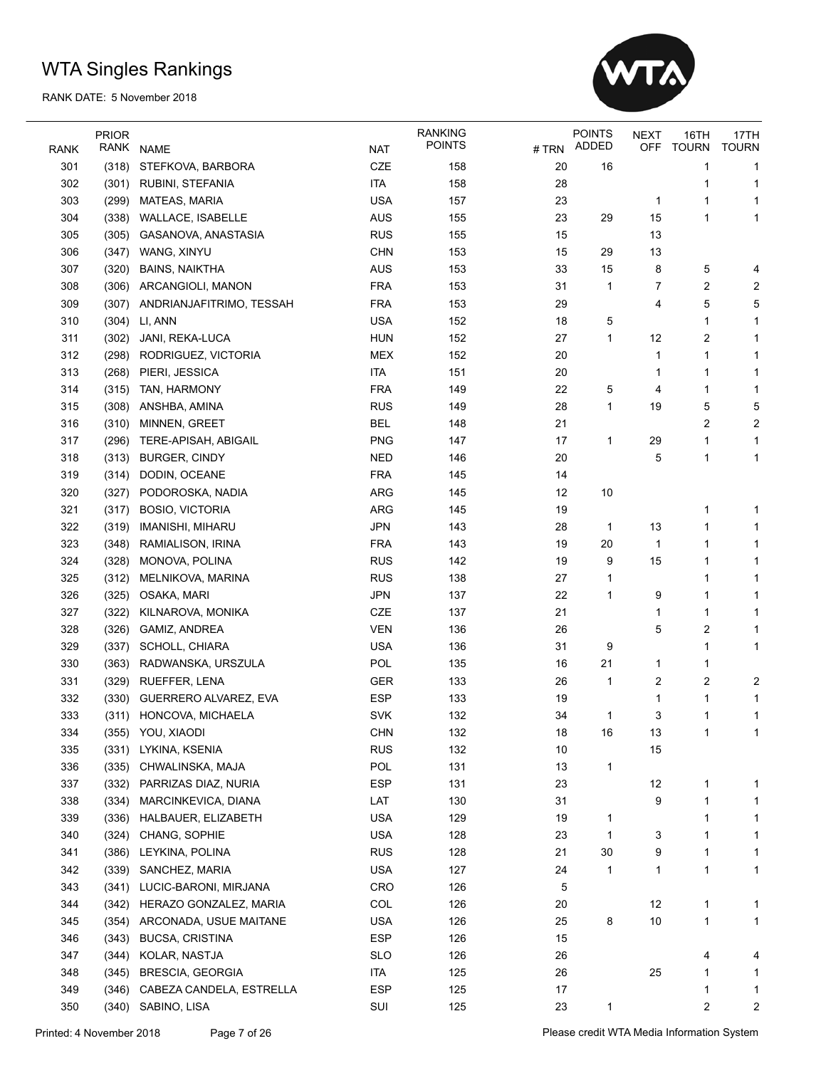

|             | <b>PRIOR</b> |                                                 |            | <b>RANKING</b> |       | <b>POINTS</b> | <b>NEXT</b> | 16TH           | 17TH         |
|-------------|--------------|-------------------------------------------------|------------|----------------|-------|---------------|-------------|----------------|--------------|
| <b>RANK</b> | RANK         | <b>NAME</b>                                     | <b>NAT</b> | <b>POINTS</b>  | # TRN | ADDED         | OFF         | <b>TOURN</b>   | <b>TOURN</b> |
| 301         | (318)        | STEFKOVA, BARBORA                               | CZE        | 158            | 20    | 16            |             | 1              | 1            |
| 302         | (301)        | RUBINI, STEFANIA                                | <b>ITA</b> | 158            | 28    |               |             | 1              | 1            |
| 303         | (299)        | MATEAS, MARIA                                   | <b>USA</b> | 157            | 23    |               | 1           | 1              | 1            |
| 304         | (338)        | WALLACE, ISABELLE                               | <b>AUS</b> | 155            | 23    | 29            | 15          | 1              | 1            |
| 305         | (305)        | GASANOVA, ANASTASIA                             | <b>RUS</b> | 155            | 15    |               | 13          |                |              |
| 306         | (347)        | WANG, XINYU                                     | <b>CHN</b> | 153            | 15    | 29            | 13          |                |              |
| 307         | (320)        | <b>BAINS, NAIKTHA</b>                           | <b>AUS</b> | 153            | 33    | 15            | 8           | 5              | 4            |
| 308         | (306)        | ARCANGIOLI, MANON                               | <b>FRA</b> | 153            | 31    | 1             | 7           | 2              | 2            |
| 309         | (307)        | ANDRIANJAFITRIMO, TESSAH                        | <b>FRA</b> | 153            | 29    |               | 4           | 5              | 5            |
| 310         | (304)        | LI, ANN                                         | <b>USA</b> | 152            | 18    | 5             |             | 1              | 1            |
| 311         | (302)        | JANI, REKA-LUCA                                 | <b>HUN</b> | 152            | 27    | 1             | 12          | 2              | 1            |
| 312         | (298)        | RODRIGUEZ, VICTORIA                             | <b>MEX</b> | 152            | 20    |               | 1           | 1              | 1            |
| 313         | (268)        | PIERI, JESSICA                                  | <b>ITA</b> | 151            | 20    |               | 1           | 1              | 1            |
| 314         | (315)        | TAN, HARMONY                                    | <b>FRA</b> | 149            | 22    | 5             | 4           | 1              | 1            |
| 315         | (308)        | ANSHBA, AMINA                                   | <b>RUS</b> | 149            | 28    | 1             | 19          | 5              | 5            |
| 316         | (310)        | MINNEN, GREET                                   | <b>BEL</b> | 148            | 21    |               |             | 2              | 2            |
| 317         | (296)        | TERE-APISAH, ABIGAIL                            | <b>PNG</b> | 147            | 17    | 1             | 29          | 1              | 1            |
| 318         | (313)        | <b>BURGER, CINDY</b>                            | <b>NED</b> | 146            | 20    |               | 5           | 1              | 1            |
| 319         | (314)        | DODIN, OCEANE                                   | <b>FRA</b> | 145            | 14    |               |             |                |              |
| 320         | (327)        | PODOROSKA, NADIA                                | <b>ARG</b> | 145            | 12    | 10            |             |                |              |
| 321         | (317)        | <b>BOSIO, VICTORIA</b>                          | <b>ARG</b> | 145            | 19    |               |             | 1              | 1            |
| 322         | (319)        | IMANISHI, MIHARU                                | <b>JPN</b> | 143            | 28    | 1             | 13          | 1              | 1            |
| 323         | (348)        | RAMIALISON, IRINA                               | <b>FRA</b> | 143            | 19    | 20            | 1           | 1              | 1            |
| 324         | (328)        | MONOVA, POLINA                                  | <b>RUS</b> | 142            | 19    | 9             | 15          | 1              | 1            |
| 325         | (312)        | MELNIKOVA, MARINA                               | <b>RUS</b> | 138            | 27    | 1             |             | 1              | 1            |
| 326         | (325)        | OSAKA, MARI                                     | <b>JPN</b> | 137            | 22    | 1             | 9           | 1              | 1            |
| 327         | (322)        | KILNAROVA, MONIKA                               | CZE        | 137            | 21    |               | 1           | 1              | 1            |
| 328         | (326)        | GAMIZ, ANDREA                                   | <b>VEN</b> | 136            | 26    |               | 5           | 2              | 1            |
| 329         | (337)        | SCHOLL, CHIARA                                  | <b>USA</b> | 136            | 31    | 9             |             | 1              | 1            |
| 330         | (363)        | RADWANSKA, URSZULA                              | POL        | 135            | 16    | 21            | 1           | 1              |              |
| 331         | (329)        | RUEFFER, LENA                                   | <b>GER</b> | 133            | 26    | 1             | 2           | 2              | 2            |
| 332         | (330)        | GUERRERO ALVAREZ, EVA                           | <b>ESP</b> | 133            | 19    |               | 1           | 1              | 1            |
| 333         |              | (311) HONCOVA, MICHAELA                         | <b>SVK</b> | 132            | 34    | 1             | 3           | 1              | 1            |
| 334         |              | (355) YOU, XIAODI                               | <b>CHN</b> | 132            | 18    | 16            | 13          | $\overline{ }$ |              |
| 335         |              | (331) LYKINA, KSENIA                            | <b>RUS</b> | 132            | 10    |               | 15          |                |              |
| 336         | (335)        | CHWALINSKA, MAJA                                | POL        | 131            | 13    | $\mathbf{1}$  |             |                |              |
| 337         | (332)        | PARRIZAS DIAZ, NURIA                            | <b>ESP</b> | 131            | 23    |               | 12          | 1              | 1            |
| 338         | (334)        | MARCINKEVICA, DIANA                             | LAT        | 130            | 31    |               | 9           | 1              | 1            |
| 339         | (336)        | HALBAUER, ELIZABETH                             | <b>USA</b> | 129            | 19    | 1             |             | 1              | 1            |
| 340         | (324)        | CHANG, SOPHIE                                   | <b>USA</b> | 128            | 23    | 1             | 3           | 1              | 1            |
| 341         | (386)        | LEYKINA, POLINA                                 | <b>RUS</b> | 128            | 21    | 30            | 9           | 1              | 1            |
| 342         |              | SANCHEZ, MARIA                                  |            | 127            | 24    | 1             | 1           | 1              | 1            |
|             | (339)        |                                                 | <b>USA</b> |                |       |               |             |                |              |
| 343         | (341)        | LUCIC-BARONI, MIRJANA<br>HERAZO GONZALEZ, MARIA | CRO        | 126            | 5     |               |             |                |              |
| 344         | (342)        |                                                 | COL        | 126            | 20    |               | 12          | 1              | 1            |
| 345         | (354)        | ARCONADA, USUE MAITANE                          | <b>USA</b> | 126            | 25    | 8             | $10$        | 1              | 1            |
| 346         | (343)        | <b>BUCSA, CRISTINA</b>                          | ESP        | 126            | 15    |               |             |                |              |
| 347         | (344)        | KOLAR, NASTJA                                   | <b>SLO</b> | 126            | 26    |               |             | 4              | 4            |
| 348         | (345)        | BRESCIA, GEORGIA                                | ITA        | 125            | 26    |               | 25          | 1              | 1            |
| 349         | (346)        | CABEZA CANDELA, ESTRELLA                        | <b>ESP</b> | 125            | 17    |               |             | 1              | 1            |
| 350         |              | (340) SABINO, LISA                              | SUI        | 125            | 23    | 1             |             | 2              | 2            |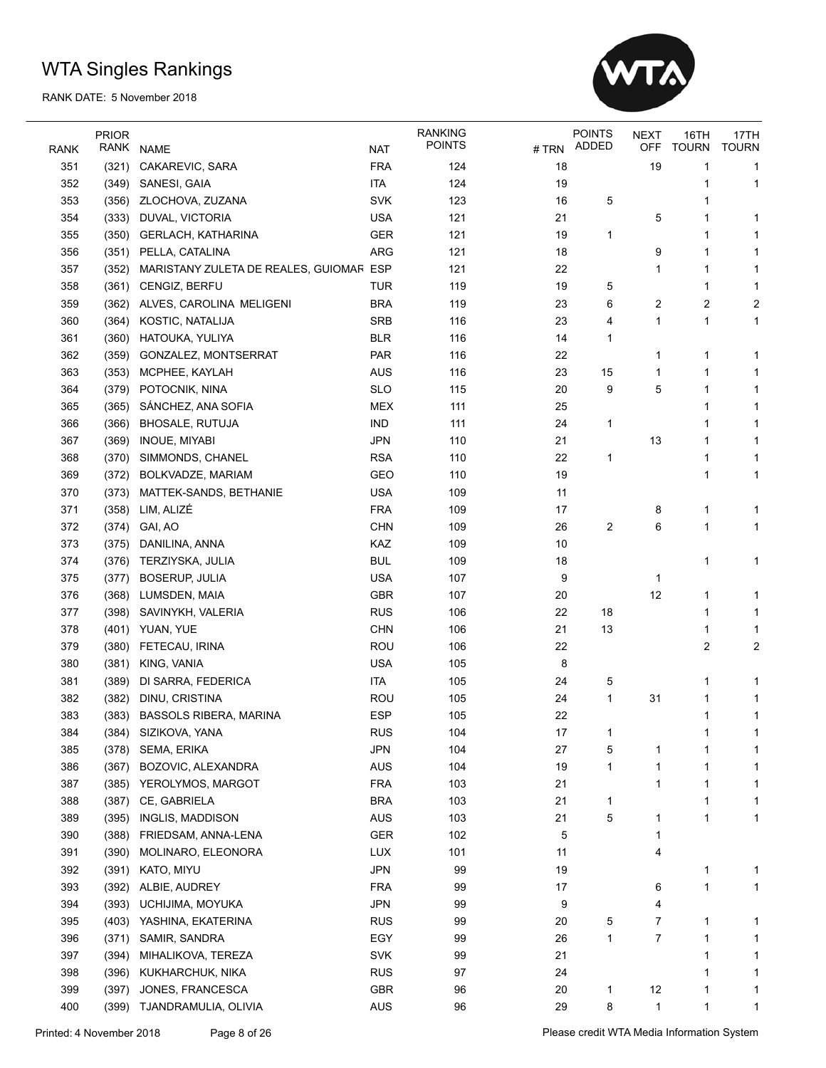

|             | <b>PRIOR</b> |                                         |            | <b>RANKING</b><br><b>POINTS</b> |       | <b>POINTS</b><br><b>ADDED</b> | <b>NEXT</b> | 16TH         | 17TH           |
|-------------|--------------|-----------------------------------------|------------|---------------------------------|-------|-------------------------------|-------------|--------------|----------------|
| <b>RANK</b> | RANK         | <b>NAME</b>                             | <b>NAT</b> |                                 | # TRN |                               | OFF         | <b>TOURN</b> | <b>TOURN</b>   |
| 351         | (321)        | CAKAREVIC, SARA                         | <b>FRA</b> | 124                             | 18    |                               | 19          | 1            | 1              |
| 352         | (349)        | SANESI, GAIA                            | <b>ITA</b> | 124                             | 19    |                               |             |              | 1              |
| 353         | (356)        | ZLOCHOVA, ZUZANA                        | <b>SVK</b> | 123                             | 16    | 5                             |             | 1            |                |
| 354         | (333)        | DUVAL, VICTORIA                         | <b>USA</b> | 121                             | 21    |                               | 5           | 1            | 1              |
| 355         | (350)        | <b>GERLACH, KATHARINA</b>               | <b>GER</b> | 121                             | 19    | 1                             |             | 1            | 1              |
| 356         | (351)        | PELLA, CATALINA                         | ARG        | 121                             | 18    |                               | 9           | 1            | 1              |
| 357         | (352)        | MARISTANY ZULETA DE REALES, GUIOMAR ESP |            | 121                             | 22    |                               | 1           | 1            | 1              |
| 358         | (361)        | <b>CENGIZ, BERFU</b>                    | <b>TUR</b> | 119                             | 19    | 5                             |             | 1            | 1              |
| 359         | (362)        | ALVES, CAROLINA MELIGENI                | <b>BRA</b> | 119                             | 23    | 6                             | 2           | 2            | $\overline{c}$ |
| 360         | (364)        | KOSTIC, NATALIJA                        | <b>SRB</b> | 116                             | 23    | 4                             | 1           | 1            | 1              |
| 361         | (360)        | HATOUKA, YULIYA                         | <b>BLR</b> | 116                             | 14    | 1                             |             |              |                |
| 362         | (359)        | GONZALEZ, MONTSERRAT                    | PAR        | 116                             | 22    |                               | 1           | 1            | 1              |
| 363         | (353)        | MCPHEE, KAYLAH                          | <b>AUS</b> | 116                             | 23    | 15                            | 1           | 1            | 1              |
| 364         | (379)        | POTOCNIK, NINA                          | <b>SLO</b> | 115                             | 20    | 9                             | 5           | 1            | 1              |
| 365         | (365)        | SÁNCHEZ, ANA SOFIA                      | <b>MEX</b> | 111                             | 25    |                               |             | 1            | 1              |
| 366         | (366)        | <b>BHOSALE, RUTUJA</b>                  | <b>IND</b> | 111                             | 24    | 1                             |             |              | 1              |
| 367         | (369)        | INOUE, MIYABI                           | <b>JPN</b> | 110                             | 21    |                               | 13          | 1            | 1              |
| 368         | (370)        | SIMMONDS, CHANEL                        | <b>RSA</b> | 110                             | 22    | 1                             |             | 1            | 1              |
| 369         | (372)        | BOLKVADZE, MARIAM                       | GEO        | 110                             | 19    |                               |             | 1            | 1              |
| 370         | (373)        | MATTEK-SANDS, BETHANIE                  | <b>USA</b> | 109                             | 11    |                               |             |              |                |
| 371         | (358)        | LIM, ALIZÉ                              | <b>FRA</b> | 109                             | 17    |                               | 8           | 1            | 1              |
| 372         | (374)        | GAI, AO                                 | <b>CHN</b> | 109                             | 26    | $\overline{c}$                | 6           | 1            | 1              |
| 373         | (375)        | DANILINA, ANNA                          | KAZ        | 109                             | 10    |                               |             |              |                |
| 374         | (376)        | TERZIYSKA, JULIA                        | <b>BUL</b> | 109                             | 18    |                               |             | 1            | 1              |
| 375         | (377)        | <b>BOSERUP, JULIA</b>                   | <b>USA</b> | 107                             | 9     |                               | 1           |              |                |
| 376         | (368)        | LUMSDEN, MAIA                           | <b>GBR</b> | 107                             | 20    |                               | 12          | 1            | 1              |
| 377         | (398)        | SAVINYKH, VALERIA                       | <b>RUS</b> | 106                             | 22    | 18                            |             | 1            | 1              |
| 378         | (401)        | YUAN, YUE                               | <b>CHN</b> | 106                             | 21    | 13                            |             | 1            | 1              |
| 379         | (380)        | FETECAU, IRINA                          | <b>ROU</b> | 106                             | 22    |                               |             | 2            | 2              |
| 380         | (381)        | KING, VANIA                             | <b>USA</b> | 105                             | 8     |                               |             |              |                |
| 381         | (389)        | DI SARRA, FEDERICA                      | <b>ITA</b> | 105                             | 24    | 5                             |             | 1            | 1              |
| 382         | (382)        | DINU, CRISTINA                          | <b>ROU</b> | 105                             | 24    | 1                             | 31          | 1            | 1              |
| 383         |              | (383) BASSOLS RIBERA, MARINA            | <b>ESP</b> | 105                             | 22    |                               |             | 1            | 1              |
| 384         | (384)        | SIZIKOVA, YANA                          | <b>RUS</b> | 104                             | 17    | 1                             |             |              |                |
| 385         | (378)        | SEMA, ERIKA                             | <b>JPN</b> | 104                             | 27    | 5                             | 1           | 1            | 1              |
| 386         | (367)        | BOZOVIC, ALEXANDRA                      | AUS        | 104                             | 19    | 1                             | 1           | 1            | 1              |
| 387         | (385)        | YEROLYMOS, MARGOT                       | <b>FRA</b> | 103                             | 21    |                               | 1           | 1            | 1              |
| 388         | (387)        | CE, GABRIELA                            | <b>BRA</b> | 103                             | 21    | $\mathbf{1}$                  |             | 1            | 1              |
| 389         | (395)        | INGLIS, MADDISON                        | AUS        | 103                             | 21    | 5                             | 1           | 1            | 1              |
| 390         | (388)        | FRIEDSAM, ANNA-LENA                     | GER        | 102                             | 5     |                               | 1           |              |                |
| 391         | (390)        | MOLINARO, ELEONORA                      | <b>LUX</b> | 101                             | 11    |                               | 4           |              |                |
| 392         | (391)        | KATO, MIYU                              | <b>JPN</b> | 99                              | 19    |                               |             | 1            | 1              |
| 393         |              |                                         | <b>FRA</b> | 99                              |       |                               |             | 1            | 1              |
|             | (392)        | ALBIE, AUDREY                           |            |                                 | 17    |                               | 6           |              |                |
| 394         | (393)        | UCHIJIMA, MOYUKA                        | <b>JPN</b> | 99                              | 9     |                               | 4           |              |                |
| 395         | (403)        | YASHINA, EKATERINA                      | <b>RUS</b> | 99                              | 20    | 5                             | 7           | 1            | 1              |
| 396         | (371)        | SAMIR, SANDRA                           | EGY        | 99                              | 26    | 1                             | 7           | 1            | 1              |
| 397         | (394)        | MIHALIKOVA, TEREZA                      | SVK        | 99                              | 21    |                               |             | 1            | 1              |
| 398         | (396)        | KUKHARCHUK, NIKA                        | <b>RUS</b> | 97                              | 24    |                               |             | 1            | 1              |
| 399         | (397)        | JONES, FRANCESCA                        | <b>GBR</b> | 96                              | 20    | 1                             | 12          | 1            | 1              |
| 400         | (399)        | TJANDRAMULIA, OLIVIA                    | AUS        | 96                              | 29    | 8                             | 1           | 1            | 1              |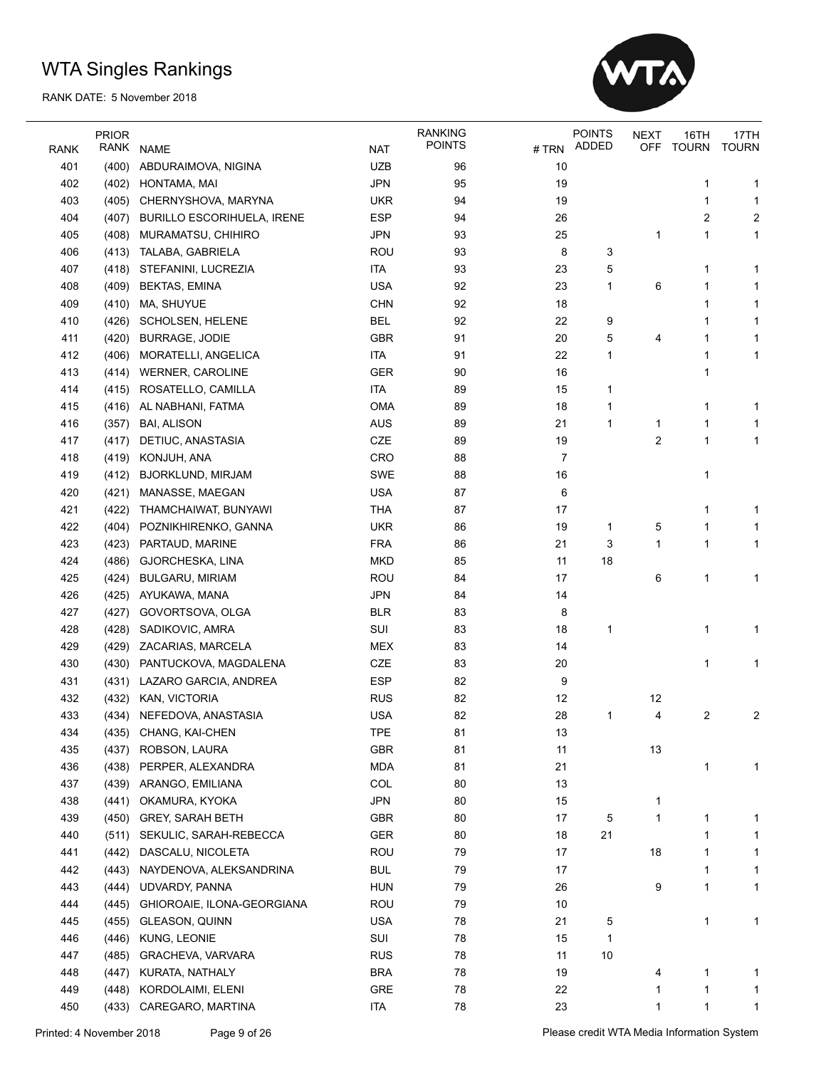

|             | <b>PRIOR</b> |                                   |            | <b>RANKING</b><br><b>POINTS</b> |       | <b>POINTS</b> | <b>NEXT</b> | 16TH         | 17TH                    |
|-------------|--------------|-----------------------------------|------------|---------------------------------|-------|---------------|-------------|--------------|-------------------------|
| <b>RANK</b> | RANK         | <b>NAME</b>                       | <b>NAT</b> |                                 | # TRN | ADDED         | OFF         | <b>TOURN</b> | <b>TOURN</b>            |
| 401         | (400)        | ABDURAIMOVA, NIGINA               | <b>UZB</b> | 96                              | 10    |               |             |              |                         |
| 402         | (402)        | HONTAMA, MAI                      | <b>JPN</b> | 95                              | 19    |               |             | 1            | 1                       |
| 403         | (405)        | CHERNYSHOVA, MARYNA               | <b>UKR</b> | 94                              | 19    |               |             | 1            | 1                       |
| 404         | (407)        | <b>BURILLO ESCORIHUELA, IRENE</b> | <b>ESP</b> | 94                              | 26    |               |             | 2            | $\overline{\mathbf{c}}$ |
| 405         | (408)        | MURAMATSU, CHIHIRO                | <b>JPN</b> | 93                              | 25    |               | 1           | 1            | 1                       |
| 406         | (413)        | TALABA, GABRIELA                  | <b>ROU</b> | 93                              | 8     | 3             |             |              |                         |
| 407         | (418)        | STEFANINI, LUCREZIA               | ITA        | 93                              | 23    | 5             |             | 1            | 1                       |
| 408         | (409)        | <b>BEKTAS, EMINA</b>              | <b>USA</b> | 92                              | 23    | 1             | 6           | 1            | 1                       |
| 409         | (410)        | MA, SHUYUE                        | <b>CHN</b> | 92                              | 18    |               |             | 1            | 1                       |
| 410         | (426)        | SCHOLSEN, HELENE                  | <b>BEL</b> | 92                              | 22    | 9             |             | 1            | 1                       |
| 411         | (420)        | <b>BURRAGE, JODIE</b>             | <b>GBR</b> | 91                              | 20    | 5             | 4           | 1            | 1                       |
| 412         | (406)        | MORATELLI, ANGELICA               | <b>ITA</b> | 91                              | 22    | 1             |             | 1            | 1                       |
| 413         | (414)        | <b>WERNER, CAROLINE</b>           | <b>GER</b> | 90                              | 16    |               |             | 1            |                         |
| 414         | (415)        | ROSATELLO, CAMILLA                | ITA        | 89                              | 15    | 1             |             |              |                         |
| 415         | (416)        | AL NABHANI, FATMA                 | <b>OMA</b> | 89                              | 18    | 1             |             | 1            | 1                       |
| 416         | (357)        | <b>BAI, ALISON</b>                | <b>AUS</b> | 89                              | 21    | 1             | 1           | 1            | 1                       |
| 417         | (417)        | DETIUC, ANASTASIA                 | CZE        | 89                              | 19    |               | 2           | 1            | 1                       |
| 418         | (419)        | KONJUH, ANA                       | CRO        | 88                              | 7     |               |             |              |                         |
| 419         | (412)        | <b>BJORKLUND, MIRJAM</b>          | <b>SWE</b> | 88                              | 16    |               |             | 1            |                         |
| 420         | (421)        | MANASSE, MAEGAN                   | <b>USA</b> | 87                              | 6     |               |             |              |                         |
| 421         | (422)        | THAMCHAIWAT, BUNYAWI              | <b>THA</b> | 87                              | 17    |               |             | 1            | 1                       |
| 422         | (404)        | POZNIKHIRENKO, GANNA              | <b>UKR</b> | 86                              | 19    | 1             | 5           | 1            | 1                       |
| 423         | (423)        | PARTAUD, MARINE                   | <b>FRA</b> | 86                              | 21    | 3             | 1           | 1            | 1                       |
| 424         | (486)        | GJORCHESKA, LINA                  | <b>MKD</b> | 85                              | 11    | 18            |             |              |                         |
| 425         | (424)        | BULGARU, MIRIAM                   | ROU        | 84                              | 17    |               | 6           | 1            | 1                       |
| 426         | (425)        | AYUKAWA, MANA                     | <b>JPN</b> | 84                              | 14    |               |             |              |                         |
| 427         | (427)        | GOVORTSOVA, OLGA                  | <b>BLR</b> | 83                              | 8     |               |             |              |                         |
| 428         | (428)        | SADIKOVIC, AMRA                   | SUI        | 83                              | 18    | 1             |             | 1            | 1                       |
| 429         | (429)        | ZACARIAS, MARCELA                 | <b>MEX</b> | 83                              | 14    |               |             |              |                         |
| 430         | (430)        | PANTUCKOVA, MAGDALENA             | CZE        | 83                              | 20    |               |             | 1            | 1                       |
| 431         | (431)        | LAZARO GARCIA, ANDREA             | <b>ESP</b> | 82                              | 9     |               |             |              |                         |
| 432         | (432)        | KAN, VICTORIA                     | <b>RUS</b> | 82                              | 12    |               | 12          |              |                         |
| 433         |              | (434) NEFEDOVA, ANASTASIA         | <b>USA</b> | 82                              | 28    | 1             | 4           | 2            | 2                       |
| 434         |              | (435) CHANG, KAI-CHEN             | <b>TPE</b> | 81                              | 13    |               |             |              |                         |
| 435         | (437)        | ROBSON, LAURA                     | <b>GBR</b> | 81                              | 11    |               | 13          |              |                         |
| 436         | (438)        | PERPER, ALEXANDRA                 | <b>MDA</b> | 81                              | 21    |               |             | 1            | 1                       |
| 437         | (439)        | ARANGO, EMILIANA                  | COL        | 80                              | 13    |               |             |              |                         |
| 438         | (441)        | OKAMURA, KYOKA                    | <b>JPN</b> | 80                              | 15    |               | 1           |              |                         |
| 439         |              | (450) GREY, SARAH BETH            | <b>GBR</b> | 80                              | 17    | 5             | 1           | 1            | 1                       |
| 440         | (511)        | SEKULIC, SARAH-REBECCA            | <b>GER</b> | 80                              | 18    | 21            |             | 1            | 1                       |
| 441         | (442)        | DASCALU, NICOLETA                 | ROU        | 79                              | 17    |               | 18          | 1            | 1                       |
| 442         | (443)        | NAYDENOVA, ALEKSANDRINA           | <b>BUL</b> | 79                              | 17    |               |             | 1            | 1                       |
| 443         | (444)        | UDVARDY, PANNA                    | <b>HUN</b> | 79                              | 26    |               | 9           | 1            | 1                       |
| 444         | (445)        | GHIOROAIE, ILONA-GEORGIANA        | ROU        | 79                              | 10    |               |             |              |                         |
| 445         | (455)        | <b>GLEASON, QUINN</b>             | <b>USA</b> | 78                              | 21    | 5             |             | 1            | 1                       |
| 446         | (446)        | KUNG, LEONIE                      | SUI        | 78                              | 15    | 1             |             |              |                         |
| 447         | (485)        | GRACHEVA, VARVARA                 | <b>RUS</b> | 78                              | 11    | 10            |             |              |                         |
| 448         | (447)        | KURATA, NATHALY                   | <b>BRA</b> | 78                              | 19    |               | 4           | 1            | 1                       |
| 449         | (448)        | KORDOLAIMI, ELENI                 | GRE        | 78                              | 22    |               | 1           | 1            | 1                       |
| 450         | (433)        | CAREGARO, MARTINA                 | <b>ITA</b> | 78                              | 23    |               | 1           | 1            | 1                       |
|             |              |                                   |            |                                 |       |               |             |              |                         |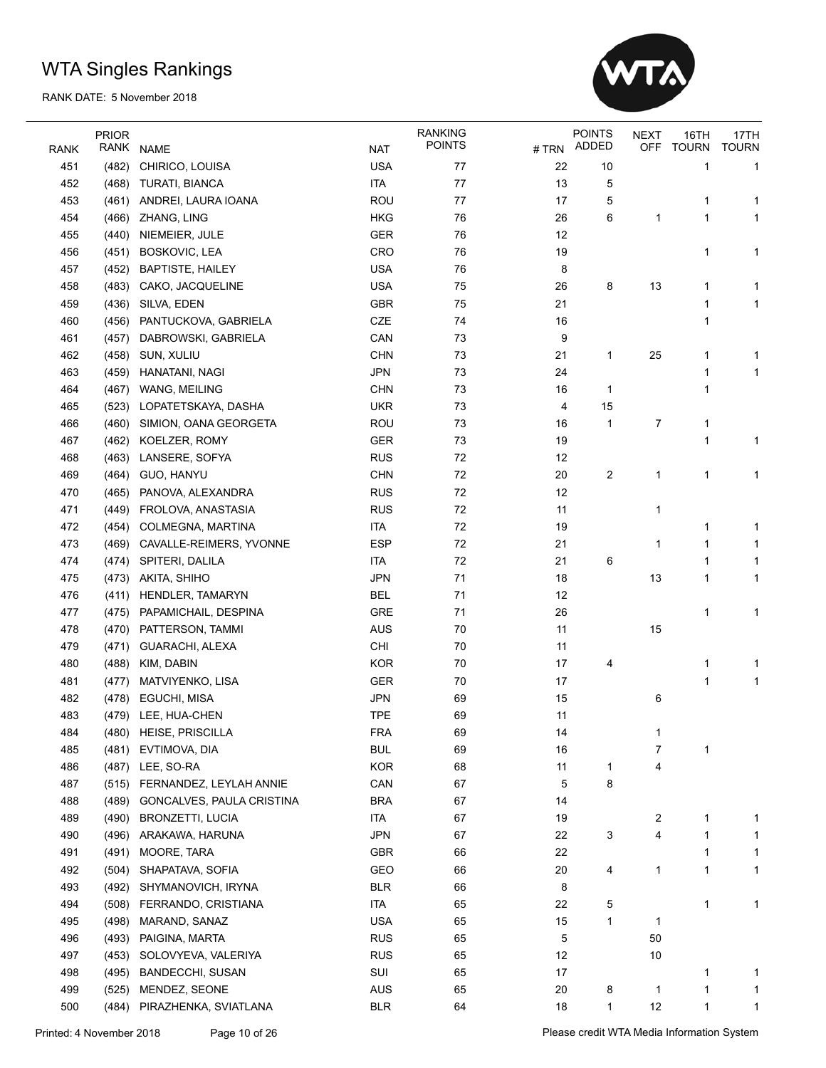

|             | <b>PRIOR</b>   |                               |                          | <b>RANKING</b> |          | <b>POINTS</b> | <b>NEXT</b> | 16TH         | 17TH         |
|-------------|----------------|-------------------------------|--------------------------|----------------|----------|---------------|-------------|--------------|--------------|
| <b>RANK</b> | RANK           | <b>NAME</b>                   | <b>NAT</b>               | <b>POINTS</b>  | # TRN    | ADDED         | <b>OFF</b>  | <b>TOURN</b> | <b>TOURN</b> |
| 451         | (482)          | CHIRICO, LOUISA               | <b>USA</b>               | 77             | 22       | 10            |             | 1            | 1            |
| 452         | (468)          | TURATI, BIANCA                | <b>ITA</b>               | 77             | 13       | 5             |             |              |              |
| 453         | (461)          | ANDREI, LAURA IOANA           | ROU                      | 77             | 17       | 5             |             | 1            | 1            |
| 454         | (466)          | ZHANG, LING                   | <b>HKG</b>               | 76             | 26       | 6             | 1           | $\mathbf{1}$ | 1            |
| 455         | (440)          | NIEMEIER, JULE                | <b>GER</b>               | 76             | 12       |               |             |              |              |
| 456         | (451)          | BOSKOVIC, LEA                 | CRO                      | 76             | 19       |               |             | 1            | 1            |
| 457         | (452)          | <b>BAPTISTE, HAILEY</b>       | <b>USA</b>               | 76             | 8        |               |             |              |              |
| 458         |                | (483) CAKO, JACQUELINE        | <b>USA</b>               | 75             | 26       | 8             | 13          | 1            | 1            |
| 459         | (436)          | SILVA, EDEN                   | <b>GBR</b>               | 75             | 21       |               |             | 1            | 1            |
| 460         | (456)          | PANTUCKOVA, GABRIELA          | CZE                      | 74             | 16       |               |             | 1            |              |
| 461         | (457)          | DABROWSKI, GABRIELA           | CAN                      | 73             | 9        |               |             |              |              |
| 462         | (458)          | SUN, XULIU                    | <b>CHN</b>               | 73             | 21       | 1             | 25          | 1            | 1            |
| 463         | (459)          | HANATANI, NAGI                | <b>JPN</b>               | 73             | 24       |               |             | 1            | 1            |
| 464         | (467)          | WANG, MEILING                 | <b>CHN</b>               | 73             | 16       | 1             |             | 1            |              |
| 465         | (523)          | LOPATETSKAYA, DASHA           | <b>UKR</b>               | 73             | 4        | 15            |             |              |              |
| 466         | (460)          | SIMION, OANA GEORGETA         | <b>ROU</b>               | 73             | 16       | 1             | 7           | 1            |              |
| 467         | (462)          | KOELZER, ROMY                 | <b>GER</b>               | 73             | 19       |               |             | 1            | 1            |
| 468         | (463)          | LANSERE, SOFYA                | <b>RUS</b>               | 72             | 12       |               |             |              |              |
| 469         | (464)          | GUO, HANYU                    | <b>CHN</b>               | 72             | 20       | 2             | 1           | 1            | 1            |
| 470         | (465)          | PANOVA, ALEXANDRA             | <b>RUS</b>               | 72             | 12       |               |             |              |              |
| 471         | (449)          | FROLOVA, ANASTASIA            | <b>RUS</b>               | 72             | 11       |               | 1           |              |              |
| 472         | (454)          | COLMEGNA, MARTINA             | <b>ITA</b>               | 72             | 19       |               |             | 1            | 1            |
| 473         |                | (469) CAVALLE-REIMERS, YVONNE | <b>ESP</b>               | 72             | 21       |               | 1           | 1            | 1            |
| 474         |                | (474) SPITERI, DALILA         | <b>ITA</b>               | 72             | 21       | 6             |             | 1            | 1            |
| 475         |                | (473) AKITA, SHIHO            | <b>JPN</b>               | 71             | 18       |               | 13          | 1            | 1            |
| 476         | (411)          | HENDLER, TAMARYN              | <b>BEL</b>               | 71             | 12       |               |             |              |              |
| 477         | (475)          | PAPAMICHAIL, DESPINA          | <b>GRE</b>               | 71             | 26       |               |             | 1            | 1            |
| 478         | (470)          | PATTERSON, TAMMI              | AUS                      | 70             | 11       |               | 15          |              |              |
| 479         | (471)          | GUARACHI, ALEXA               | CHI                      | 70             | 11       |               |             |              |              |
| 480         | (488)          | KIM, DABIN                    | <b>KOR</b>               | 70             | 17       | 4             |             | 1            |              |
| 481         | (477)          | MATVIYENKO, LISA              | <b>GER</b>               | 70             | 17       |               |             | 1            | 1<br>1       |
| 482         | (478)          | EGUCHI, MISA                  | <b>JPN</b>               | 69             | 15       |               | 6           |              |              |
| 483         |                | (479) LEE, HUA-CHEN           | <b>TPE</b>               | 69             | 11       |               |             |              |              |
| 484         |                | (480) HEISE, PRISCILLA        | <b>FRA</b>               | 69             | 14       |               |             |              |              |
| 485         |                |                               |                          | 69             |          |               | 7           | 1            |              |
|             | (481)<br>(487) | EVTIMOVA, DIA<br>LEE, SO-RA   | <b>BUL</b><br><b>KOR</b> | 68             | 16<br>11 |               | 4           |              |              |
| 486<br>487  |                |                               | CAN                      | 67             | 5        | 1<br>8        |             |              |              |
|             | (515)          | FERNANDEZ, LEYLAH ANNIE       |                          |                |          |               |             |              |              |
| 488         | (489)          | GONCALVES, PAULA CRISTINA     | <b>BRA</b>               | 67             | 14       |               |             |              |              |
| 489         | (490)          | <b>BRONZETTI, LUCIA</b>       | <b>ITA</b>               | 67             | 19       |               | 2           | 1            | 1            |
| 490         | (496)          | ARAKAWA, HARUNA               | <b>JPN</b>               | 67             | 22       | 3             | 4           | 1            | 1            |
| 491         | (491)          | MOORE, TARA                   | GBR                      | 66             | 22       |               |             | $\mathbf{1}$ | 1            |
| 492         | (504)          | SHAPATAVA, SOFIA              | GEO                      | 66             | 20       | 4             | 1           | 1            | 1            |
| 493         | (492)          | SHYMANOVICH, IRYNA            | <b>BLR</b>               | 66             | 8        |               |             |              |              |
| 494         | (508)          | FERRANDO, CRISTIANA           | <b>ITA</b>               | 65             | 22       | 5             |             | 1            | 1            |
| 495         | (498)          | MARAND, SANAZ                 | <b>USA</b>               | 65             | 15       | 1             | 1           |              |              |
| 496         | (493)          | PAIGINA, MARTA                | <b>RUS</b>               | 65             | 5        |               | 50          |              |              |
| 497         | (453)          | SOLOVYEVA, VALERIYA           | <b>RUS</b>               | 65             | 12       |               | 10          |              |              |
| 498         | (495)          | <b>BANDECCHI, SUSAN</b>       | SUI                      | 65             | 17       |               |             | 1            | 1            |
| 499         | (525)          | MENDEZ, SEONE                 | <b>AUS</b>               | 65             | 20       | 8             | $\mathbf 1$ | 1            | 1            |
| 500         | (484)          | PIRAZHENKA, SVIATLANA         | <b>BLR</b>               | 64             | 18       | 1             | 12          | 1            | 1            |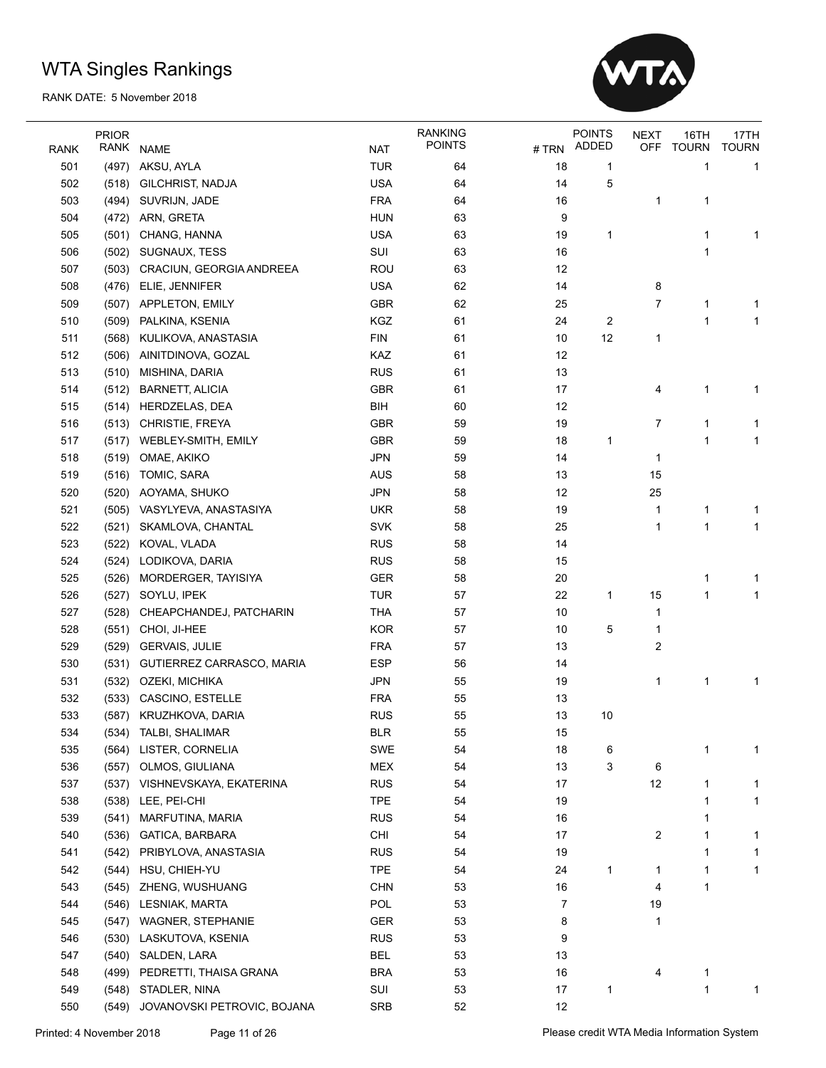

|      | <b>PRIOR</b> |                             |            | <b>RANKING</b> |       | <b>POINTS</b> | <b>NEXT</b> | 16TH         | 17TH         |
|------|--------------|-----------------------------|------------|----------------|-------|---------------|-------------|--------------|--------------|
| RANK | RANK         | <b>NAME</b>                 | <b>NAT</b> | <b>POINTS</b>  | # TRN | ADDED         | OFF         | <b>TOURN</b> | <b>TOURN</b> |
| 501  | (497)        | AKSU, AYLA                  | <b>TUR</b> | 64             | 18    | 1             |             | 1            | 1            |
| 502  | (518)        | GILCHRIST, NADJA            | <b>USA</b> | 64             | 14    | 5             |             |              |              |
| 503  | (494)        | SUVRIJN, JADE               | <b>FRA</b> | 64             | 16    |               | 1           | 1            |              |
| 504  | (472)        | ARN, GRETA                  | <b>HUN</b> | 63             | 9     |               |             |              |              |
| 505  | (501)        | CHANG, HANNA                | <b>USA</b> | 63             | 19    | 1             |             | 1            | 1            |
| 506  | (502)        | SUGNAUX, TESS               | SUI        | 63             | 16    |               |             | 1            |              |
| 507  | (503)        | CRACIUN, GEORGIA ANDREEA    | <b>ROU</b> | 63             | 12    |               |             |              |              |
| 508  | (476)        | ELIE, JENNIFER              | <b>USA</b> | 62             | 14    |               | 8           |              |              |
| 509  | (507)        | APPLETON, EMILY             | <b>GBR</b> | 62             | 25    |               | 7           | 1            | 1            |
| 510  | (509)        | PALKINA, KSENIA             | KGZ        | 61             | 24    | 2             |             | 1            | 1            |
| 511  | (568)        | KULIKOVA, ANASTASIA         | <b>FIN</b> | 61             | 10    | 12            | 1           |              |              |
| 512  | (506)        | AINITDINOVA, GOZAL          | KAZ        | 61             | 12    |               |             |              |              |
| 513  | (510)        | MISHINA, DARIA              | <b>RUS</b> | 61             | 13    |               |             |              |              |
| 514  | (512)        | <b>BARNETT, ALICIA</b>      | <b>GBR</b> | 61             | 17    |               | 4           | 1            | 1            |
| 515  | (514)        | HERDZELAS, DEA              | BIH        | 60             | 12    |               |             |              |              |
| 516  | (513)        | CHRISTIE, FREYA             | <b>GBR</b> | 59             | 19    |               | 7           | 1            | 1            |
| 517  | (517)        | WEBLEY-SMITH, EMILY         | <b>GBR</b> | 59             | 18    | 1             |             | 1            | 1            |
| 518  | (519)        | OMAE, AKIKO                 | <b>JPN</b> | 59             | 14    |               | 1           |              |              |
| 519  | (516)        | TOMIC, SARA                 | <b>AUS</b> | 58             | 13    |               | 15          |              |              |
| 520  | (520)        | AOYAMA, SHUKO               | <b>JPN</b> | 58             | 12    |               | 25          |              |              |
| 521  | (505)        | VASYLYEVA, ANASTASIYA       | <b>UKR</b> | 58             | 19    |               | 1           | 1            | 1            |
| 522  | (521)        | SKAMLOVA, CHANTAL           | SVK        | 58             | 25    |               | 1           | 1            | 1            |
| 523  | (522)        | KOVAL, VLADA                | <b>RUS</b> | 58             | 14    |               |             |              |              |
| 524  | (524)        | LODIKOVA, DARIA             | <b>RUS</b> | 58             | 15    |               |             |              |              |
| 525  | (526)        | MORDERGER, TAYISIYA         | GER        | 58             | 20    |               |             | 1            | 1            |
| 526  |              | SOYLU, IPEK                 |            | 57             | 22    |               | 15          | 1            |              |
|      | (527)        |                             | <b>TUR</b> |                |       | 1             |             |              | 1            |
| 527  | (528)        | CHEAPCHANDEJ, PATCHARIN     | <b>THA</b> | 57             | 10    |               | 1           |              |              |
| 528  | (551)        | CHOI, JI-HEE                | <b>KOR</b> | 57             | 10    | 5             | 1           |              |              |
| 529  | (529)        | GERVAIS, JULIE              | <b>FRA</b> | 57             | 13    |               | 2           |              |              |
| 530  | (531)        | GUTIERREZ CARRASCO, MARIA   | <b>ESP</b> | 56             | 14    |               |             |              |              |
| 531  | (532)        | OZEKI, MICHIKA              | <b>JPN</b> | 55             | 19    |               | 1           | 1            | 1            |
| 532  | (533)        | CASCINO, ESTELLE            | <b>FRA</b> | 55             | 13    |               |             |              |              |
| 533  |              | (587) KRUZHKOVA, DARIA      | <b>RUS</b> | 55             | 13    | 10            |             |              |              |
| 534  | (534)        | TALBI, SHALIMAR             | <b>BLR</b> | 55             | 15    |               |             |              |              |
| 535  | (564)        | LISTER, CORNELIA            | SWE        | 54             | 18    | 6             |             | 1            | 1            |
| 536  | (557)        | OLMOS, GIULIANA             | <b>MEX</b> | 54             | 13    | 3             | 6           |              |              |
| 537  | (537)        | VISHNEVSKAYA, EKATERINA     | <b>RUS</b> | 54             | 17    |               | 12          | 1            | 1            |
| 538  | (538)        | LEE, PEI-CHI                | <b>TPE</b> | 54             | 19    |               |             | 1            | 1            |
| 539  | (541)        | MARFUTINA, MARIA            | <b>RUS</b> | 54             | 16    |               |             | 1            |              |
| 540  | (536)        | GATICA, BARBARA             | CHI        | 54             | 17    |               | 2           | 1            | 1            |
| 541  | (542)        | PRIBYLOVA, ANASTASIA        | <b>RUS</b> | 54             | 19    |               |             | 1            | 1            |
| 542  | (544)        | HSU, CHIEH-YU               | <b>TPE</b> | 54             | 24    | $\mathbf 1$   | 1           | 1            | 1            |
| 543  | (545)        | ZHENG, WUSHUANG             | CHN        | 53             | 16    |               | 4           | 1            |              |
| 544  | (546)        | LESNIAK, MARTA              | POL        | 53             | 7     |               | 19          |              |              |
| 545  | (547)        | WAGNER, STEPHANIE           | <b>GER</b> | 53             | 8     |               | 1           |              |              |
| 546  | (530)        | LASKUTOVA, KSENIA           | <b>RUS</b> | 53             | 9     |               |             |              |              |
| 547  | (540)        | SALDEN, LARA                | <b>BEL</b> | 53             | 13    |               |             |              |              |
| 548  | (499)        | PEDRETTI, THAISA GRANA      | <b>BRA</b> | 53             | 16    |               | 4           | 1            |              |
| 549  | (548)        | STADLER, NINA               | SUI        | 53             | 17    | 1             |             | 1            | 1            |
| 550  | (549)        | JOVANOVSKI PETROVIC, BOJANA | SRB        | 52             | 12    |               |             |              |              |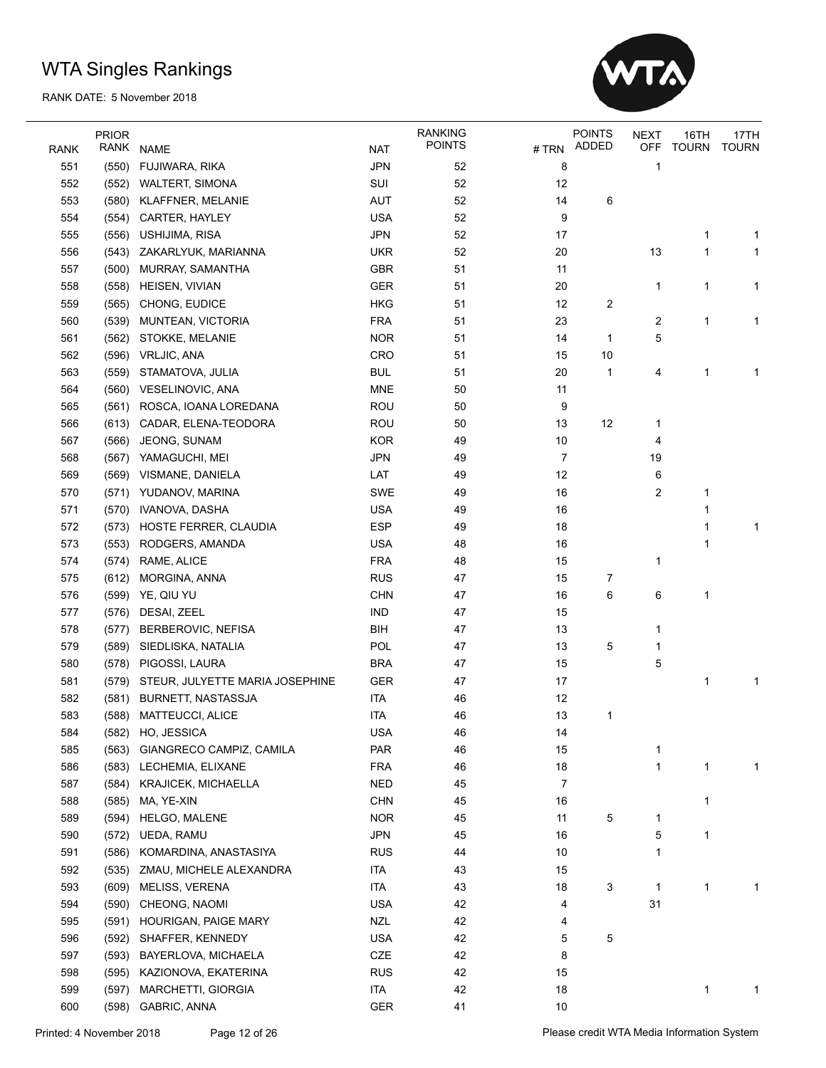

|      | <b>PRIOR</b> |                                 |            | <b>RANKING</b> |          | <b>POINTS</b> | <b>NEXT</b>  | 16TH         | 17TH         |
|------|--------------|---------------------------------|------------|----------------|----------|---------------|--------------|--------------|--------------|
| RANK | RANK         | <b>NAME</b>                     | <b>NAT</b> | <b>POINTS</b>  | $\#$ TRN | <b>ADDED</b>  | OFF          | <b>TOURN</b> | <b>TOURN</b> |
| 551  | (550)        | FUJIWARA, RIKA                  | <b>JPN</b> | 52             | 8        |               | 1            |              |              |
| 552  | (552)        | WALTERT, SIMONA                 | SUI        | 52             | 12       |               |              |              |              |
| 553  | (580)        | KLAFFNER, MELANIE               | <b>AUT</b> | 52             | 14       | 6             |              |              |              |
| 554  | (554)        | CARTER, HAYLEY                  | <b>USA</b> | 52             | 9        |               |              |              |              |
| 555  | (556)        | USHIJIMA, RISA                  | <b>JPN</b> | 52             | 17       |               |              | 1            | 1            |
| 556  | (543)        | ZAKARLYUK, MARIANNA             | <b>UKR</b> | 52             | 20       |               | 13           | 1            | 1            |
| 557  | (500)        | MURRAY, SAMANTHA                | GBR        | 51             | 11       |               |              |              |              |
| 558  | (558)        | HEISEN, VIVIAN                  | GER        | 51             | 20       |               | 1            | 1            | 1            |
| 559  | (565)        | CHONG, EUDICE                   | HKG        | 51             | 12       | 2             |              |              |              |
| 560  | (539)        | MUNTEAN, VICTORIA               | <b>FRA</b> | 51             | 23       |               | 2            | 1            | 1            |
| 561  | (562)        | STOKKE, MELANIE                 | <b>NOR</b> | 51             | 14       | 1             | 5            |              |              |
| 562  | (596)        | VRLJIC, ANA                     | CRO        | 51             | 15       | 10            |              |              |              |
| 563  | (559)        | STAMATOVA, JULIA                | <b>BUL</b> | 51             | 20       | 1             | 4            | 1            | 1            |
| 564  | (560)        | VESELINOVIC, ANA                | <b>MNE</b> | 50             | 11       |               |              |              |              |
| 565  | (561)        | ROSCA, IOANA LOREDANA           | <b>ROU</b> | 50             | 9        |               |              |              |              |
| 566  | (613)        | CADAR, ELENA-TEODORA            | ROU        | 50             | 13       | 12            | 1            |              |              |
| 567  | (566)        | JEONG, SUNAM                    | <b>KOR</b> | 49             | 10       |               | 4            |              |              |
| 568  | (567)        | YAMAGUCHI, MEI                  | <b>JPN</b> | 49             | 7        |               | 19           |              |              |
| 569  | (569)        | VISMANE, DANIELA                | LAT        | 49             | 12       |               | 6            |              |              |
| 570  |              | (571) YUDANOV, MARINA           | <b>SWE</b> | 49             | 16       |               | 2            | 1            |              |
| 571  | (570)        | IVANOVA, DASHA                  | <b>USA</b> | 49             | 16       |               |              | 1            |              |
| 572  | (573)        | HOSTE FERRER, CLAUDIA           | <b>ESP</b> | 49             | 18       |               |              | 1            | 1            |
| 573  | (553)        | RODGERS, AMANDA                 | <b>USA</b> | 48             | 16       |               |              | 1            |              |
| 574  | (574)        | RAME, ALICE                     | <b>FRA</b> | 48             | 15       |               | 1            |              |              |
| 575  | (612)        | MORGINA, ANNA                   | <b>RUS</b> | 47             | 15       | 7             |              |              |              |
| 576  | (599)        | YE, QIU YU                      | <b>CHN</b> | 47             | 16       | 6             | 6            | 1            |              |
| 577  | (576)        | DESAI, ZEEL                     | <b>IND</b> | 47             | 15       |               |              |              |              |
| 578  | (577)        | BERBEROVIC, NEFISA              | <b>BIH</b> | 47             | 13       |               | 1            |              |              |
| 579  | (589)        | SIEDLISKA, NATALIA              | POL        | 47             | 13       | 5             | 1            |              |              |
| 580  | (578)        | PIGOSSI, LAURA                  | <b>BRA</b> | 47             | 15       |               | 5            |              |              |
| 581  | (579)        | STEUR, JULYETTE MARIA JOSEPHINE | GER        | 47             | 17       |               |              | 1            | 1            |
| 582  | (581)        | <b>BURNETT, NASTASSJA</b>       | <b>ITA</b> | 46             | 12       |               |              |              |              |
| 583  |              | (588) MATTEUCCI, ALICE          | <b>ITA</b> | 46             | 13       | 1             |              |              |              |
| 584  |              | (582) HO, JESSICA               | <b>USA</b> | 46             | 14       |               |              |              |              |
| 585  | (563)        | GIANGRECO CAMPIZ, CAMILA        | PAR        | 46             | 15       |               | 1            |              |              |
| 586  | (583)        | LECHEMIA, ELIXANE               | <b>FRA</b> | 46             | $18$     |               | 1            | 1            | 1            |
| 587  | (584)        | KRAJICEK, MICHAELLA             | <b>NED</b> | 45             | 7        |               |              |              |              |
| 588  | (585)        | MA, YE-XIN                      | <b>CHN</b> | 45             | 16       |               |              | 1            |              |
| 589  | (594)        | HELGO, MALENE                   | <b>NOR</b> | 45             | 11       | 5             | 1            |              |              |
| 590  | (572)        | UEDA, RAMU                      | <b>JPN</b> | 45             | 16       |               | 5            | 1            |              |
| 591  | (586)        | KOMARDINA, ANASTASIYA           | <b>RUS</b> | 44             | 10       |               | 1            |              |              |
| 592  | (535)        | ZMAU, MICHELE ALEXANDRA         | <b>ITA</b> | 43             | 15       |               |              |              |              |
| 593  | (609)        | MELISS, VERENA                  | ITA        | 43             | 18       | 3             | $\mathbf{1}$ | 1            | 1            |
| 594  | (590)        | CHEONG, NAOMI                   | <b>USA</b> | 42             | 4        |               | 31           |              |              |
| 595  | (591)        | HOURIGAN, PAIGE MARY            | <b>NZL</b> | 42             | 4        |               |              |              |              |
| 596  | (592)        | SHAFFER, KENNEDY                | <b>USA</b> | 42             | 5        | 5             |              |              |              |
| 597  | (593)        | BAYERLOVA, MICHAELA             | CZE        | 42             | 8        |               |              |              |              |
| 598  | (595)        | KAZIONOVA, EKATERINA            | <b>RUS</b> | 42             | 15       |               |              |              |              |
| 599  | (597)        | MARCHETTI, GIORGIA              | ITA        | 42             | 18       |               |              | 1            | 1            |
|      | (598)        |                                 |            | 41             |          |               |              |              |              |
| 600  |              | GABRIC, ANNA                    | GER        |                | 10       |               |              |              |              |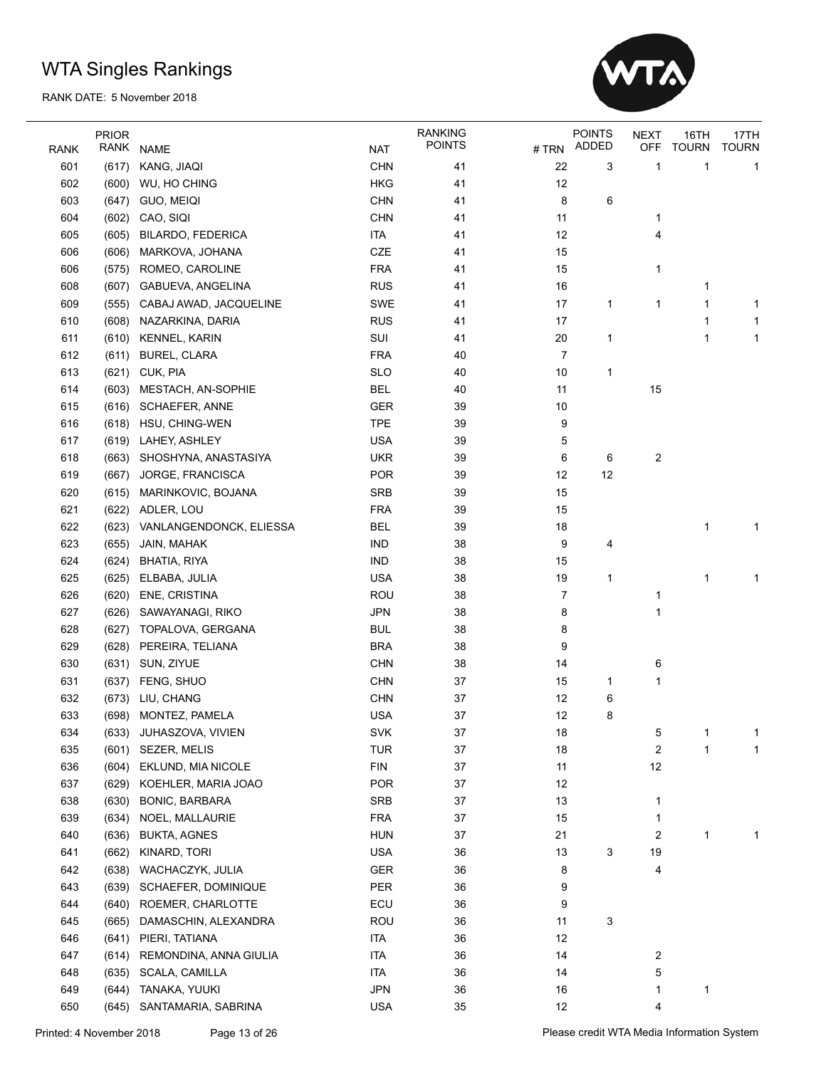

|            | <b>PRIOR</b> |                         |                          | <b>RANKING</b> |        | <b>POINTS</b> | <b>NEXT</b> | 16TH         | 17TH         |
|------------|--------------|-------------------------|--------------------------|----------------|--------|---------------|-------------|--------------|--------------|
| RANK       | RANK         | <b>NAME</b>             | <b>NAT</b>               | <b>POINTS</b>  |        | #TRN ADDED    | <b>OFF</b>  | <b>TOURN</b> | <b>TOURN</b> |
| 601        | (617)        | KANG, JIAQI             | <b>CHN</b>               | 41             | 22     | 3             | 1           | 1            | 1            |
| 602        | (600)        | WU, HO CHING            | <b>HKG</b>               | 41             | 12     |               |             |              |              |
| 603        | (647)        | <b>GUO, MEIQI</b>       | <b>CHN</b>               | 41             | 8      | 6             |             |              |              |
| 604        | (602)        | CAO, SIQI               | <b>CHN</b>               | 41             | 11     |               | 1           |              |              |
| 605        | (605)        | BILARDO, FEDERICA       | <b>ITA</b>               | 41             | 12     |               | 4           |              |              |
| 606        | (606)        | MARKOVA, JOHANA         | CZE                      | 41             | 15     |               |             |              |              |
| 606        | (575)        | ROMEO, CAROLINE         | <b>FRA</b>               | 41             | 15     |               | 1           |              |              |
| 608        |              | (607) GABUEVA, ANGELINA | <b>RUS</b>               | 41             | 16     |               |             | 1            |              |
| 609        | (555)        | CABAJ AWAD, JACQUELINE  | <b>SWE</b>               | 41             | 17     | 1             | 1           | 1            | 1            |
| 610        | (608)        | NAZARKINA, DARIA        | <b>RUS</b>               | 41             | 17     |               |             | 1            | 1            |
| 611        | (610)        | KENNEL, KARIN           | SUI                      | 41             | 20     | 1             |             | 1            | 1            |
| 612        | (611)        | <b>BUREL, CLARA</b>     | <b>FRA</b>               | 40             | 7      |               |             |              |              |
| 613        | (621)        | CUK, PIA                | <b>SLO</b>               | 40             | 10     | 1             |             |              |              |
| 614        | (603)        | MESTACH, AN-SOPHIE      | <b>BEL</b>               | 40             | 11     |               | 15          |              |              |
| 615        |              | (616) SCHAEFER, ANNE    | <b>GER</b>               | 39             | 10     |               |             |              |              |
| 616        |              | (618) HSU, CHING-WEN    | <b>TPE</b>               | 39             | 9      |               |             |              |              |
| 617        | (619)        | LAHEY, ASHLEY           | <b>USA</b>               | 39             | 5      |               |             |              |              |
| 618        | (663)        | SHOSHYNA, ANASTASIYA    | <b>UKR</b>               | 39             | 6      | 6             | 2           |              |              |
| 619        | (667)        | JORGE, FRANCISCA        | <b>POR</b>               | 39             | 12     | 12            |             |              |              |
| 620        | (615)        | MARINKOVIC, BOJANA      | <b>SRB</b>               | 39             | 15     |               |             |              |              |
| 621        | (622)        | ADLER, LOU              | <b>FRA</b>               | 39             | 15     |               |             |              |              |
| 622        | (623)        | VANLANGENDONCK, ELIESSA | <b>BEL</b>               | 39             | 18     |               |             | 1            | 1            |
| 623        | (655)        | JAIN, MAHAK             | <b>IND</b>               | 38             | 9      | 4             |             |              |              |
| 624        | (624)        | BHATIA, RIYA            | <b>IND</b>               | 38             | 15     |               |             |              |              |
| 625        | (625)        | ELBABA, JULIA           | <b>USA</b>               | 38             | 19     | 1             |             | 1            | 1            |
| 626        | (620)        | ENE, CRISTINA           | ROU                      | 38             | 7      |               | 1           |              |              |
| 627        | (626)        | SAWAYANAGI, RIKO        | <b>JPN</b>               | 38             | 8      |               | 1           |              |              |
| 628        |              |                         |                          | 38             | 8      |               |             |              |              |
| 629        | (627)        | TOPALOVA, GERGANA       | <b>BUL</b><br><b>BRA</b> | 38             | 9      |               |             |              |              |
|            | (628)        | PEREIRA, TELIANA        |                          |                |        |               |             |              |              |
| 630        | (631)        | SUN, ZIYUE              | <b>CHN</b>               | 38             | 14     |               | 6           |              |              |
| 631<br>632 | (637)        | FENG, SHUO              | <b>CHN</b><br><b>CHN</b> | 37<br>37       | 15     | 1             | 1           |              |              |
|            |              | (673) LIU, CHANG        |                          |                | 12     | 6             |             |              |              |
| 633        |              | (698) MONTEZ, PAMELA    | <b>USA</b>               | 37             | 12     | 8             |             |              |              |
| 634        |              | (633) JUHASZOVA, VIVIEN | SVK                      | 37             | $18\,$ |               | b           |              |              |
| 635        |              | (601) SEZER, MELIS      | <b>TUR</b>               | 37             | 18     |               | 2           | 1            | 1            |
| 636        | (604)        | EKLUND, MIA NICOLE      | <b>FIN</b>               | 37             | 11     |               | 12          |              |              |
| 637        | (629)        | KOEHLER, MARIA JOAO     | POR                      | 37             | 12     |               |             |              |              |
| 638        | (630)        | BONIC, BARBARA          | SRB                      | 37             | 13     |               | 1           |              |              |
| 639        | (634)        | NOEL, MALLAURIE         | <b>FRA</b>               | 37             | 15     |               | $\mathbf 1$ |              |              |
| 640        | (636)        | <b>BUKTA, AGNES</b>     | <b>HUN</b>               | 37             | 21     |               | 2           | 1            | 1            |
| 641        | (662)        | KINARD, TORI            | <b>USA</b>               | 36             | 13     | 3             | 19          |              |              |
| 642        | (638)        | WACHACZYK, JULIA        | GER                      | 36             | 8      |               | 4           |              |              |
| 643        | (639)        | SCHAEFER, DOMINIQUE     | PER                      | 36             | 9      |               |             |              |              |
| 644        | (640)        | ROEMER, CHARLOTTE       | ECU                      | 36             | 9      |               |             |              |              |
| 645        | (665)        | DAMASCHIN, ALEXANDRA    | ROU                      | 36             | 11     | 3             |             |              |              |
| 646        | (641)        | PIERI, TATIANA          | <b>ITA</b>               | 36             | 12     |               |             |              |              |
| 647        | (614)        | REMONDINA, ANNA GIULIA  | <b>ITA</b>               | 36             | 14     |               | 2           |              |              |
| 648        | (635)        | <b>SCALA, CAMILLA</b>   | <b>ITA</b>               | 36             | 14     |               | 5           |              |              |
| 649        | (644)        | TANAKA, YUUKI           | <b>JPN</b>               | 36             | 16     |               | 1           | 1            |              |
| 650        | (645)        | SANTAMARIA, SABRINA     | <b>USA</b>               | 35             | 12     |               | 4           |              |              |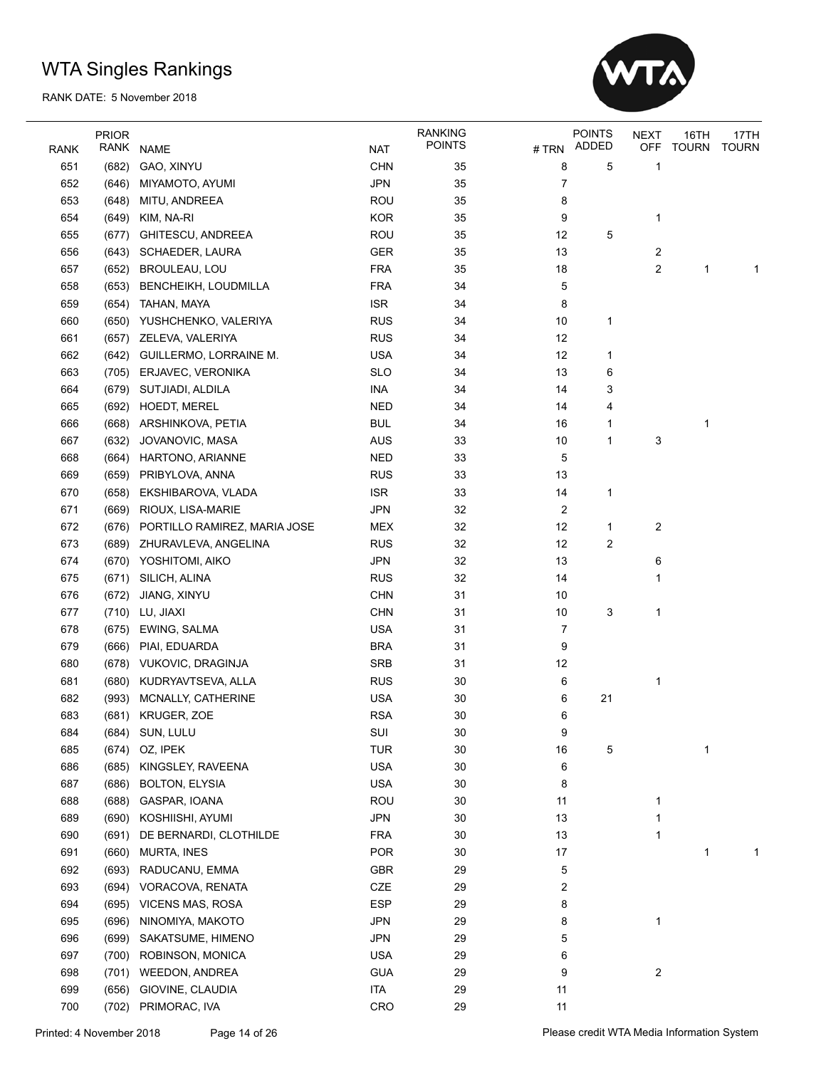

|             | <b>PRIOR</b> |                              |            | <b>RANKING</b> |        | <b>POINTS</b> | <b>NEXT</b> | 16TH         | 17TH         |
|-------------|--------------|------------------------------|------------|----------------|--------|---------------|-------------|--------------|--------------|
| <b>RANK</b> | RANK         | <b>NAME</b>                  | <b>NAT</b> | <b>POINTS</b>  | # TRN  | ADDED         | <b>OFF</b>  | <b>TOURN</b> | <b>TOURN</b> |
| 651         | (682)        | GAO, XINYU                   | <b>CHN</b> | 35             | 8      | 5             | 1           |              |              |
| 652         | (646)        | MIYAMOTO, AYUMI              | <b>JPN</b> | 35             | 7      |               |             |              |              |
| 653         | (648)        | MITU, ANDREEA                | <b>ROU</b> | 35             | 8      |               |             |              |              |
| 654         | (649)        | KIM, NA-RI                   | <b>KOR</b> | 35             | 9      |               | 1           |              |              |
| 655         | (677)        | GHITESCU, ANDREEA            | <b>ROU</b> | 35             | 12     | 5             |             |              |              |
| 656         | (643)        | <b>SCHAEDER, LAURA</b>       | GER        | 35             | 13     |               | 2           |              |              |
| 657         | (652)        | <b>BROULEAU, LOU</b>         | <b>FRA</b> | 35             | $18$   |               | 2           | 1            | 1            |
| 658         | (653)        | <b>BENCHEIKH, LOUDMILLA</b>  | <b>FRA</b> | 34             | 5      |               |             |              |              |
| 659         | (654)        | TAHAN, MAYA                  | <b>ISR</b> | 34             | 8      |               |             |              |              |
| 660         | (650)        | YUSHCHENKO, VALERIYA         | <b>RUS</b> | 34             | 10     | 1             |             |              |              |
| 661         | (657)        | ZELEVA, VALERIYA             | <b>RUS</b> | 34             | 12     |               |             |              |              |
| 662         | (642)        | GUILLERMO, LORRAINE M.       | <b>USA</b> | 34             | 12     | 1             |             |              |              |
| 663         | (705)        | ERJAVEC, VERONIKA            | <b>SLO</b> | 34             | 13     | 6             |             |              |              |
| 664         |              | (679) SUTJIADI, ALDILA       | INA        | 34             | 14     | 3             |             |              |              |
| 665         | (692)        | <b>HOEDT, MEREL</b>          | <b>NED</b> | 34             | 14     | 4             |             |              |              |
| 666         | (668)        | ARSHINKOVA, PETIA            | <b>BUL</b> | 34             | 16     | 1             |             | 1            |              |
| 667         | (632)        | JOVANOVIC, MASA              | <b>AUS</b> | 33             | 10     | 1             | 3           |              |              |
| 668         | (664)        | HARTONO, ARIANNE             | <b>NED</b> | 33             | 5      |               |             |              |              |
| 669         | (659)        | PRIBYLOVA, ANNA              | <b>RUS</b> | 33             | 13     |               |             |              |              |
| 670         | (658)        | EKSHIBAROVA, VLADA           | <b>ISR</b> | 33             | 14     | 1             |             |              |              |
| 671         | (669)        | RIOUX, LISA-MARIE            | <b>JPN</b> | 32             | 2      |               |             |              |              |
| 672         | (676)        | PORTILLO RAMIREZ, MARIA JOSE | <b>MEX</b> | 32             | 12     | 1             | 2           |              |              |
| 673         | (689)        | ZHURAVLEVA, ANGELINA         | <b>RUS</b> | 32             | 12     | 2             |             |              |              |
| 674         | (670)        | YOSHITOMI, AIKO              | <b>JPN</b> | 32             | 13     |               | 6           |              |              |
| 675         | (671)        | SILICH, ALINA                | <b>RUS</b> | 32             | 14     |               | 1           |              |              |
| 676         | (672)        | JIANG, XINYU                 | <b>CHN</b> | 31             | 10     |               |             |              |              |
| 677         | (710)        | LU, JIAXI                    | <b>CHN</b> | 31             | 10     | 3             | 1           |              |              |
| 678         | (675)        | EWING, SALMA                 | <b>USA</b> | 31             | 7      |               |             |              |              |
| 679         | (666)        | PIAI, EDUARDA                | <b>BRA</b> | 31             | 9      |               |             |              |              |
| 680         |              | (678) VUKOVIC, DRAGINJA      | <b>SRB</b> | 31             | 12     |               |             |              |              |
| 681         | (680)        | KUDRYAVTSEVA, ALLA           | <b>RUS</b> | 30             | 6      |               | 1           |              |              |
| 682         | (993)        | MCNALLY, CATHERINE           | <b>USA</b> | 30             | 6      | 21            |             |              |              |
| 683         | (681)        | KRUGER, ZOE                  | <b>RSA</b> | 30             | 6      |               |             |              |              |
| 684         | (684)        | SUN, LULU                    | SUI        | 30             | 9      |               |             |              |              |
| 685         | (674)        | OZ, IPEK                     | <b>TUR</b> | 30             | 16     | 5             |             | 1            |              |
| 686         | (685)        | KINGSLEY, RAVEENA            | <b>USA</b> | 30             | 6      |               |             |              |              |
| 687         | (686)        | <b>BOLTON, ELYSIA</b>        | <b>USA</b> | 30             | 8      |               |             |              |              |
| 688         | (688)        | GASPAR, IOANA                | <b>ROU</b> | 30             | 11     |               | 1           |              |              |
| 689         | (690)        | KOSHIISHI, AYUMI             | <b>JPN</b> | 30             | 13     |               | 1           |              |              |
| 690         | (691)        | DE BERNARDI, CLOTHILDE       | <b>FRA</b> | 30             | 13     |               | 1           |              |              |
| 691         | (660)        | MURTA, INES                  | POR        | 30             | $17\,$ |               |             | 1            | 1            |
| 692         | (693)        | RADUCANU, EMMA               | GBR        | 29             | 5      |               |             |              |              |
| 693         | (694)        | VORACOVA, RENATA             | CZE        | 29             | 2      |               |             |              |              |
| 694         | (695)        | <b>VICENS MAS, ROSA</b>      | <b>ESP</b> | 29             | 8      |               |             |              |              |
| 695         | (696)        | NINOMIYA, MAKOTO             | <b>JPN</b> | 29             | 8      |               | 1           |              |              |
| 696         | (699)        | SAKATSUME, HIMENO            | <b>JPN</b> | 29             | 5      |               |             |              |              |
| 697         | (700)        | ROBINSON, MONICA             | <b>USA</b> | 29             | 6      |               |             |              |              |
| 698         | (701)        | <b>WEEDON, ANDREA</b>        | <b>GUA</b> | 29             | 9      |               | 2           |              |              |
| 699         | (656)        | GIOVINE, CLAUDIA             | ITA        | 29             | 11     |               |             |              |              |
| 700         | (702)        | PRIMORAC, IVA                | CRO        | 29             | 11     |               |             |              |              |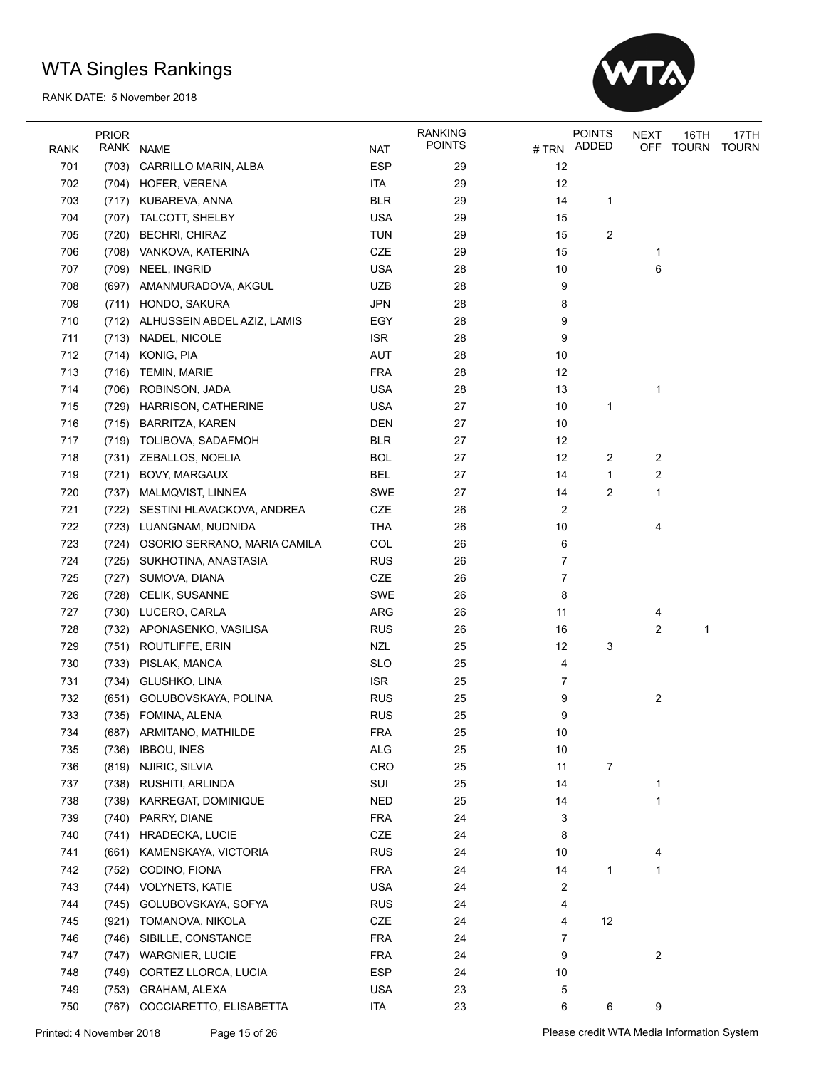

|             | <b>PRIOR</b> |                                    |            | <b>RANKING</b> |                         | <b>POINTS</b> | <b>NEXT</b> | 16TH  | 17TH         |
|-------------|--------------|------------------------------------|------------|----------------|-------------------------|---------------|-------------|-------|--------------|
| <b>RANK</b> | RANK         | NAME                               | <b>NAT</b> | <b>POINTS</b>  | # TRN                   | ADDED         | OFF         | TOURN | <b>TOURN</b> |
| 701         | (703)        | CARRILLO MARIN, ALBA               | <b>ESP</b> | 29             | 12                      |               |             |       |              |
| 702         |              | (704) HOFER, VERENA                | <b>ITA</b> | 29             | 12                      |               |             |       |              |
| 703         |              | (717) KUBAREVA, ANNA               | <b>BLR</b> | 29             | 14                      | 1             |             |       |              |
| 704         | (707)        | <b>TALCOTT, SHELBY</b>             | <b>USA</b> | 29             | 15                      |               |             |       |              |
| 705         | (720)        | <b>BECHRI, CHIRAZ</b>              | <b>TUN</b> | 29             | 15                      | 2             |             |       |              |
| 706         |              | (708) VANKOVA, KATERINA            | CZE        | 29             | 15                      |               | 1           |       |              |
| 707         |              | (709) NEEL, INGRID                 | <b>USA</b> | 28             | 10                      |               | 6           |       |              |
| 708         | (697)        | AMANMURADOVA, AKGUL                | <b>UZB</b> | 28             | 9                       |               |             |       |              |
| 709         |              | (711) HONDO, SAKURA                | <b>JPN</b> | 28             | 8                       |               |             |       |              |
| 710         |              | (712) ALHUSSEIN ABDEL AZIZ, LAMIS  | EGY        | 28             | 9                       |               |             |       |              |
| 711         |              | (713) NADEL, NICOLE                | <b>ISR</b> | 28             | 9                       |               |             |       |              |
| 712         |              | (714) KONIG, PIA                   | <b>AUT</b> | 28             | 10                      |               |             |       |              |
| 713         | (716)        | <b>TEMIN, MARIE</b>                | <b>FRA</b> | 28             | 12                      |               |             |       |              |
|             |              |                                    |            |                |                         |               |             |       |              |
| 714         | (706)        | ROBINSON, JADA                     | <b>USA</b> | 28             | 13                      |               | 1           |       |              |
| 715         | (729)        | <b>HARRISON, CATHERINE</b>         | <b>USA</b> | 27             | 10                      | 1             |             |       |              |
| 716         | (715)        | <b>BARRITZA, KAREN</b>             | <b>DEN</b> | 27             | 10                      |               |             |       |              |
| 717         |              | (719) TOLIBOVA, SADAFMOH           | <b>BLR</b> | 27             | 12                      |               |             |       |              |
| 718         | (731)        | ZEBALLOS, NOELIA                   | <b>BOL</b> | 27             | 12                      | 2             | 2           |       |              |
| 719         | (721)        | <b>BOVY, MARGAUX</b>               | <b>BEL</b> | 27             | 14                      | $\mathbf{1}$  | 2           |       |              |
| 720         | (737)        | MALMQVIST, LINNEA                  | SWE        | 27             | 14                      | 2             | 1           |       |              |
| 721         |              | (722) SESTINI HLAVACKOVA, ANDREA   | CZE        | 26             | 2                       |               |             |       |              |
| 722         |              | (723) LUANGNAM, NUDNIDA            | <b>THA</b> | 26             | 10                      |               | 4           |       |              |
| 723         |              | (724) OSORIO SERRANO, MARIA CAMILA | COL        | 26             | 6                       |               |             |       |              |
| 724         |              | (725) SUKHOTINA, ANASTASIA         | <b>RUS</b> | 26             | $\overline{7}$          |               |             |       |              |
| 725         |              | (727) SUMOVA, DIANA                | CZE        | 26             | 7                       |               |             |       |              |
| 726         | (728)        | CELIK, SUSANNE                     | <b>SWE</b> | 26             | 8                       |               |             |       |              |
| 727         | (730)        | LUCERO, CARLA                      | ARG        | 26             | 11                      |               | 4           |       |              |
| 728         | (732)        | APONASENKO, VASILISA               | <b>RUS</b> | 26             | 16                      |               | 2           | 1     |              |
| 729         |              | (751) ROUTLIFFE, ERIN              | <b>NZL</b> | 25             | 12                      | 3             |             |       |              |
| 730         | (733)        | PISLAK, MANCA                      | <b>SLO</b> | 25             | 4                       |               |             |       |              |
| 731         |              | (734) GLUSHKO, LINA                | <b>ISR</b> | 25             | 7                       |               |             |       |              |
| 732         |              | (651) GOLUBOVSKAYA, POLINA         | <b>RUS</b> | 25             | 9                       |               | 2           |       |              |
| 733         |              | (735) FOMINA, ALENA                | <b>RUS</b> | 25             | 9                       |               |             |       |              |
| 734         |              | (687) ARMITANO, MATHILDE           | <b>FRA</b> | 25             | 10                      |               |             |       |              |
| 735         | (736)        | <b>IBBOU, INES</b>                 | ALG        | 25             | 10                      |               |             |       |              |
| 736         | (819)        | NJIRIC, SILVIA                     | CRO        | 25             | 11                      | 7             |             |       |              |
| 737         | (738)        | RUSHITI, ARLINDA                   | SUI        | 25             | 14                      |               | 1           |       |              |
| 738         | (739)        | KARREGAT, DOMINIQUE                | <b>NED</b> | 25             | 14                      |               | 1           |       |              |
| 739         | (740)        | PARRY, DIANE                       | <b>FRA</b> | 24             | 3                       |               |             |       |              |
| 740         | (741)        | <b>HRADECKA, LUCIE</b>             | CZE        | 24             | 8                       |               |             |       |              |
| 741         | (661)        | KAMENSKAYA, VICTORIA               | <b>RUS</b> | 24             | 10                      |               | 4           |       |              |
| 742         | (752)        | CODINO, FIONA                      | <b>FRA</b> | 24             | 14                      | 1             | 1           |       |              |
| 743         |              | (744) VOLYNETS, KATIE              | <b>USA</b> | 24             | $\overline{\mathbf{c}}$ |               |             |       |              |
| 744         | (745)        | GOLUBOVSKAYA, SOFYA                | <b>RUS</b> | 24             |                         |               |             |       |              |
|             |              |                                    |            |                | 4                       |               |             |       |              |
| 745         | (921)        | TOMANOVA, NIKOLA                   | CZE        | 24             | 4                       | 12            |             |       |              |
| 746         | (746)        | SIBILLE, CONSTANCE                 | <b>FRA</b> | 24             | 7                       |               |             |       |              |
| 747         | (747)        | <b>WARGNIER, LUCIE</b>             | <b>FRA</b> | 24             | 9                       |               | 2           |       |              |
| 748         | (749)        | CORTEZ LLORCA, LUCIA               | <b>ESP</b> | 24             | 10                      |               |             |       |              |
| 749         |              | (753) GRAHAM, ALEXA                | <b>USA</b> | 23             | 5                       |               |             |       |              |
| 750         |              | (767) COCCIARETTO, ELISABETTA      | <b>ITA</b> | 23             | 6                       | 6             | 9           |       |              |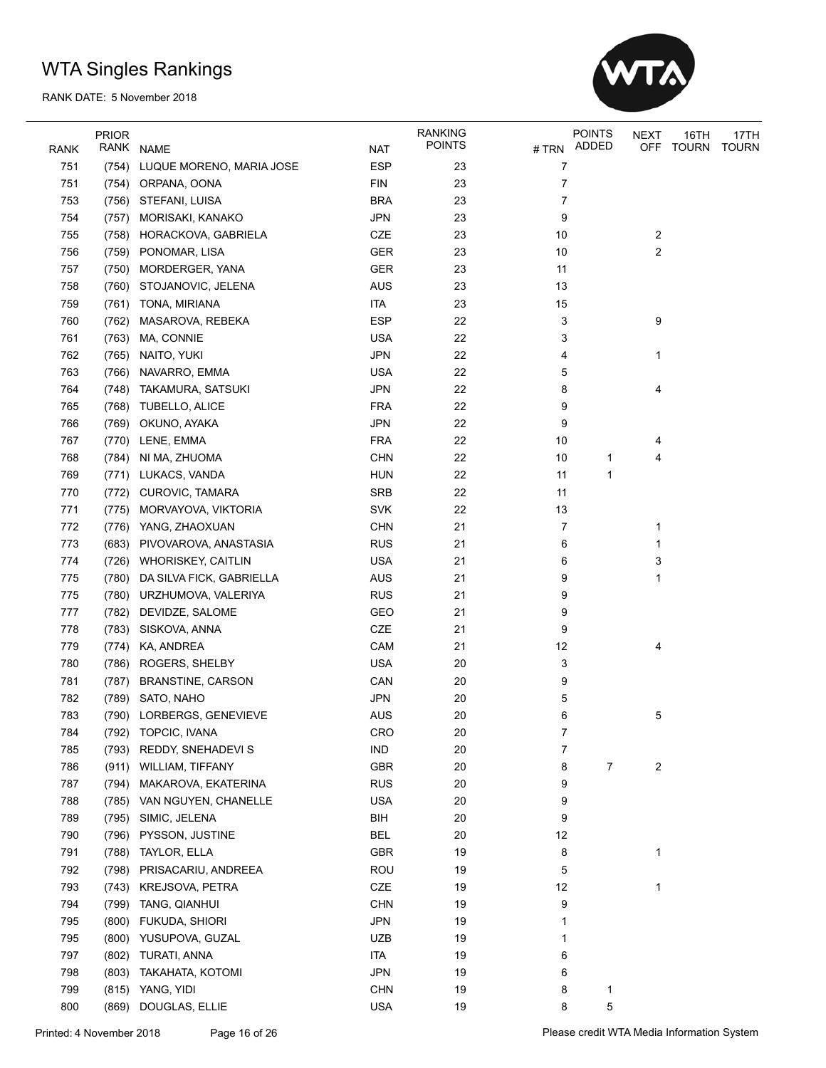

| <b>RANK</b> | <b>PRIOR</b> | RANK NAME                   | <b>NAT</b>               | <b>RANKING</b><br><b>POINTS</b> | # TRN | <b>POINTS</b><br>ADDED | <b>NEXT</b><br><b>OFF</b> | 16TH<br>TOURN | 17TH<br><b>TOURN</b> |
|-------------|--------------|-----------------------------|--------------------------|---------------------------------|-------|------------------------|---------------------------|---------------|----------------------|
| 751         | (754)        | LUQUE MORENO, MARIA JOSE    | <b>ESP</b>               | 23                              | 7     |                        |                           |               |                      |
| 751         | (754)        | ORPANA, OONA                | <b>FIN</b>               | 23                              | 7     |                        |                           |               |                      |
| 753         |              | (756) STEFANI, LUISA        | <b>BRA</b>               | 23                              | 7     |                        |                           |               |                      |
| 754         | (757)        | MORISAKI, KANAKO            | <b>JPN</b>               | 23                              | 9     |                        |                           |               |                      |
| 755         | (758)        | HORACKOVA, GABRIELA         | CZE                      | 23                              | 10    |                        | $\overline{c}$            |               |                      |
| 756         |              | (759) PONOMAR, LISA         | <b>GER</b>               | 23                              | 10    |                        | $\overline{c}$            |               |                      |
| 757         | (750)        | MORDERGER, YANA             | GER                      | 23                              | 11    |                        |                           |               |                      |
| 758         | (760)        | STOJANOVIC, JELENA          | <b>AUS</b>               | 23                              | 13    |                        |                           |               |                      |
| 759         |              | (761) TONA, MIRIANA         | <b>ITA</b>               | 23                              | 15    |                        |                           |               |                      |
| 760         | (762)        | MASAROVA, REBEKA            | <b>ESP</b>               | 22                              | 3     |                        | 9                         |               |                      |
| 761         | (763)        | MA, CONNIE                  | <b>USA</b>               | 22                              | 3     |                        |                           |               |                      |
| 762         | (765)        | NAITO, YUKI                 | <b>JPN</b>               | 22                              | 4     |                        | 1                         |               |                      |
| 763         | (766)        | NAVARRO, EMMA               | <b>USA</b>               | 22                              | 5     |                        |                           |               |                      |
| 764         | (748)        | TAKAMURA, SATSUKI           | <b>JPN</b>               | 22                              | 8     |                        | 4                         |               |                      |
| 765         | (768)        | <b>TUBELLO, ALICE</b>       | <b>FRA</b>               | 22                              | 9     |                        |                           |               |                      |
| 766         | (769)        | OKUNO, AYAKA                | <b>JPN</b>               | 22                              | 9     |                        |                           |               |                      |
| 767         | (770)        | LENE, EMMA                  | <b>FRA</b>               | 22                              | 10    |                        | 4                         |               |                      |
| 768         | (784)        | NI MA, ZHUOMA               | <b>CHN</b>               | 22                              | 10    | 1                      | 4                         |               |                      |
| 769         |              | (771) LUKACS, VANDA         | <b>HUN</b>               | 22                              | 11    | $\mathbf 1$            |                           |               |                      |
| 770         | (772)        | CUROVIC, TAMARA             | SRB                      | 22                              | 11    |                        |                           |               |                      |
| 771         | (775)        | MORVAYOVA, VIKTORIA         | SVK                      | 22                              | 13    |                        |                           |               |                      |
| 772         | (776)        | YANG, ZHAOXUAN              | <b>CHN</b>               | 21                              | 7     |                        | 1                         |               |                      |
| 773         |              |                             |                          | 21                              |       |                        | 1                         |               |                      |
| 774         |              | (683) PIVOVAROVA, ANASTASIA | <b>RUS</b><br><b>USA</b> | 21                              | 6     |                        |                           |               |                      |
|             |              | (726) WHORISKEY, CAITLIN    |                          |                                 | 6     |                        | 3                         |               |                      |
| 775         | (780)        | DA SILVA FICK, GABRIELLA    | <b>AUS</b>               | 21                              | 9     |                        | 1                         |               |                      |
| 775         |              | (780) URZHUMOVA, VALERIYA   | <b>RUS</b>               | 21                              | 9     |                        |                           |               |                      |
| 777         |              | (782) DEVIDZE, SALOME       | <b>GEO</b>               | 21                              | 9     |                        |                           |               |                      |
| 778         | (783)        | SISKOVA, ANNA               | CZE                      | 21                              | 9     |                        |                           |               |                      |
| 779         | (774)        | KA, ANDREA                  | CAM                      | 21                              | 12    |                        | 4                         |               |                      |
| 780         | (786)        | ROGERS, SHELBY              | <b>USA</b>               | 20                              | 3     |                        |                           |               |                      |
| 781         | (787)        | BRANSTINE, CARSON           | CAN                      | 20                              | 9     |                        |                           |               |                      |
| 782         |              | (789) SATO, NAHO            | <b>JPN</b>               | 20                              | 5     |                        |                           |               |                      |
| 783         |              | (790) LORBERGS, GENEVIEVE   | <b>AUS</b>               | 20                              | 6     |                        | 5                         |               |                      |
| 784         |              | (792) TOPCIC, IVANA         | CRO                      | 20                              | 7     |                        |                           |               |                      |
| 785         |              | (793) REDDY, SNEHADEVI S    | <b>IND</b>               | 20                              | 7     |                        |                           |               |                      |
| 786         |              | (911) WILLIAM, TIFFANY      | GBR                      | 20                              | 8     | 7                      | 2                         |               |                      |
| 787         | (794)        | MAKAROVA, EKATERINA         | <b>RUS</b>               | 20                              | 9     |                        |                           |               |                      |
| 788         |              | (785) VAN NGUYEN, CHANELLE  | <b>USA</b>               | 20                              | 9     |                        |                           |               |                      |
| 789         | (795)        | SIMIC, JELENA               | BIH                      | 20                              | 9     |                        |                           |               |                      |
| 790         | (796)        | PYSSON, JUSTINE             | <b>BEL</b>               | 20                              | 12    |                        |                           |               |                      |
| 791         | (788)        | TAYLOR, ELLA                | <b>GBR</b>               | 19                              | 8     |                        | 1                         |               |                      |
| 792         | (798)        | PRISACARIU, ANDREEA         | ROU                      | 19                              | 5     |                        |                           |               |                      |
| 793         | (743)        | KREJSOVA, PETRA             | CZE                      | 19                              | 12    |                        | 1                         |               |                      |
| 794         |              | (799) TANG, QIANHUI         | <b>CHN</b>               | 19                              | 9     |                        |                           |               |                      |
| 795         | (800)        | FUKUDA, SHIORI              | <b>JPN</b>               | 19                              |       |                        |                           |               |                      |
| 795         | (800)        | YUSUPOVA, GUZAL             | <b>UZB</b>               | 19                              | 1     |                        |                           |               |                      |
| 797         | (802)        | TURATI, ANNA                | <b>ITA</b>               | 19                              | 6     |                        |                           |               |                      |
| 798         | (803)        | TAKAHATA, KOTOMI            | <b>JPN</b>               | 19                              | 6     |                        |                           |               |                      |
| 799         | (815)        | YANG, YIDI                  | <b>CHN</b>               | 19                              | 8     | 1                      |                           |               |                      |
| 800         | (869)        | DOUGLAS, ELLIE              | <b>USA</b>               | 19                              | 8     | 5                      |                           |               |                      |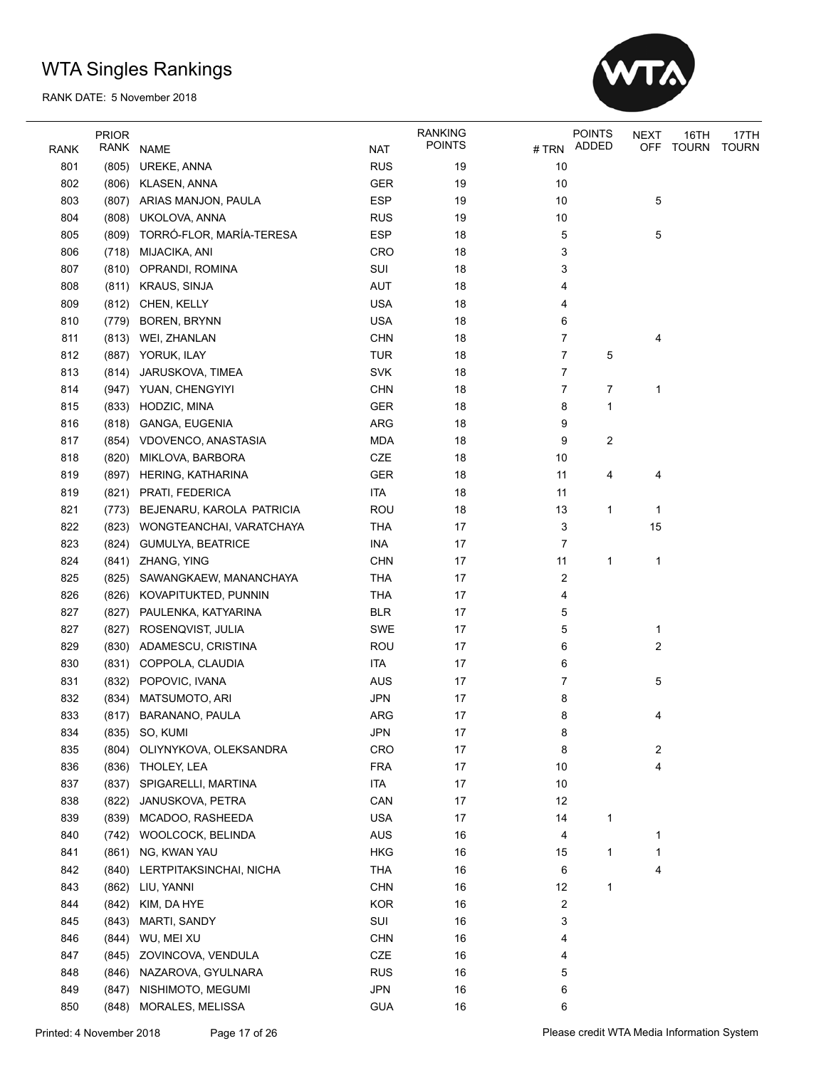

|             | <b>PRIOR</b> |                                 |            | <b>RANKING</b> |       | <b>POINTS</b>  | <b>NEXT</b> | 16TH         | 17TH         |
|-------------|--------------|---------------------------------|------------|----------------|-------|----------------|-------------|--------------|--------------|
| <b>RANK</b> |              | RANK NAME                       | <b>NAT</b> | <b>POINTS</b>  | # TRN | ADDED          | OFF         | <b>TOURN</b> | <b>TOURN</b> |
| 801         | (805)        | UREKE, ANNA                     | <b>RUS</b> | 19             | 10    |                |             |              |              |
| 802         | (806)        | KLASEN, ANNA                    | <b>GER</b> | 19             | 10    |                |             |              |              |
| 803         |              | (807) ARIAS MANJON, PAULA       | <b>ESP</b> | 19             | 10    |                | 5           |              |              |
| 804         | (808)        | UKOLOVA, ANNA                   | <b>RUS</b> | 19             | 10    |                |             |              |              |
| 805         |              | (809) TORRÓ-FLOR, MARÍA-TERESA  | <b>ESP</b> | 18             | 5     |                | 5           |              |              |
| 806         |              | (718) MIJACIKA, ANI             | <b>CRO</b> | 18             | 3     |                |             |              |              |
| 807         |              | (810) OPRANDI, ROMINA           | SUI        | 18             | 3     |                |             |              |              |
| 808         |              | (811) KRAUS, SINJA              | <b>AUT</b> | 18             | 4     |                |             |              |              |
| 809         | (812)        | CHEN, KELLY                     | <b>USA</b> | 18             | 4     |                |             |              |              |
| 810         | (779)        | <b>BOREN, BRYNN</b>             | <b>USA</b> | 18             | 6     |                |             |              |              |
| 811         | (813)        | WEI, ZHANLAN                    | <b>CHN</b> | 18             | 7     |                | 4           |              |              |
| 812         | (887)        | YORUK, ILAY                     | TUR        | 18             | 7     | 5              |             |              |              |
| 813         | (814)        | JARUSKOVA, TIMEA                | <b>SVK</b> | 18             | 7     |                |             |              |              |
| 814         | (947)        | YUAN, CHENGYIYI                 | <b>CHN</b> | 18             | 7     | 7              | 1           |              |              |
| 815         |              | (833) HODZIC, MINA              | GER        | 18             | 8     | 1              |             |              |              |
| 816         |              | (818) GANGA, EUGENIA            | ARG        | 18             | 9     |                |             |              |              |
| 817         |              | (854) VDOVENCO, ANASTASIA       | <b>MDA</b> | 18             | 9     | $\overline{c}$ |             |              |              |
| 818         | (820)        | MIKLOVA, BARBORA                | CZE        | 18             | 10    |                |             |              |              |
| 819         | (897)        | HERING, KATHARINA               | <b>GER</b> | 18             | 11    | 4              | 4           |              |              |
| 819         |              | (821) PRATI, FEDERICA           | <b>ITA</b> | 18             | 11    |                |             |              |              |
| 821         |              | (773) BEJENARU, KAROLA PATRICIA | <b>ROU</b> | 18             | 13    | 1              | 1           |              |              |
| 822         |              | (823) WONGTEANCHAI, VARATCHAYA  | <b>THA</b> | 17             | 3     |                | 15          |              |              |
| 823         |              | (824) GUMULYA, BEATRICE         | <b>INA</b> | 17             | 7     |                |             |              |              |
| 824         |              | (841) ZHANG, YING               | <b>CHN</b> | 17             | 11    | 1              | 1           |              |              |
| 825         | (825)        | SAWANGKAEW, MANANCHAYA          | <b>THA</b> | 17             | 2     |                |             |              |              |
| 826         | (826)        | KOVAPITUKTED, PUNNIN            | <b>THA</b> | 17             | 4     |                |             |              |              |
| 827         | (827)        | PAULENKA, KATYARINA             | <b>BLR</b> | 17             | 5     |                |             |              |              |
| 827         | (827)        | ROSENQVIST, JULIA               | <b>SWE</b> | 17             | 5     |                | 1           |              |              |
| 829         | (830)        | ADAMESCU, CRISTINA              | <b>ROU</b> | 17             | 6     |                | 2           |              |              |
| 830         | (831)        | COPPOLA, CLAUDIA                | <b>ITA</b> | 17             | 6     |                |             |              |              |
| 831         |              | (832) POPOVIC, IVANA            | <b>AUS</b> | 17             | 7     |                | 5           |              |              |
| 832         |              | (834) MATSUMOTO, ARI            | JPN        | 17             | 8     |                |             |              |              |
| 833         |              | (817) BARANANO, PAULA           | ARG        | 17             | 8     |                | 4           |              |              |
| 834         |              | (835) SO, KUMI                  | <b>JPN</b> | 17             | 8     |                |             |              |              |
| 835         | (804)        | OLIYNYKOVA, OLEKSANDRA          | CRO        | 17             | 8     |                | 2           |              |              |
| 836         | (836)        | THOLEY, LEA                     | <b>FRA</b> | 17             | 10    |                | 4           |              |              |
| 837         | (837)        | SPIGARELLI, MARTINA             | ITA        | $17\,$         | 10    |                |             |              |              |
| 838         | (822)        | JANUSKOVA, PETRA                | CAN        | 17             | 12    |                |             |              |              |
| 839         | (839)        | MCADOO, RASHEEDA                | <b>USA</b> | 17             | 14    | 1              |             |              |              |
| 840         |              | (742) WOOLCOCK, BELINDA         | <b>AUS</b> | 16             | 4     |                | 1           |              |              |
| 841         | (861)        | NG, KWAN YAU                    | <b>HKG</b> | 16             | 15    | 1              | 1           |              |              |
| 842         |              | (840) LERTPITAKSINCHAI, NICHA   | THA        | 16             | 6     |                | 4           |              |              |
| 843         | (862)        | LIU, YANNI                      | <b>CHN</b> | 16             | 12    | $\mathbf{1}$   |             |              |              |
| 844         | (842)        | KIM, DA HYE                     | <b>KOR</b> | 16             |       |                |             |              |              |
|             |              |                                 |            |                | 2     |                |             |              |              |
| 845         | (843)        | MARTI, SANDY                    | SUI        | 16             | 3     |                |             |              |              |
| 846         | (844)        | WU, MEI XU                      | <b>CHN</b> | 16             | 4     |                |             |              |              |
| 847         | (845)        | ZOVINCOVA, VENDULA              | CZE        | 16             | 4     |                |             |              |              |
| 848         |              | (846) NAZAROVA, GYULNARA        | <b>RUS</b> | 16             | 5     |                |             |              |              |
| 849         | (847)        | NISHIMOTO, MEGUMI               | <b>JPN</b> | 16             | 6     |                |             |              |              |
| 850         | (848)        | MORALES, MELISSA                | <b>GUA</b> | 16             | 6     |                |             |              |              |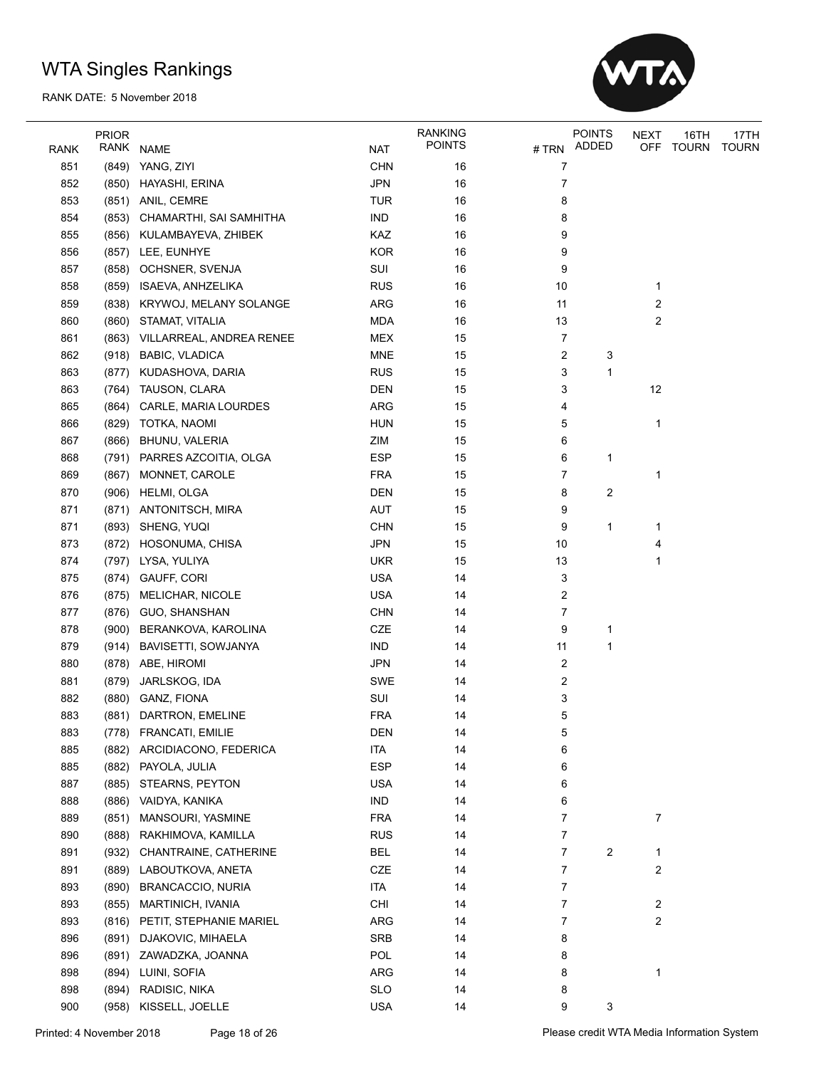

|             | <b>PRIOR</b> |                                |            | <b>RANKING</b> |                         | <b>POINTS</b> | NEXT                    | 16TH  | 17TH         |
|-------------|--------------|--------------------------------|------------|----------------|-------------------------|---------------|-------------------------|-------|--------------|
| <b>RANK</b> | RANK         | <b>NAME</b>                    | <b>NAT</b> | <b>POINTS</b>  |                         | # TRN ADDED   | <b>OFF</b>              | TOURN | <b>TOURN</b> |
| 851         |              | (849) YANG, ZIYI               | <b>CHN</b> | 16             | 7                       |               |                         |       |              |
| 852         |              | (850) HAYASHI, ERINA           | <b>JPN</b> | 16             | 7                       |               |                         |       |              |
| 853         |              | (851) ANIL, CEMRE              | <b>TUR</b> | 16             | 8                       |               |                         |       |              |
| 854         |              | (853) CHAMARTHI, SAI SAMHITHA  | <b>IND</b> | 16             | 8                       |               |                         |       |              |
| 855         |              | (856) KULAMBAYEVA, ZHIBEK      | KAZ        | 16             | 9                       |               |                         |       |              |
| 856         |              | (857) LEE, EUNHYE              | <b>KOR</b> | 16             | 9                       |               |                         |       |              |
| 857         |              | (858) OCHSNER, SVENJA          | SUI        | 16             | 9                       |               |                         |       |              |
| 858         |              | (859) ISAEVA, ANHZELIKA        | <b>RUS</b> | 16             | 10                      |               | 1                       |       |              |
| 859         |              | (838) KRYWOJ, MELANY SOLANGE   | ARG        | 16             | 11                      |               | 2                       |       |              |
| 860         |              | (860) STAMAT, VITALIA          | <b>MDA</b> | 16             | 13                      |               | $\overline{\mathbf{c}}$ |       |              |
| 861         |              | (863) VILLARREAL, ANDREA RENEE | <b>MEX</b> | 15             | 7                       |               |                         |       |              |
| 862         |              | (918) BABIC, VLADICA           | <b>MNE</b> | 15             | $\overline{\mathbf{c}}$ | 3             |                         |       |              |
| 863         | (877)        | KUDASHOVA, DARIA               | <b>RUS</b> | 15             | 3                       | 1             |                         |       |              |
| 863         |              | (764) TAUSON, CLARA            | <b>DEN</b> | 15             | 3                       |               | 12                      |       |              |
| 865         |              | (864) CARLE, MARIA LOURDES     | ARG        | 15             | 4                       |               |                         |       |              |
| 866         |              | (829) TOTKA, NAOMI             | <b>HUN</b> | 15             | 5                       |               | 1                       |       |              |
| 867         |              | (866) BHUNU, VALERIA           | ZIM        | 15             | 6                       |               |                         |       |              |
| 868         |              | (791) PARRES AZCOITIA, OLGA    | <b>ESP</b> | 15             | 6                       | 1             |                         |       |              |
| 869         | (867)        | MONNET, CAROLE                 | <b>FRA</b> | 15             | 7                       |               | 1                       |       |              |
| 870         |              | (906) HELMI, OLGA              | <b>DEN</b> | 15             | 8                       | 2             |                         |       |              |
| 871         |              | (871) ANTONITSCH, MIRA         | <b>AUT</b> | 15             | 9                       |               |                         |       |              |
| 871         |              | (893) SHENG, YUQI              | <b>CHN</b> | 15             | 9                       | 1             | 1                       |       |              |
| 873         |              | (872) HOSONUMA, CHISA          | JPN        | 15             | 10                      |               | 4                       |       |              |
| 874         |              | (797) LYSA, YULIYA             | <b>UKR</b> | 15             | 13                      |               | 1                       |       |              |
| 875         |              | (874) GAUFF, CORI              | <b>USA</b> | 14             | 3                       |               |                         |       |              |
| 876         |              | (875) MELICHAR, NICOLE         | <b>USA</b> | 14             | 2                       |               |                         |       |              |
| 877         |              | (876) GUO, SHANSHAN            | <b>CHN</b> | 14             | 7                       |               |                         |       |              |
| 878         | (900)        | BERANKOVA, KAROLINA            | CZE        | 14             | 9                       | 1             |                         |       |              |
| 879         | (914)        | BAVISETTI, SOWJANYA            | <b>IND</b> | 14             | 11                      | 1             |                         |       |              |
| 880         |              | (878) ABE, HIROMI              | <b>JPN</b> | 14             | $\overline{\mathbf{c}}$ |               |                         |       |              |
| 881         |              | (879) JARLSKOG, IDA            | <b>SWE</b> | 14             | 2                       |               |                         |       |              |
| 882         |              | (880) GANZ, FIONA              | SUI        | 14             | 3                       |               |                         |       |              |
| 883         |              | (881) DARTRON, EMELINE         | <b>FRA</b> | 14             | 5                       |               |                         |       |              |
| 883         |              | (778) FRANCATI, EMILIE         | <b>DEN</b> | 14             | 5                       |               |                         |       |              |
| 885         | (882)        | ARCIDIACONO, FEDERICA          | ITA        | 14             | 6                       |               |                         |       |              |
| 885         | (882)        | PAYOLA, JULIA                  | <b>ESP</b> | 14             | 6                       |               |                         |       |              |
| 887         | (885)        | STEARNS, PEYTON                | <b>USA</b> | 14             | 6                       |               |                         |       |              |
| 888         |              | (886) VAIDYA, KANIKA           | <b>IND</b> | 14             | 6                       |               |                         |       |              |
| 889         | (851)        | MANSOURI, YASMINE              | <b>FRA</b> | 14             | 7                       |               | 7                       |       |              |
| 890         | (888)        | RAKHIMOVA, KAMILLA             | <b>RUS</b> | 14             | 7                       |               |                         |       |              |
| 891         |              | (932) CHANTRAINE, CATHERINE    | BEL        | 14             | 7                       | 2             | 1                       |       |              |
| 891         |              | (889) LABOUTKOVA, ANETA        | CZE        | 14             | 7                       |               | 2                       |       |              |
| 893         | (890)        | <b>BRANCACCIO, NURIA</b>       | <b>ITA</b> | 14             | 7                       |               |                         |       |              |
| 893         | (855)        | MARTINICH, IVANIA              | CHI        | 14             | 7                       |               | 2                       |       |              |
| 893         |              | (816) PETIT, STEPHANIE MARIEL  | ARG        | 14             | 7                       |               | 2                       |       |              |
| 896         | (891)        | DJAKOVIC, MIHAELA              | SRB        | 14             | 8                       |               |                         |       |              |
| 896         | (891)        | ZAWADZKA, JOANNA               | POL        | 14             | 8                       |               |                         |       |              |
| 898         |              | (894) LUINI, SOFIA             | ARG        | 14             | 8                       |               | 1                       |       |              |
| 898         | (894)        | RADISIC, NIKA                  | <b>SLO</b> | 14             | 8                       |               |                         |       |              |
| 900         | (958)        | KISSELL, JOELLE                | <b>USA</b> | 14             | 9                       | 3             |                         |       |              |
|             |              |                                |            |                |                         |               |                         |       |              |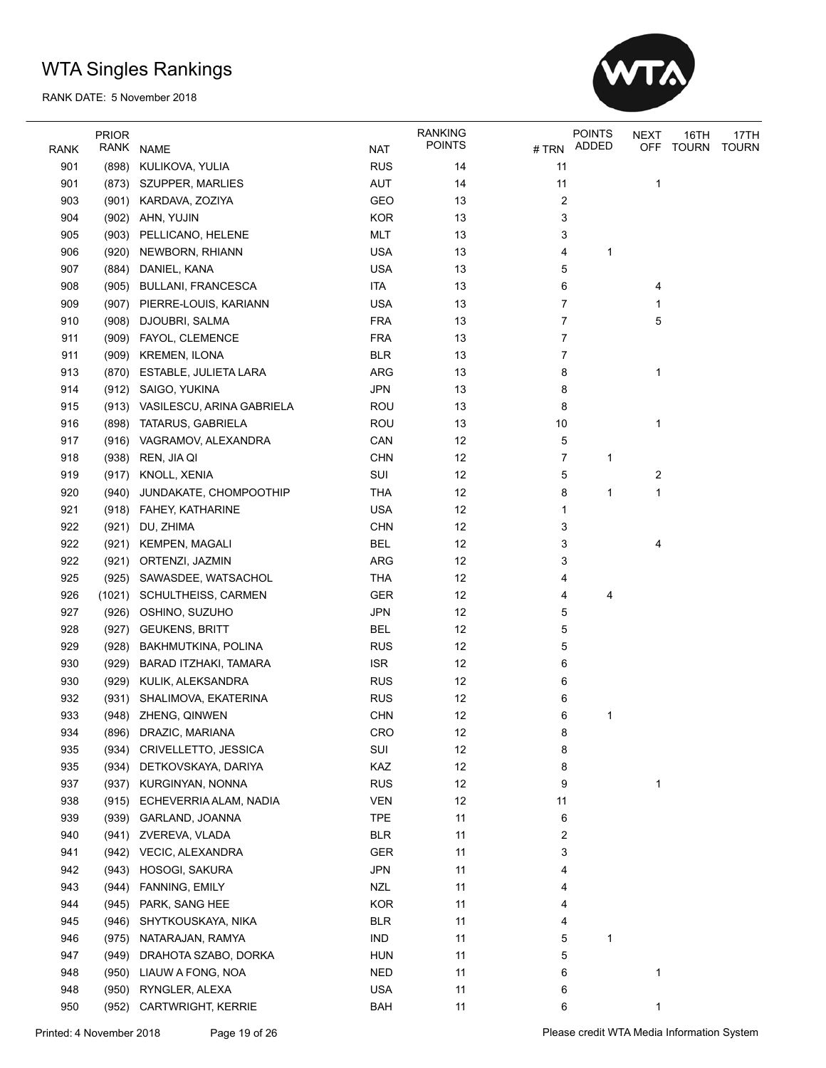

|             | <b>PRIOR</b> |                                 |            | <b>RANKING</b> |                         | <b>POINTS</b> | <b>NEXT</b> | 16TH  | 17TH         |
|-------------|--------------|---------------------------------|------------|----------------|-------------------------|---------------|-------------|-------|--------------|
| <b>RANK</b> | RANK         | <b>NAME</b>                     | <b>NAT</b> | <b>POINTS</b>  | # TRN                   | ADDED         | <b>OFF</b>  | TOURN | <b>TOURN</b> |
| 901         | (898)        | KULIKOVA, YULIA                 | <b>RUS</b> | 14             | 11                      |               |             |       |              |
| 901         |              | (873) SZUPPER, MARLIES          | AUT        | 14             | 11                      |               | 1           |       |              |
| 903         |              | (901) KARDAVA, ZOZIYA           | GEO        | 13             | $\overline{\mathbf{c}}$ |               |             |       |              |
| 904         |              | (902) AHN, YUJIN                | <b>KOR</b> | 13             | 3                       |               |             |       |              |
| 905         | (903)        | PELLICANO, HELENE               | <b>MLT</b> | 13             | 3                       |               |             |       |              |
| 906         |              | (920) NEWBORN, RHIANN           | <b>USA</b> | 13             | 4                       | 1             |             |       |              |
| 907         |              | (884) DANIEL, KANA              | <b>USA</b> | 13             | 5                       |               |             |       |              |
| 908         |              | (905) BULLANI, FRANCESCA        | <b>ITA</b> | 13             | 6                       |               | 4           |       |              |
| 909         |              | (907) PIERRE-LOUIS, KARIANN     | <b>USA</b> | 13             | 7                       |               | 1           |       |              |
| 910         | (908)        | DJOUBRI, SALMA                  | <b>FRA</b> | 13             | 7                       |               | 5           |       |              |
|             |              |                                 | <b>FRA</b> | 13             | 7                       |               |             |       |              |
| 911         |              | (909) FAYOL, CLEMENCE           |            |                |                         |               |             |       |              |
| 911         |              | (909) KREMEN, ILONA             | <b>BLR</b> | 13             | 7                       |               |             |       |              |
| 913         | (870)        | ESTABLE, JULIETA LARA           | ARG        | 13             | 8                       |               | 1           |       |              |
| 914         |              | (912) SAIGO, YUKINA             | <b>JPN</b> | 13             | 8                       |               |             |       |              |
| 915         |              | (913) VASILESCU, ARINA GABRIELA | <b>ROU</b> | 13             | 8                       |               |             |       |              |
| 916         |              | (898) TATARUS, GABRIELA         | <b>ROU</b> | 13             | 10                      |               | 1           |       |              |
| 917         |              | (916) VAGRAMOV, ALEXANDRA       | CAN        | 12             | 5                       |               |             |       |              |
| 918         |              | (938) REN, JIA QI               | <b>CHN</b> | 12             | 7                       | 1             |             |       |              |
| 919         |              | (917) KNOLL, XENIA              | SUI        | 12             | 5                       |               | 2           |       |              |
| 920         | (940)        | JUNDAKATE, CHOMPOOTHIP          | <b>THA</b> | 12             | 8                       | 1             | 1           |       |              |
| 921         |              | (918) FAHEY, KATHARINE          | <b>USA</b> | 12             | 1                       |               |             |       |              |
| 922         | (921)        | DU, ZHIMA                       | <b>CHN</b> | 12             | 3                       |               |             |       |              |
| 922         |              | (921) KEMPEN, MAGALI            | <b>BEL</b> | 12             | 3                       |               | 4           |       |              |
| 922         |              | (921) ORTENZI, JAZMIN           | <b>ARG</b> | 12             | 3                       |               |             |       |              |
| 925         |              | (925) SAWASDEE, WATSACHOL       | <b>THA</b> | 12             | 4                       |               |             |       |              |
| 926         | (1021)       | SCHULTHEISS, CARMEN             | GER        | 12             | 4                       | 4             |             |       |              |
| 927         | (926)        | OSHINO, SUZUHO                  | <b>JPN</b> | 12             | 5                       |               |             |       |              |
| 928         | (927)        | <b>GEUKENS, BRITT</b>           | <b>BEL</b> | 12             | 5                       |               |             |       |              |
| 929         | (928)        | BAKHMUTKINA, POLINA             | <b>RUS</b> | 12             | 5                       |               |             |       |              |
| 930         | (929)        | BARAD ITZHAKI, TAMARA           | <b>ISR</b> | 12             | 6                       |               |             |       |              |
| 930         |              | (929) KULIK, ALEKSANDRA         | <b>RUS</b> | 12             | 6                       |               |             |       |              |
| 932         |              | (931) SHALIMOVA, EKATERINA      | <b>RUS</b> | 12             | 6                       |               |             |       |              |
| 933         |              | (948) ZHENG, QINWEN             | <b>CHN</b> | 12             | 6                       | 1             |             |       |              |
| 934         |              | (896) DRAZIC, MARIANA           | CRO        | 12             | 8                       |               |             |       |              |
| 935         | (934)        | CRIVELLETTO, JESSICA            | SUI        | 12             | 8                       |               |             |       |              |
| 935         | (934)        | DETKOVSKAYA, DARIYA             | KAZ        | 12             | 8                       |               |             |       |              |
|             |              |                                 |            |                |                         |               |             |       |              |
| 937         | (937)        | KURGINYAN, NONNA                | <b>RUS</b> | 12             | 9                       |               | 1           |       |              |
| 938         | (915)        | ECHEVERRIA ALAM, NADIA          | <b>VEN</b> | 12             | 11                      |               |             |       |              |
| 939         | (939)        | GARLAND, JOANNA                 | <b>TPE</b> | 11             | 6                       |               |             |       |              |
| 940         | (941)        | ZVEREVA, VLADA                  | <b>BLR</b> | 11             | $\overline{c}$          |               |             |       |              |
| 941         | (942)        | VECIC, ALEXANDRA                | GER        | 11             | 3                       |               |             |       |              |
| 942         |              | (943) HOSOGI, SAKURA            | <b>JPN</b> | 11             | 4                       |               |             |       |              |
| 943         | (944)        | <b>FANNING, EMILY</b>           | <b>NZL</b> | 11             | 4                       |               |             |       |              |
| 944         | (945)        | PARK, SANG HEE                  | <b>KOR</b> | 11             | 4                       |               |             |       |              |
| 945         | (946)        | SHYTKOUSKAYA, NIKA              | <b>BLR</b> | 11             | 4                       |               |             |       |              |
| 946         | (975)        | NATARAJAN, RAMYA                | <b>IND</b> | 11             | 5                       | 1             |             |       |              |
| 947         | (949)        | DRAHOTA SZABO, DORKA            | <b>HUN</b> | 11             | 5                       |               |             |       |              |
| 948         | (950)        | LIAUW A FONG, NOA               | <b>NED</b> | 11             | 6                       |               | 1           |       |              |
| 948         | (950)        | RYNGLER, ALEXA                  | <b>USA</b> | 11             | 6                       |               |             |       |              |
| 950         | (952)        | CARTWRIGHT, KERRIE              | <b>BAH</b> | 11             | 6                       |               | 1           |       |              |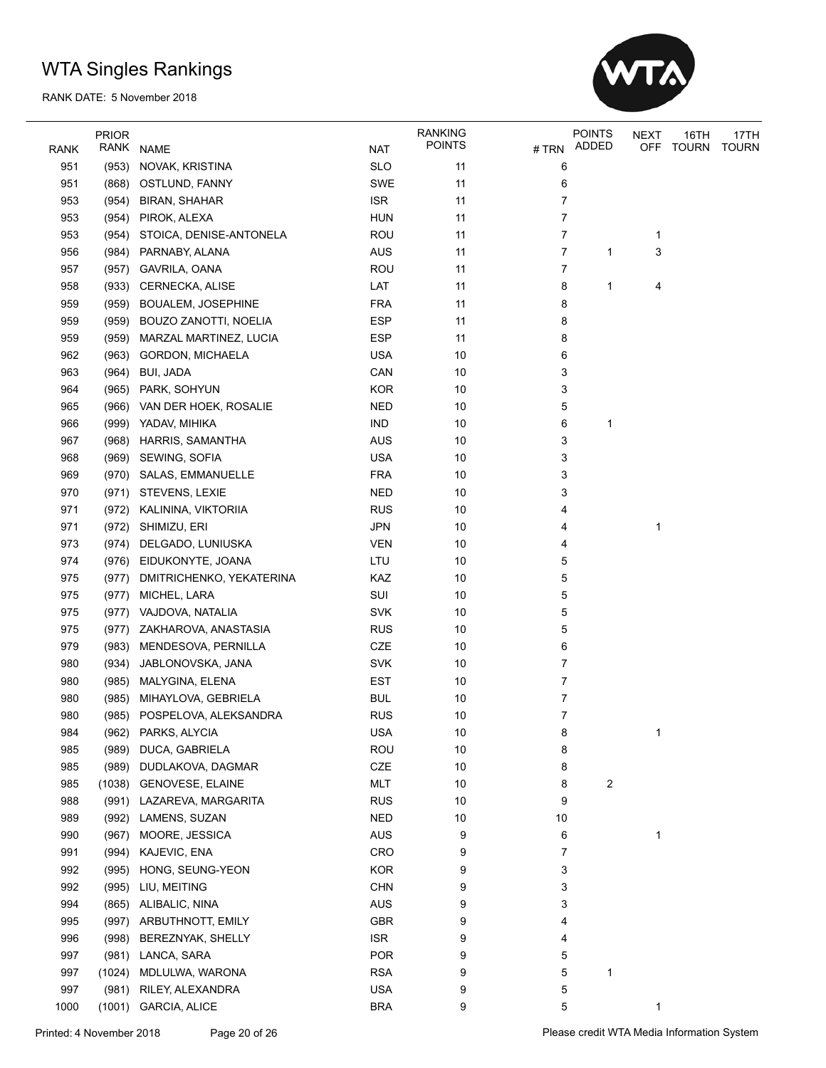

| RANK | <b>PRIOR</b><br>RANK | NAME                         | <b>NAT</b> | <b>RANKING</b><br><b>POINTS</b> | # TRN | <b>POINTS</b><br>ADDED | <b>NEXT</b><br>OFF | 16TH<br>TOURN | 17TH<br><b>TOURN</b> |
|------|----------------------|------------------------------|------------|---------------------------------|-------|------------------------|--------------------|---------------|----------------------|
| 951  | (953)                | NOVAK, KRISTINA              | <b>SLO</b> | 11                              | 6     |                        |                    |               |                      |
| 951  |                      | (868) OSTLUND, FANNY         | SWE        | 11                              | 6     |                        |                    |               |                      |
| 953  | (954)                | <b>BIRAN, SHAHAR</b>         | <b>ISR</b> | 11                              | 7     |                        |                    |               |                      |
| 953  | (954)                | PIROK, ALEXA                 | <b>HUN</b> | 11                              | 7     |                        |                    |               |                      |
| 953  | (954)                | STOICA, DENISE-ANTONELA      | ROU        | 11                              | 7     |                        | 1                  |               |                      |
| 956  | (984)                | PARNABY, ALANA               | <b>AUS</b> | 11                              | 7     | 1                      | 3                  |               |                      |
| 957  | (957)                | GAVRILA, OANA                | <b>ROU</b> | 11                              | 7     |                        |                    |               |                      |
| 958  | (933)                | CERNECKA, ALISE              | LAT        | 11                              | 8     | 1                      | 4                  |               |                      |
| 959  | (959)                | <b>BOUALEM, JOSEPHINE</b>    | <b>FRA</b> | 11                              | 8     |                        |                    |               |                      |
| 959  | (959)                | BOUZO ZANOTTI, NOELIA        | <b>ESP</b> | 11                              | 8     |                        |                    |               |                      |
| 959  |                      |                              |            | 11                              | 8     |                        |                    |               |                      |
|      |                      | (959) MARZAL MARTINEZ, LUCIA | <b>ESP</b> |                                 |       |                        |                    |               |                      |
| 962  |                      | (963) GORDON, MICHAELA       | <b>USA</b> | 10                              | 6     |                        |                    |               |                      |
| 963  | (964)                | BUI, JADA                    | CAN        | 10                              | 3     |                        |                    |               |                      |
| 964  | (965)                | PARK, SOHYUN                 | <b>KOR</b> | 10                              | 3     |                        |                    |               |                      |
| 965  | (966)                | VAN DER HOEK, ROSALIE        | <b>NED</b> | 10                              | 5     |                        |                    |               |                      |
| 966  | (999)                | YADAV, MIHIKA                | <b>IND</b> | 10                              | 6     | 1                      |                    |               |                      |
| 967  | (968)                | HARRIS, SAMANTHA             | <b>AUS</b> | 10                              | 3     |                        |                    |               |                      |
| 968  | (969)                | SEWING, SOFIA                | <b>USA</b> | 10                              | 3     |                        |                    |               |                      |
| 969  |                      | (970) SALAS, EMMANUELLE      | <b>FRA</b> | 10                              | 3     |                        |                    |               |                      |
| 970  |                      | (971) STEVENS, LEXIE         | <b>NED</b> | 10                              | 3     |                        |                    |               |                      |
| 971  | (972)                | KALININA, VIKTORIIA          | <b>RUS</b> | 10                              | 4     |                        |                    |               |                      |
| 971  | (972)                | SHIMIZU, ERI                 | <b>JPN</b> | 10                              | 4     |                        | 1                  |               |                      |
| 973  | (974)                | DELGADO, LUNIUSKA            | <b>VEN</b> | 10                              | 4     |                        |                    |               |                      |
| 974  |                      | (976) EIDUKONYTE, JOANA      | LTU        | 10                              | 5     |                        |                    |               |                      |
| 975  | (977)                | DMITRICHENKO, YEKATERINA     | KAZ        | 10                              | 5     |                        |                    |               |                      |
| 975  | (977)                | MICHEL, LARA                 | SUI        | 10                              | 5     |                        |                    |               |                      |
| 975  | (977)                | VAJDOVA, NATALIA             | <b>SVK</b> | 10                              | 5     |                        |                    |               |                      |
| 975  |                      | (977) ZAKHAROVA, ANASTASIA   | <b>RUS</b> | 10                              | 5     |                        |                    |               |                      |
| 979  | (983)                | MENDESOVA, PERNILLA          | CZE        | 10                              | 6     |                        |                    |               |                      |
| 980  | (934)                | JABLONOVSKA, JANA            | <b>SVK</b> | 10                              | 7     |                        |                    |               |                      |
| 980  | (985)                | MALYGINA, ELENA              | <b>EST</b> | 10                              | 7     |                        |                    |               |                      |
| 980  | (985)                | MIHAYLOVA, GEBRIELA          | <b>BUL</b> | 10                              | 7     |                        |                    |               |                      |
| 980  | (985)                | POSPELOVA, ALEKSANDRA        | <b>RUS</b> | 10                              | 7     |                        |                    |               |                      |
| 984  | (962)                | PARKS, ALYCIA                | <b>USA</b> | 10                              | 8     |                        | 1                  |               |                      |
| 985  |                      | (989) DUCA, GABRIELA         | <b>ROU</b> | 10                              | 8     |                        |                    |               |                      |
| 985  | (989)                | DUDLAKOVA, DAGMAR            | CZE        | 10                              | 8     |                        |                    |               |                      |
| 985  |                      | (1038) GENOVESE, ELAINE      | <b>MLT</b> | 10                              | 8     | 2                      |                    |               |                      |
| 988  |                      | (991) LAZAREVA, MARGARITA    | <b>RUS</b> | 10                              | 9     |                        |                    |               |                      |
| 989  | (992)                | LAMENS, SUZAN                | <b>NED</b> | $10$                            | 10    |                        |                    |               |                      |
| 990  | (967)                | MOORE, JESSICA               | <b>AUS</b> | 9                               | 6     |                        | 1                  |               |                      |
| 991  | (994)                | KAJEVIC, ENA                 | CRO        | 9                               | 7     |                        |                    |               |                      |
| 992  | (995)                | HONG, SEUNG-YEON             | <b>KOR</b> | 9                               | 3     |                        |                    |               |                      |
| 992  | (995)                | LIU, MEITING                 | <b>CHN</b> | 9                               | 3     |                        |                    |               |                      |
| 994  |                      | (865) ALIBALIC, NINA         | AUS        | 9                               | 3     |                        |                    |               |                      |
| 995  | (997)                | ARBUTHNOTT, EMILY            | GBR        | 9                               | 4     |                        |                    |               |                      |
| 996  | (998)                | BEREZNYAK, SHELLY            | <b>ISR</b> | 9                               | 4     |                        |                    |               |                      |
| 997  | (981)                | LANCA, SARA                  | <b>POR</b> | 9                               | 5     |                        |                    |               |                      |
| 997  | (1024)               | MDLULWA, WARONA              | <b>RSA</b> | 9                               | 5     | 1                      |                    |               |                      |
| 997  | (981)                | RILEY, ALEXANDRA             | <b>USA</b> | 9                               | 5     |                        |                    |               |                      |
| 1000 | (1001)               | <b>GARCIA, ALICE</b>         | <b>BRA</b> | 9                               | 5     |                        | 1                  |               |                      |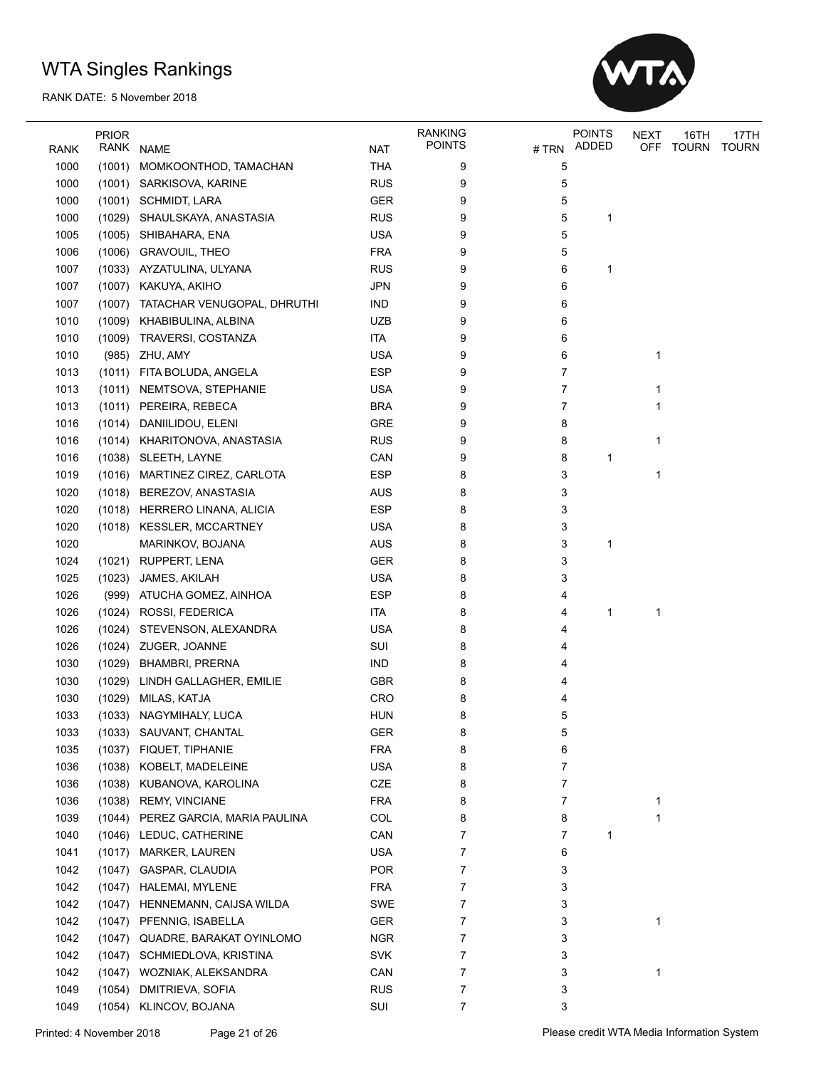

|              | <b>PRIOR</b> |                               |            | <b>RANKING</b> |       | <b>POINTS</b> | NEXT | 16TH         | 17TH         |
|--------------|--------------|-------------------------------|------------|----------------|-------|---------------|------|--------------|--------------|
| <b>RANK</b>  | RANK         | <b>NAME</b>                   | NAT        | <b>POINTS</b>  | # TRN | ADDED         | OFF  | <b>TOURN</b> | <b>TOURN</b> |
| 1000         | (1001)       | MOMKOONTHOD, TAMACHAN         | <b>THA</b> | 9              | 5     |               |      |              |              |
| 1000         |              | (1001) SARKISOVA, KARINE      | <b>RUS</b> | 9              | 5     |               |      |              |              |
| 1000         |              | (1001) SCHMIDT, LARA          | <b>GER</b> | 9              | 5     |               |      |              |              |
| 1000         | (1029)       | SHAULSKAYA, ANASTASIA         | <b>RUS</b> | 9              | 5     | 1             |      |              |              |
| 1005         |              | (1005) SHIBAHARA, ENA         | <b>USA</b> | 9              | 5     |               |      |              |              |
| 1006         |              | (1006) GRAVOUIL, THEO         | <b>FRA</b> | 9              | 5     |               |      |              |              |
| 1007         |              | (1033) AYZATULINA, ULYANA     | <b>RUS</b> | 9              | 6     | 1             |      |              |              |
| 1007         |              | (1007) KAKUYA, AKIHO          | <b>JPN</b> | 9              | 6     |               |      |              |              |
| 1007         | (1007)       | TATACHAR VENUGOPAL, DHRUTHI   | <b>IND</b> | 9              | 6     |               |      |              |              |
| 1010         | (1009)       | KHABIBULINA, ALBINA           | <b>UZB</b> | 9              | 6     |               |      |              |              |
| 1010         | (1009)       | TRAVERSI, COSTANZA            | <b>ITA</b> | 9              | 6     |               |      |              |              |
| 1010         |              | (985) ZHU, AMY                | <b>USA</b> | 9              | 6     |               | 1    |              |              |
| 1013         | (1011)       | FITA BOLUDA, ANGELA           | <b>ESP</b> | 9              | 7     |               |      |              |              |
| 1013         |              | (1011) NEMTSOVA, STEPHANIE    | <b>USA</b> | 9              | 7     |               | 1    |              |              |
| 1013         |              | (1011) PEREIRA, REBECA        | <b>BRA</b> | 9              | 7     |               | 1    |              |              |
| 1016         |              | (1014) DANIILIDOU, ELENI      | GRE        | 9              | 8     |               |      |              |              |
| 1016         |              | (1014) KHARITONOVA, ANASTASIA | <b>RUS</b> | 9              | 8     |               | 1    |              |              |
| 1016         |              | (1038) SLEETH, LAYNE          | CAN        | 9              | 8     | 1             |      |              |              |
| 1019         | (1016)       | MARTINEZ CIREZ, CARLOTA       | <b>ESP</b> | 8              | 3     |               | 1    |              |              |
| 1020         |              | (1018) BEREZOV, ANASTASIA     | AUS        | 8              | 3     |               |      |              |              |
| 1020         |              | (1018) HERRERO LINANA, ALICIA | <b>ESP</b> | 8              | 3     |               |      |              |              |
| 1020         |              | (1018) KESSLER, MCCARTNEY     | <b>USA</b> | 8              | 3     |               |      |              |              |
| 1020         |              | MARINKOV, BOJANA              | <b>AUS</b> | 8              | 3     | 1             |      |              |              |
| 1024         |              | (1021) RUPPERT, LENA          | <b>GER</b> | 8              | 3     |               |      |              |              |
| 1025         | (1023)       | JAMES, AKILAH                 | <b>USA</b> | 8              | 3     |               |      |              |              |
| 1026         | (999)        | ATUCHA GOMEZ, AINHOA          | <b>ESP</b> | 8              | 4     |               |      |              |              |
| 1026         | (1024)       | ROSSI, FEDERICA               | <b>ITA</b> | 8              | 4     | 1             | 1    |              |              |
| 1026         |              | (1024) STEVENSON, ALEXANDRA   | <b>USA</b> | 8              | 4     |               |      |              |              |
| 1026         |              | (1024) ZUGER, JOANNE          | SUI        | 8              | 4     |               |      |              |              |
| 1030         | (1029)       | <b>BHAMBRI, PRERNA</b>        | <b>IND</b> | 8              | 4     |               |      |              |              |
| 1030         | (1029)       | LINDH GALLAGHER, EMILIE       | <b>GBR</b> | 8              | 4     |               |      |              |              |
| 1030         |              | (1029) MILAS, KATJA           | <b>CRO</b> | 8              | 4     |               |      |              |              |
| 1033         |              | (1033) NAGYMIHALY, LUCA       | <b>HUN</b> | 8              | 5     |               |      |              |              |
| 1033         |              | (1033) SAUVANT, CHANTAL       | <b>GER</b> | ୪              | 5     |               |      |              |              |
| 1035         | (1037)       | FIQUET, TIPHANIE              | <b>FRA</b> | 8              | 6     |               |      |              |              |
| 1036         | (1038)       | KOBELT, MADELEINE             | <b>USA</b> | 8              | 7     |               |      |              |              |
| 1036         | (1038)       | KUBANOVA, KAROLINA            | CZE        | 8              | 7     |               |      |              |              |
| 1036         | (1038)       | <b>REMY, VINCIANE</b>         | <b>FRA</b> | 8              | 7     |               | 1    |              |              |
| 1039         | (1044)       | PEREZ GARCIA, MARIA PAULINA   | COL        | 8              | 8     |               | 1    |              |              |
| 1040         |              | (1046) LEDUC, CATHERINE       | CAN        | 7              | 7     | 1             |      |              |              |
| 1041         | (1017)       | <b>MARKER, LAUREN</b>         | <b>USA</b> | 7              | 6     |               |      |              |              |
| 1042         | (1047)       | GASPAR, CLAUDIA               | <b>POR</b> | 7              | 3     |               |      |              |              |
| 1042         | (1047)       | <b>HALEMAI, MYLENE</b>        | <b>FRA</b> | 7              | 3     |               |      |              |              |
|              |              |                               |            |                |       |               |      |              |              |
| 1042<br>1042 | (1047)       | HENNEMANN, CAIJSA WILDA       | SWE        | 7              | 3     |               |      |              |              |
|              | (1047)       | PFENNIG, ISABELLA             | GER        | 7<br>7         | 3     |               | 1    |              |              |
| 1042         | (1047)       | QUADRE, BARAKAT OYINLOMO      | <b>NGR</b> |                | 3     |               |      |              |              |
| 1042         | (1047)       | SCHMIEDLOVA, KRISTINA         | <b>SVK</b> | 7              | 3     |               |      |              |              |
| 1042         |              | (1047) WOZNIAK, ALEKSANDRA    | CAN        | 7              | 3     |               | 1    |              |              |
| 1049         | (1054)       | DMITRIEVA, SOFIA              | <b>RUS</b> | 7              | 3     |               |      |              |              |
| 1049         | (1054)       | KLINCOV, BOJANA               | SUI        | 7              | 3     |               |      |              |              |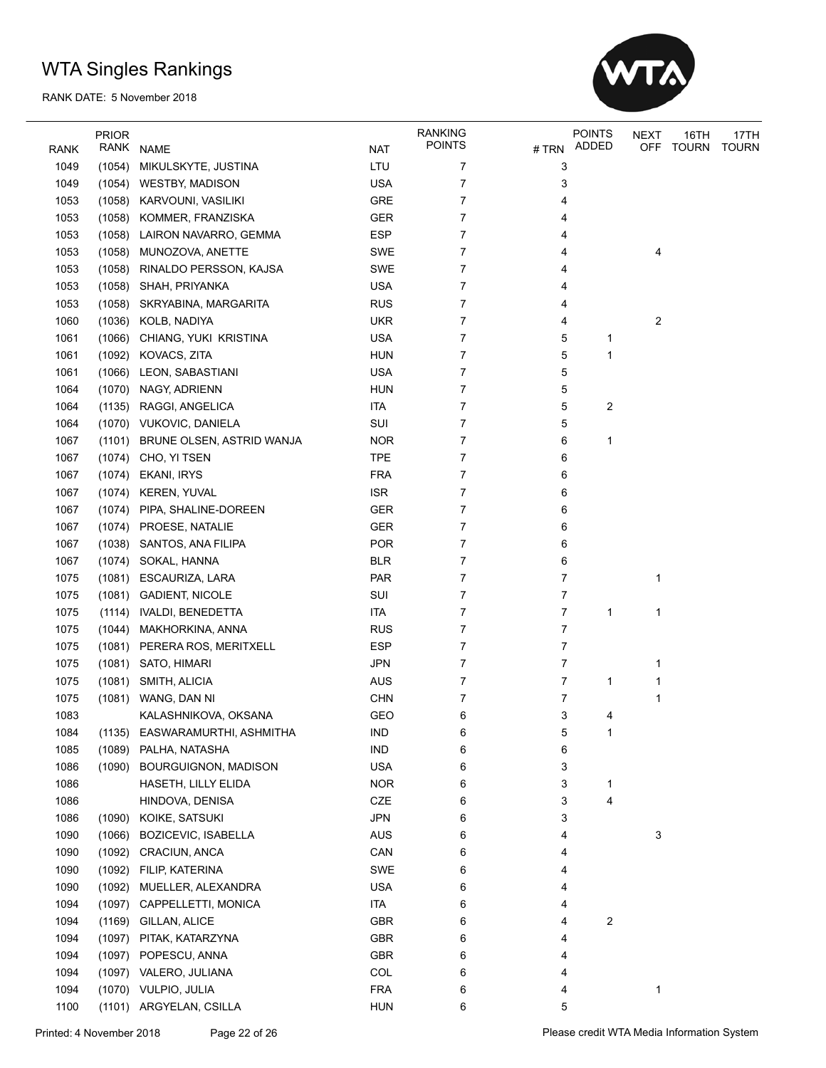

|             | <b>PRIOR</b> |                                |            | <b>RANKING</b> |      | <b>POINTS</b> | <b>NEXT</b> | 16TH  | 17TH         |
|-------------|--------------|--------------------------------|------------|----------------|------|---------------|-------------|-------|--------------|
| <b>RANK</b> | RANK         | <b>NAME</b>                    | <b>NAT</b> | <b>POINTS</b>  | #TRN | ADDED         | <b>OFF</b>  | TOURN | <b>TOURN</b> |
| 1049        | (1054)       | MIKULSKYTE, JUSTINA            | LTU        | 7              | 3    |               |             |       |              |
| 1049        |              | (1054) WESTBY, MADISON         | <b>USA</b> | 7              | 3    |               |             |       |              |
| 1053        | (1058)       | KARVOUNI, VASILIKI             | <b>GRE</b> | 7              | 4    |               |             |       |              |
| 1053        | (1058)       | KOMMER, FRANZISKA              | GER        | 7              | 4    |               |             |       |              |
| 1053        | (1058)       | LAIRON NAVARRO, GEMMA          | <b>ESP</b> | 7              | 4    |               |             |       |              |
| 1053        | (1058)       | MUNOZOVA, ANETTE               | SWE        | 7              | 4    |               | 4           |       |              |
| 1053        | (1058)       | RINALDO PERSSON, KAJSA         | SWE        | 7              | 4    |               |             |       |              |
| 1053        | (1058)       | SHAH, PRIYANKA                 | <b>USA</b> | 7              | 4    |               |             |       |              |
| 1053        |              | (1058) SKRYABINA, MARGARITA    | <b>RUS</b> | 7              | 4    |               |             |       |              |
| 1060        | (1036)       | KOLB, NADIYA                   | <b>UKR</b> | 7              | 4    |               | 2           |       |              |
| 1061        | (1066)       | CHIANG, YUKI KRISTINA          | <b>USA</b> | 7              | 5    | 1             |             |       |              |
| 1061        | (1092)       | KOVACS, ZITA                   | <b>HUN</b> | 7              | 5    | 1             |             |       |              |
| 1061        | (1066)       | LEON, SABASTIANI               | <b>USA</b> | 7              | 5    |               |             |       |              |
| 1064        | (1070)       | NAGY, ADRIENN                  | <b>HUN</b> | 7              | 5    |               |             |       |              |
| 1064        | (1135)       | RAGGI, ANGELICA                | <b>ITA</b> | 7              | 5    | 2             |             |       |              |
| 1064        |              | (1070) VUKOVIC, DANIELA        | SUI        | 7              | 5    |               |             |       |              |
| 1067        | (1101)       | BRUNE OLSEN, ASTRID WANJA      | <b>NOR</b> | 7              | 6    | 1             |             |       |              |
| 1067        |              | (1074) CHO, YI TSEN            | <b>TPE</b> | 7              | 6    |               |             |       |              |
| 1067        | (1074)       | EKANI, IRYS                    | <b>FRA</b> | 7              | 6    |               |             |       |              |
| 1067        | (1074)       | <b>KEREN, YUVAL</b>            | <b>ISR</b> | 7              | 6    |               |             |       |              |
| 1067        | (1074)       | PIPA, SHALINE-DOREEN           | GER        | 7              | 6    |               |             |       |              |
| 1067        | (1074)       | PROESE, NATALIE                | GER        | 7              | 6    |               |             |       |              |
| 1067        | (1038)       | SANTOS, ANA FILIPA             | <b>POR</b> | 7              | 6    |               |             |       |              |
| 1067        | (1074)       | SOKAL, HANNA                   | <b>BLR</b> | 7              | 6    |               |             |       |              |
| 1075        | (1081)       | ESCAURIZA, LARA                | PAR        | 7              | 7    |               | 1           |       |              |
| 1075        |              | (1081) GADIENT, NICOLE         | SUI        | 7              | 7    |               |             |       |              |
| 1075        | (1114)       | IVALDI, BENEDETTA              | <b>ITA</b> | 7              | 7    | 1             | 1           |       |              |
| 1075        | (1044)       | MAKHORKINA, ANNA               | <b>RUS</b> | 7              | 7    |               |             |       |              |
| 1075        | (1081)       | PERERA ROS, MERITXELL          | <b>ESP</b> | 7              | 7    |               |             |       |              |
| 1075        |              | (1081) SATO, HIMARI            | <b>JPN</b> | 7              | 7    |               | 1           |       |              |
| 1075        | (1081)       | SMITH, ALICIA                  | <b>AUS</b> | 7              | 7    | 1             | 1           |       |              |
| 1075        | (1081)       | WANG, DAN NI                   | <b>CHN</b> | 7              | 7    |               | 1           |       |              |
| 1083        |              | KALASHNIKOVA, OKSANA           | <b>GEO</b> | 6              | 3    | 4             |             |       |              |
| 1084        |              | (1135) EASWARAMURTHI, ASHMITHA | <b>IND</b> | 6              | 5    | 1             |             |       |              |
| 1085        |              | (1089) PALHA, NATASHA          | <b>IND</b> | 6              | 6    |               |             |       |              |
| 1086        | (1090)       | BOURGUIGNON, MADISON           | <b>USA</b> | 6              | 3    |               |             |       |              |
| 1086        |              | HASETH, LILLY ELIDA            | <b>NOR</b> | 6              | 3    | 1             |             |       |              |
| 1086        |              | HINDOVA, DENISA                | CZE        | 6              | 3    | 4             |             |       |              |
| 1086        | (1090)       | KOIKE, SATSUKI                 | <b>JPN</b> | 6              | 3    |               |             |       |              |
| 1090        | (1066)       | <b>BOZICEVIC, ISABELLA</b>     | AUS        | 6              | 4    |               | 3           |       |              |
| 1090        | (1092)       | CRACIUN, ANCA                  | CAN        | 6              | 4    |               |             |       |              |
| 1090        | (1092)       | FILIP, KATERINA                | SWE        | 6              | 4    |               |             |       |              |
| 1090        | (1092)       | MUELLER, ALEXANDRA             | <b>USA</b> | 6              | 4    |               |             |       |              |
| 1094        | (1097)       | CAPPELLETTI, MONICA            | ITA        | 6              | 4    |               |             |       |              |
| 1094        | (1169)       | GILLAN, ALICE                  | <b>GBR</b> | 6              | 4    | 2             |             |       |              |
| 1094        | (1097)       | PITAK, KATARZYNA               | <b>GBR</b> | 6              | 4    |               |             |       |              |
| 1094        | (1097)       | POPESCU, ANNA                  | <b>GBR</b> | 6              | 4    |               |             |       |              |
| 1094        |              | (1097) VALERO, JULIANA         | COL        | 6              | 4    |               |             |       |              |
| 1094        |              | (1070) VULPIO, JULIA           | <b>FRA</b> | 6              | 4    |               | 1           |       |              |
| 1100        |              | (1101) ARGYELAN, CSILLA        | <b>HUN</b> | 6              | 5    |               |             |       |              |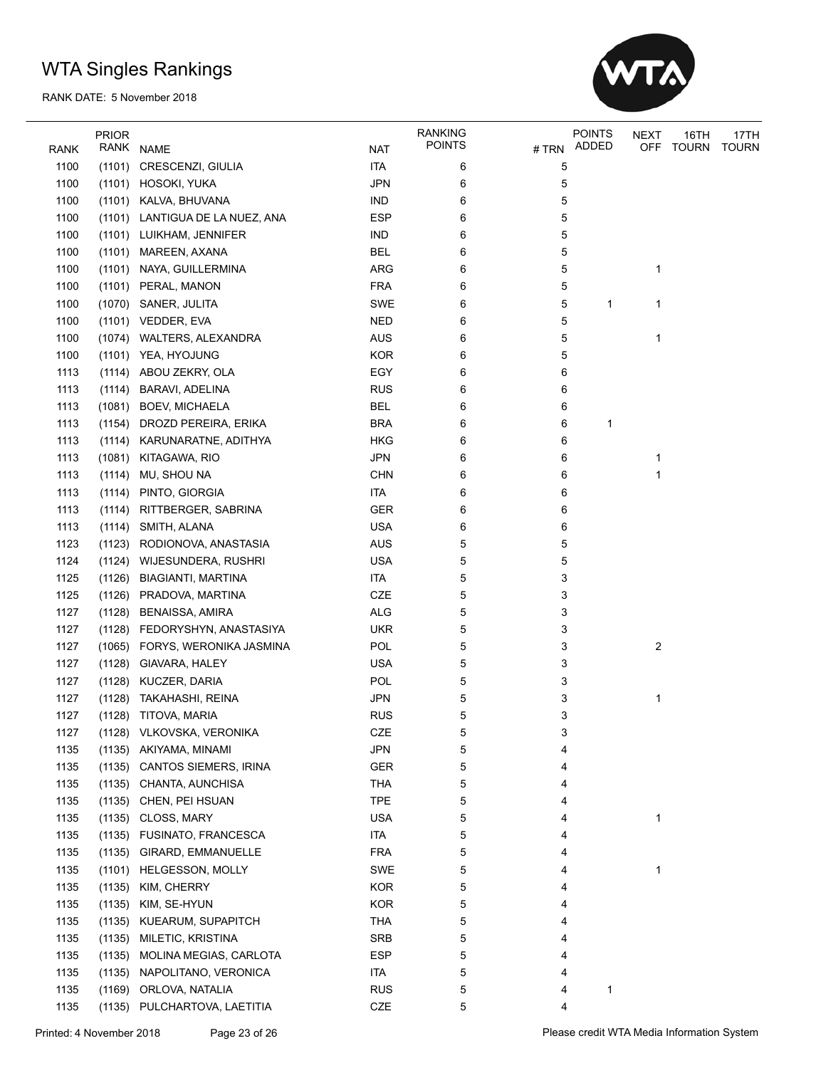

|              | <b>PRIOR</b> |                                          |            | <b>RANKING</b> |       | <b>POINTS</b> | <b>NEXT</b>    | 16TH         | 17TH         |
|--------------|--------------|------------------------------------------|------------|----------------|-------|---------------|----------------|--------------|--------------|
| RANK         | RANK         | <b>NAME</b>                              | <b>NAT</b> | <b>POINTS</b>  | # TRN | ADDED         | <b>OFF</b>     | <b>TOURN</b> | <b>TOURN</b> |
| 1100         | (1101)       | CRESCENZI, GIULIA                        | <b>ITA</b> | 6              | 5     |               |                |              |              |
| 1100         |              | (1101) HOSOKI, YUKA                      | <b>JPN</b> | 6              | 5     |               |                |              |              |
| 1100         |              | (1101) KALVA, BHUVANA                    | <b>IND</b> | 6              | 5     |               |                |              |              |
| 1100         |              | (1101) LANTIGUA DE LA NUEZ, ANA          | <b>ESP</b> | 6              | 5     |               |                |              |              |
| 1100         |              | (1101) LUIKHAM, JENNIFER                 | IND        | 6              | 5     |               |                |              |              |
| 1100         |              | (1101) MAREEN, AXANA                     | <b>BEL</b> | 6              | 5     |               |                |              |              |
| 1100         |              | (1101) NAYA, GUILLERMINA                 | ARG        | 6              | 5     |               | 1              |              |              |
| 1100         |              | (1101) PERAL, MANON                      | <b>FRA</b> | 6              | 5     |               |                |              |              |
| 1100         |              | (1070) SANER, JULITA                     | SWE        | 6              | 5     | 1             | 1              |              |              |
| 1100         |              | (1101) VEDDER, EVA                       | <b>NED</b> | 6              | 5     |               |                |              |              |
| 1100         |              | (1074) WALTERS, ALEXANDRA                | AUS        | 6              | 5     |               | 1              |              |              |
| 1100         |              | (1101) YEA, HYOJUNG                      | <b>KOR</b> | 6              | 5     |               |                |              |              |
| 1113         |              | (1114) ABOU ZEKRY, OLA                   | EGY        | 6              | 6     |               |                |              |              |
| 1113         | (1114)       | <b>BARAVI, ADELINA</b>                   | <b>RUS</b> | 6              | 6     |               |                |              |              |
| 1113         | (1081)       | <b>BOEV, MICHAELA</b>                    | <b>BEL</b> | 6              | 6     |               |                |              |              |
| 1113         | (1154)       | DROZD PEREIRA, ERIKA                     | <b>BRA</b> | 6              | 6     | 1             |                |              |              |
| 1113         |              | (1114) KARUNARATNE, ADITHYA              | <b>HKG</b> | 6              | 6     |               |                |              |              |
| 1113         | (1081)       | KITAGAWA, RIO                            | <b>JPN</b> | 6              | 6     |               | 1              |              |              |
| 1113         |              | (1114) MU, SHOU NA                       | <b>CHN</b> | 6              | 6     |               | $\mathbf{1}$   |              |              |
| 1113         |              | (1114) PINTO, GIORGIA                    | <b>ITA</b> | 6              | 6     |               |                |              |              |
| 1113         |              | (1114) RITTBERGER, SABRINA               | <b>GER</b> | 6              | 6     |               |                |              |              |
| 1113         | (1114)       | SMITH, ALANA                             | <b>USA</b> | 6              | 6     |               |                |              |              |
| 1123         | (1123)       | RODIONOVA, ANASTASIA                     | <b>AUS</b> | 5              | 5     |               |                |              |              |
| 1124         |              | (1124) WIJESUNDERA, RUSHRI               | <b>USA</b> | 5              | 5     |               |                |              |              |
| 1125         |              | (1126) BIAGIANTI, MARTINA                | <b>ITA</b> | 5              | 3     |               |                |              |              |
| 1125         |              | (1126) PRADOVA, MARTINA                  | CZE        | 5              | 3     |               |                |              |              |
| 1127         | (1128)       | <b>BENAISSA, AMIRA</b>                   | <b>ALG</b> | 5              | 3     |               |                |              |              |
| 1127         |              |                                          | <b>UKR</b> |                |       |               |                |              |              |
| 1127         | (1128)       | FEDORYSHYN, ANASTASIYA                   | POL        | 5              | 3     |               | $\overline{c}$ |              |              |
|              |              | (1065) FORYS, WERONIKA JASMINA           |            | 5              | 3     |               |                |              |              |
| 1127         | (1128)       | GIAVARA, HALEY                           | <b>USA</b> | 5              | 3     |               |                |              |              |
| 1127<br>1127 | (1128)       | KUCZER, DARIA<br>(1128) TAKAHASHI, REINA | POL        | 5              | 3     |               |                |              |              |
|              |              |                                          | <b>JPN</b> | 5              | 3     |               | 1              |              |              |
| 1127         |              | (1128) TITOVA, MARIA                     | <b>RUS</b> | 5              | 3     |               |                |              |              |
| 1127         |              | (1128) VLKOVSKA, VERONIKA                | CZE        | 5              | 3     |               |                |              |              |
| 1135         |              | (1135) AKIYAMA, MINAMI                   | <b>JPN</b> | 5              | 4     |               |                |              |              |
| 1135         | (1135)       | CANTOS SIEMERS, IRINA                    | GER        | 5              | 4     |               |                |              |              |
| 1135         | (1135)       | CHANTA, AUNCHISA                         | <b>THA</b> | 5              | 4     |               |                |              |              |
| 1135         | (1135)       | CHEN, PEI HSUAN                          | <b>TPE</b> | 5              | 4     |               |                |              |              |
| 1135         | (1135)       | CLOSS, MARY                              | <b>USA</b> | 5              | 4     |               | 1              |              |              |
| 1135         | (1135)       | FUSINATO, FRANCESCA                      | <b>ITA</b> | 5              | 4     |               |                |              |              |
| 1135         | (1135)       | GIRARD, EMMANUELLE                       | <b>FRA</b> | 5              | 4     |               |                |              |              |
| 1135         |              | (1101) HELGESSON, MOLLY                  | SWE        | 5              | 4     |               | $\mathbf{1}$   |              |              |
| 1135         | (1135)       | KIM, CHERRY                              | <b>KOR</b> | 5              | 4     |               |                |              |              |
| 1135         | (1135)       | KIM, SE-HYUN                             | <b>KOR</b> | 5              | 4     |               |                |              |              |
| 1135         | (1135)       | KUEARUM, SUPAPITCH                       | THA        | 5              | 4     |               |                |              |              |
| 1135         | (1135)       | MILETIC, KRISTINA                        | <b>SRB</b> | 5              | 4     |               |                |              |              |
| 1135         | (1135)       | MOLINA MEGIAS, CARLOTA                   | <b>ESP</b> | 5              | 4     |               |                |              |              |
| 1135         | (1135)       | NAPOLITANO, VERONICA                     | ITA        | 5              | 4     |               |                |              |              |
| 1135         | (1169)       | ORLOVA, NATALIA                          | <b>RUS</b> | 5              | 4     | 1             |                |              |              |
| 1135         |              | (1135) PULCHARTOVA, LAETITIA             | CZE        | 5              | 4     |               |                |              |              |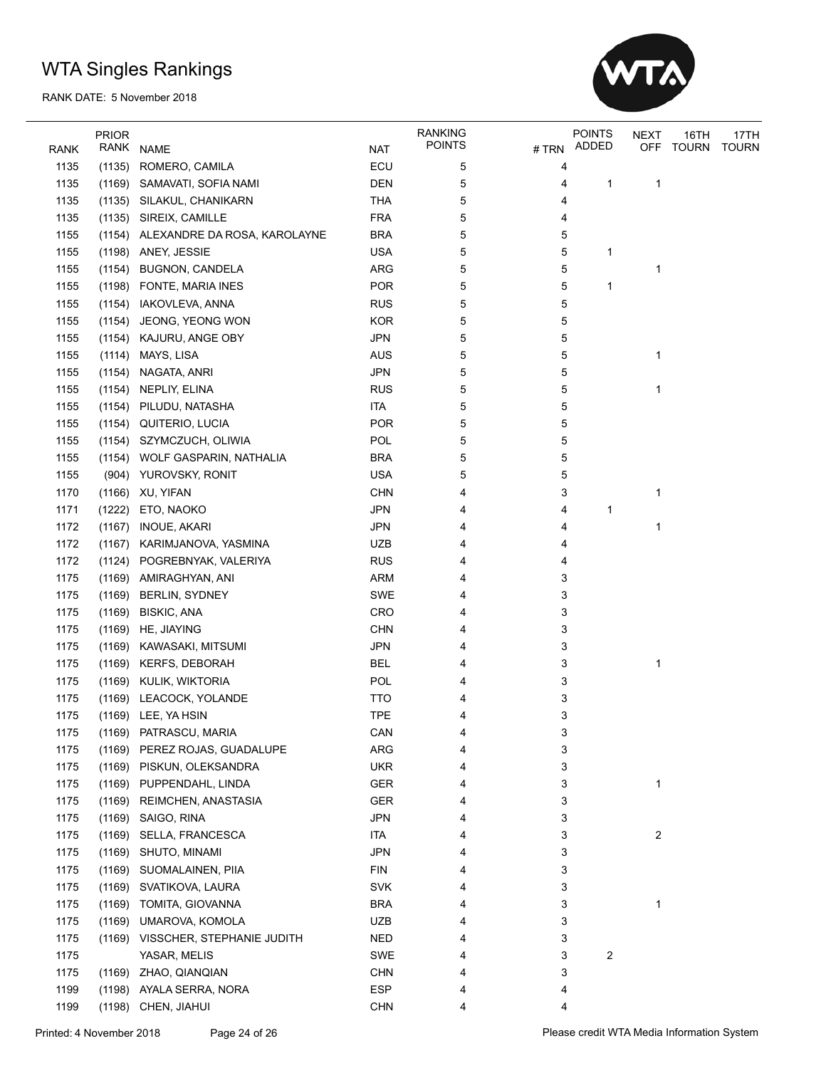

|      | <b>PRIOR</b> |                                     |            | <b>RANKING</b> |      | <b>POINTS</b> | NEXT       | 16TH         | 17TH         |
|------|--------------|-------------------------------------|------------|----------------|------|---------------|------------|--------------|--------------|
| RANK |              | RANK NAME                           | <b>NAT</b> | POINTS         | #TRN | ADDED         | <b>OFF</b> | <b>TOURN</b> | <b>TOURN</b> |
| 1135 | (1135)       | ROMERO, CAMILA                      | ECU        | 5              | 4    |               |            |              |              |
| 1135 | (1169)       | SAMAVATI, SOFIA NAMI                | <b>DEN</b> | 5              | 4    | 1             | 1          |              |              |
| 1135 | (1135)       | SILAKUL, CHANIKARN                  | <b>THA</b> | 5              | 4    |               |            |              |              |
| 1135 | (1135)       | SIREIX, CAMILLE                     | <b>FRA</b> | 5              | 4    |               |            |              |              |
| 1155 |              | (1154) ALEXANDRE DA ROSA, KAROLAYNE | <b>BRA</b> | 5              | 5    |               |            |              |              |
| 1155 |              | (1198) ANEY, JESSIE                 | <b>USA</b> | 5              | 5    | 1             |            |              |              |
| 1155 | (1154)       | <b>BUGNON, CANDELA</b>              | <b>ARG</b> | 5              | 5    |               | 1          |              |              |
| 1155 | (1198)       | FONTE, MARIA INES                   | <b>POR</b> | 5              | 5    | 1             |            |              |              |
| 1155 | (1154)       | IAKOVLEVA, ANNA                     | <b>RUS</b> | 5              | 5    |               |            |              |              |
| 1155 | (1154)       | JEONG, YEONG WON                    | <b>KOR</b> | 5              | 5    |               |            |              |              |
| 1155 | (1154)       | KAJURU, ANGE OBY                    | <b>JPN</b> | 5              | 5    |               |            |              |              |
| 1155 | (1114)       | MAYS, LISA                          | <b>AUS</b> | 5              | 5    |               | 1          |              |              |
| 1155 | (1154)       | NAGATA, ANRI                        | <b>JPN</b> | 5              | 5    |               |            |              |              |
| 1155 | (1154)       | NEPLIY, ELINA                       | <b>RUS</b> | 5              | 5    |               | 1          |              |              |
| 1155 | (1154)       | PILUDU, NATASHA                     | <b>ITA</b> | 5              | 5    |               |            |              |              |
| 1155 | (1154)       | QUITERIO, LUCIA                     | <b>POR</b> | 5              | 5    |               |            |              |              |
| 1155 | (1154)       | SZYMCZUCH, OLIWIA                   | POL        | 5              | 5    |               |            |              |              |
| 1155 | (1154)       | WOLF GASPARIN, NATHALIA             | <b>BRA</b> | 5              | 5    |               |            |              |              |
| 1155 |              | (904) YUROVSKY, RONIT               | <b>USA</b> | 5              | 5    |               |            |              |              |
| 1170 | (1166)       | XU, YIFAN                           | <b>CHN</b> | 4              | 3    |               | 1          |              |              |
| 1171 | (1222)       | ETO, NAOKO                          | <b>JPN</b> | 4              | 4    | 1             |            |              |              |
| 1172 | (1167)       | <b>INOUE, AKARI</b>                 | <b>JPN</b> | 4              | 4    |               | 1          |              |              |
| 1172 | (1167)       | KARIMJANOVA, YASMINA                | <b>UZB</b> | 4              | 4    |               |            |              |              |
| 1172 |              | (1124) POGREBNYAK, VALERIYA         | <b>RUS</b> | 4              | 4    |               |            |              |              |
| 1175 | (1169)       | AMIRAGHYAN, ANI                     | <b>ARM</b> | 4              | 3    |               |            |              |              |
| 1175 | (1169)       | <b>BERLIN, SYDNEY</b>               | <b>SWE</b> | 4              | 3    |               |            |              |              |
| 1175 | (1169)       | <b>BISKIC, ANA</b>                  | CRO        | 4              | 3    |               |            |              |              |
| 1175 | (1169)       | HE, JIAYING                         | <b>CHN</b> | 4              | 3    |               |            |              |              |
| 1175 | (1169)       | KAWASAKI, MITSUMI                   | <b>JPN</b> | 4              | 3    |               |            |              |              |
| 1175 | (1169)       | <b>KERFS, DEBORAH</b>               | <b>BEL</b> | 4              | 3    |               | 1          |              |              |
| 1175 |              | (1169) KULIK, WIKTORIA              | POL        | 4              | 3    |               |            |              |              |
| 1175 | (1169)       | LEACOCK, YOLANDE                    | <b>TTO</b> | 4              | 3    |               |            |              |              |
| 1175 |              | (1169) LEE, YA HSIN                 | <b>TPE</b> | 4              | 3    |               |            |              |              |
| 1175 |              | (1169) PATRASCU, MARIA              | CAN        | 4              | 3    |               |            |              |              |
| 1175 |              | (1169) PEREZ ROJAS, GUADALUPE       | ARG        | 4              | 3    |               |            |              |              |
| 1175 | (1169)       | PISKUN, OLEKSANDRA                  | <b>UKR</b> | 4              | 3    |               |            |              |              |
| 1175 |              | (1169) PUPPENDAHL, LINDA            | GER        | 4              | 3    |               | 1          |              |              |
| 1175 |              | (1169) REIMCHEN, ANASTASIA          | <b>GER</b> | 4              | 3    |               |            |              |              |
| 1175 |              | (1169) SAIGO, RINA                  | <b>JPN</b> | 4              | 3    |               |            |              |              |
| 1175 | (1169)       |                                     | <b>ITA</b> | 4              | 3    |               |            |              |              |
| 1175 |              | SELLA, FRANCESCA                    | <b>JPN</b> |                | 3    |               | 2          |              |              |
|      | (1169)       | SHUTO, MINAMI                       |            | 4              |      |               |            |              |              |
| 1175 | (1169)       | SUOMALAINEN, PIIA                   | <b>FIN</b> | 4              | 3    |               |            |              |              |
| 1175 | (1169)       | SVATIKOVA, LAURA                    | SVK        | 4              | 3    |               |            |              |              |
| 1175 | (1169)       | TOMITA, GIOVANNA                    | <b>BRA</b> | 4              | 3    |               | 1          |              |              |
| 1175 | (1169)       | UMAROVA, KOMOLA                     | <b>UZB</b> | 4              | 3    |               |            |              |              |
| 1175 |              | (1169) VISSCHER, STEPHANIE JUDITH   | <b>NED</b> | 4              | 3    |               |            |              |              |
| 1175 |              | YASAR, MELIS                        | <b>SWE</b> | 4              | 3    | 2             |            |              |              |
| 1175 | (1169)       | ZHAO, QIANQIAN                      | <b>CHN</b> | 4              | 3    |               |            |              |              |
| 1199 | (1198)       | AYALA SERRA, NORA                   | <b>ESP</b> | 4              | 4    |               |            |              |              |
| 1199 | (1198)       | CHEN, JIAHUI                        | <b>CHN</b> | 4              | 4    |               |            |              |              |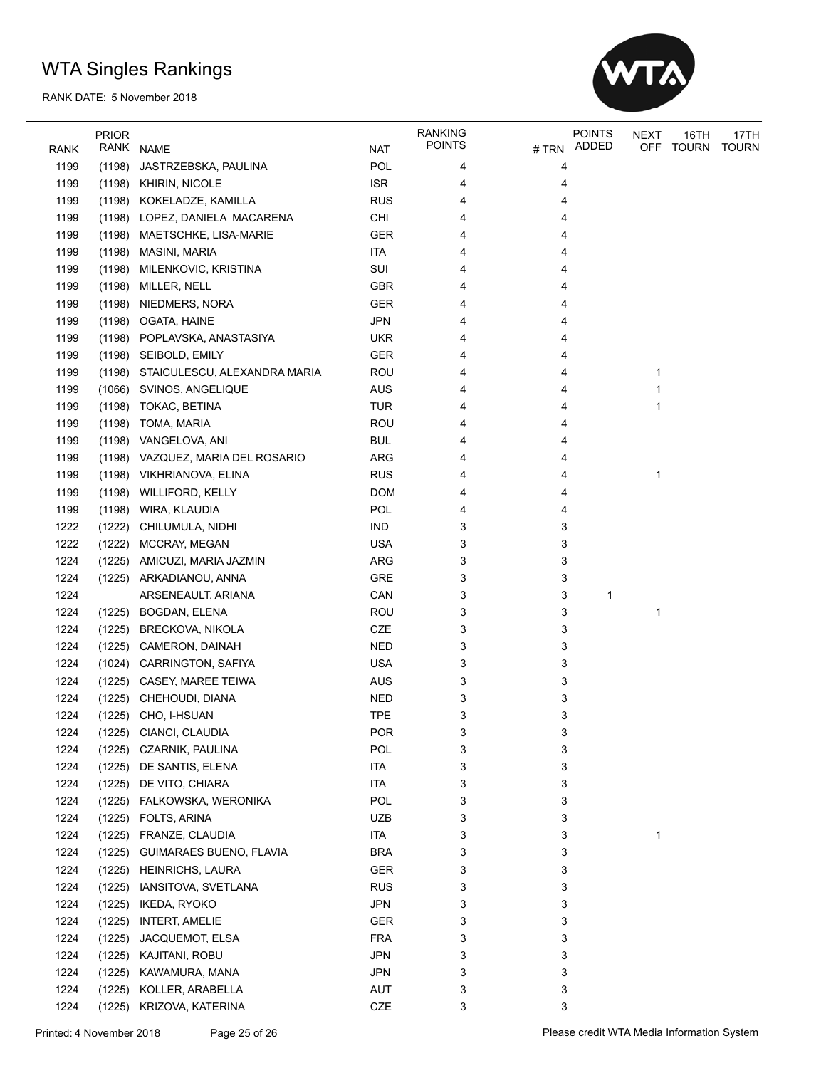

|             | <b>PRIOR</b> |                              |            | <b>RANKING</b> |       | <b>POINTS</b> | <b>NEXT</b> | 16TH         | 17TH         |
|-------------|--------------|------------------------------|------------|----------------|-------|---------------|-------------|--------------|--------------|
| <b>RANK</b> | RANK         | <b>NAME</b>                  | <b>NAT</b> | <b>POINTS</b>  | # TRN | ADDED         | <b>OFF</b>  | <b>TOURN</b> | <b>TOURN</b> |
| 1199        | (1198)       | JASTRZEBSKA, PAULINA         | POL        | 4              | 4     |               |             |              |              |
| 1199        | (1198)       | <b>KHIRIN, NICOLE</b>        | <b>ISR</b> | 4              | 4     |               |             |              |              |
| 1199        | (1198)       | KOKELADZE, KAMILLA           | <b>RUS</b> | 4              | 4     |               |             |              |              |
| 1199        | (1198)       | LOPEZ, DANIELA MACARENA      | CHI        | 4              | 4     |               |             |              |              |
| 1199        | (1198)       | MAETSCHKE, LISA-MARIE        | <b>GER</b> | 4              | 4     |               |             |              |              |
| 1199        | (1198)       | MASINI, MARIA                | <b>ITA</b> | 4              | 4     |               |             |              |              |
| 1199        | (1198)       | MILENKOVIC, KRISTINA         | SUI        | 4              | 4     |               |             |              |              |
| 1199        | (1198)       | MILLER, NELL                 | <b>GBR</b> | 4              | 4     |               |             |              |              |
| 1199        | (1198)       | NIEDMERS, NORA               | <b>GER</b> | 4              | 4     |               |             |              |              |
| 1199        | (1198)       | OGATA, HAINE                 | <b>JPN</b> | 4              | 4     |               |             |              |              |
| 1199        | (1198)       | POPLAVSKA, ANASTASIYA        | <b>UKR</b> | 4              | 4     |               |             |              |              |
| 1199        |              | SEIBOLD, EMILY               | <b>GER</b> | 4              | 4     |               |             |              |              |
|             | (1198)       |                              |            |                |       |               |             |              |              |
| 1199        | (1198)       | STAICULESCU, ALEXANDRA MARIA | <b>ROU</b> | 4              | 4     |               | 1           |              |              |
| 1199        | (1066)       | SVINOS, ANGELIQUE            | <b>AUS</b> | 4              | 4     |               | 1           |              |              |
| 1199        | (1198)       | TOKAC, BETINA                | <b>TUR</b> | 4              | 4     |               | 1           |              |              |
| 1199        | (1198)       | TOMA, MARIA                  | <b>ROU</b> | 4              | 4     |               |             |              |              |
| 1199        | (1198)       | VANGELOVA, ANI               | <b>BUL</b> | 4              | 4     |               |             |              |              |
| 1199        | (1198)       | VAZQUEZ, MARIA DEL ROSARIO   | <b>ARG</b> | 4              | 4     |               |             |              |              |
| 1199        |              | (1198) VIKHRIANOVA, ELINA    | <b>RUS</b> | 4              | 4     |               | 1           |              |              |
| 1199        | (1198)       | <b>WILLIFORD, KELLY</b>      | <b>DOM</b> | 4              | 4     |               |             |              |              |
| 1199        | (1198)       | WIRA, KLAUDIA                | POL        | 4              | 4     |               |             |              |              |
| 1222        | (1222)       | CHILUMULA, NIDHI             | <b>IND</b> | 3              | 3     |               |             |              |              |
| 1222        | (1222)       | MCCRAY, MEGAN                | <b>USA</b> | 3              | 3     |               |             |              |              |
| 1224        | (1225)       | AMICUZI, MARIA JAZMIN        | <b>ARG</b> | 3              | 3     |               |             |              |              |
| 1224        |              | (1225) ARKADIANOU, ANNA      | <b>GRE</b> | 3              | 3     |               |             |              |              |
| 1224        |              | ARSENEAULT, ARIANA           | CAN        | 3              | 3     | 1             |             |              |              |
| 1224        | (1225)       | BOGDAN, ELENA                | <b>ROU</b> | 3              | 3     |               | 1           |              |              |
| 1224        | (1225)       | <b>BRECKOVA, NIKOLA</b>      | CZE        | 3              | 3     |               |             |              |              |
| 1224        | (1225)       | CAMERON, DAINAH              | <b>NED</b> | 3              | 3     |               |             |              |              |
| 1224        | (1024)       | <b>CARRINGTON, SAFIYA</b>    | <b>USA</b> | 3              | 3     |               |             |              |              |
| 1224        |              | (1225) CASEY, MAREE TEIWA    | <b>AUS</b> | 3              | 3     |               |             |              |              |
| 1224        |              | (1225) CHEHOUDI, DIANA       | <b>NED</b> | 3              | 3     |               |             |              |              |
| 1224        |              | (1225) CHO, I-HSUAN          | TPE        | 3              | 3     |               |             |              |              |
| 1224        |              | (1225) CIANCI, CLAUDIA       | POR        | 3              | 3     |               |             |              |              |
| 1224        | (1225)       | CZARNIK, PAULINA             | <b>POL</b> | 3              | 3     |               |             |              |              |
| 1224        | (1225)       | DE SANTIS, ELENA             | <b>ITA</b> | 3              | 3     |               |             |              |              |
| 1224        | (1225)       | DE VITO, CHIARA              | <b>ITA</b> | 3              | 3     |               |             |              |              |
| 1224        | (1225)       | FALKOWSKA, WERONIKA          | POL        | 3              | 3     |               |             |              |              |
| 1224        | (1225)       | FOLTS, ARINA                 | <b>UZB</b> | 3              | 3     |               |             |              |              |
| 1224        | (1225)       | FRANZE, CLAUDIA              | ITA        | 3              | 3     |               | 1           |              |              |
| 1224        | (1225)       | GUIMARAES BUENO, FLAVIA      | <b>BRA</b> | 3              | 3     |               |             |              |              |
|             |              |                              |            |                |       |               |             |              |              |
| 1224        | (1225)       | <b>HEINRICHS, LAURA</b>      | GER        | 3              | 3     |               |             |              |              |
| 1224        | (1225)       | IANSITOVA, SVETLANA          | <b>RUS</b> | 3              | 3     |               |             |              |              |
| 1224        | (1225)       | <b>IKEDA, RYOKO</b>          | <b>JPN</b> | 3              | 3     |               |             |              |              |
| 1224        | (1225)       | <b>INTERT, AMELIE</b>        | <b>GER</b> | 3              | 3     |               |             |              |              |
| 1224        | (1225)       | JACQUEMOT, ELSA              | <b>FRA</b> | 3              | 3     |               |             |              |              |
| 1224        | (1225)       | KAJITANI, ROBU               | <b>JPN</b> | 3              | 3     |               |             |              |              |
| 1224        | (1225)       | KAWAMURA, MANA               | <b>JPN</b> | 3              | 3     |               |             |              |              |
| 1224        | (1225)       | KOLLER, ARABELLA             | AUT        | 3              | 3     |               |             |              |              |
| 1224        |              | (1225) KRIZOVA, KATERINA     | $CZE$      | 3              | 3     |               |             |              |              |